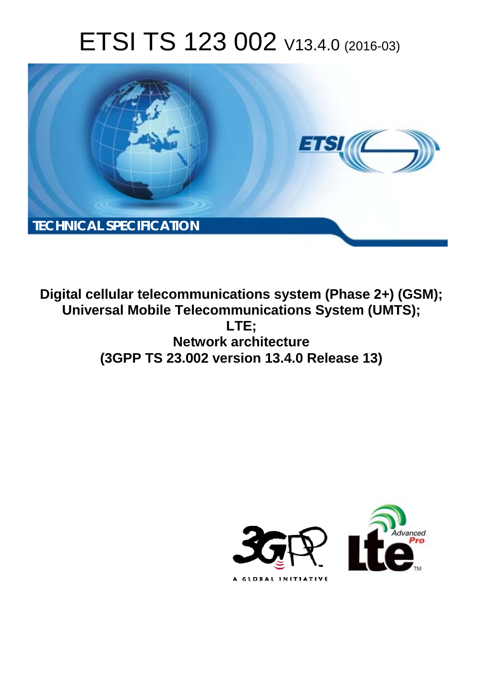# ETSI TS 123 002 V13.4.0 (2016-03)



**Digital cellular telecommunications system (Phase 2+) (GSM); Universal Mobile Tel elecommunications System ( (UMTS); Net etwork architecture (3GPP TS 23.0 .002 version 13.4.0 Release 13 13) LTE;** 

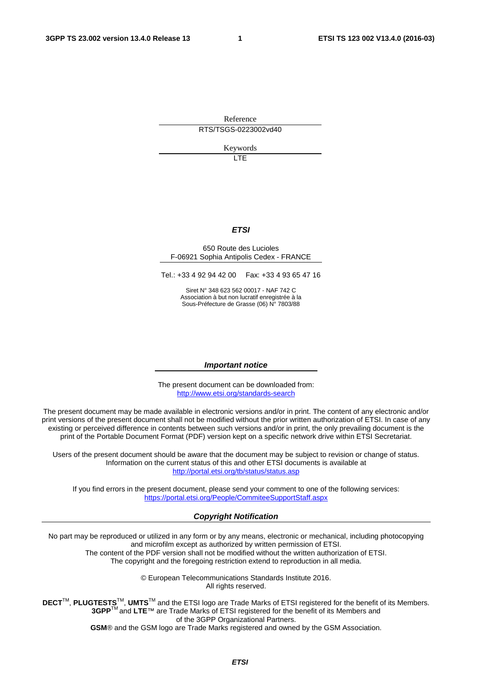Reference RTS/TSGS-0223002vd40

Keywords

**TTE** 

#### *ETSI*

#### 650 Route des Lucioles F-06921 Sophia Antipolis Cedex - FRANCE

Tel.: +33 4 92 94 42 00 Fax: +33 4 93 65 47 16

Siret N° 348 623 562 00017 - NAF 742 C Association à but non lucratif enregistrée à la Sous-Préfecture de Grasse (06) N° 7803/88

#### *Important notice*

The present document can be downloaded from: <http://www.etsi.org/standards-search>

The present document may be made available in electronic versions and/or in print. The content of any electronic and/or print versions of the present document shall not be modified without the prior written authorization of ETSI. In case of any existing or perceived difference in contents between such versions and/or in print, the only prevailing document is the print of the Portable Document Format (PDF) version kept on a specific network drive within ETSI Secretariat.

Users of the present document should be aware that the document may be subject to revision or change of status. Information on the current status of this and other ETSI documents is available at <http://portal.etsi.org/tb/status/status.asp>

If you find errors in the present document, please send your comment to one of the following services: <https://portal.etsi.org/People/CommiteeSupportStaff.aspx>

#### *Copyright Notification*

No part may be reproduced or utilized in any form or by any means, electronic or mechanical, including photocopying and microfilm except as authorized by written permission of ETSI.

The content of the PDF version shall not be modified without the written authorization of ETSI. The copyright and the foregoing restriction extend to reproduction in all media.

> © European Telecommunications Standards Institute 2016. All rights reserved.

**DECT**TM, **PLUGTESTS**TM, **UMTS**TM and the ETSI logo are Trade Marks of ETSI registered for the benefit of its Members. **3GPP**TM and **LTE**™ are Trade Marks of ETSI registered for the benefit of its Members and of the 3GPP Organizational Partners.

**GSM**® and the GSM logo are Trade Marks registered and owned by the GSM Association.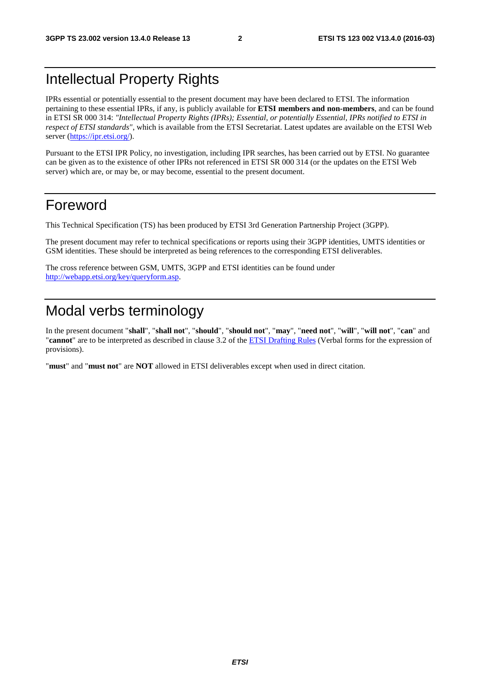# Intellectual Property Rights

IPRs essential or potentially essential to the present document may have been declared to ETSI. The information pertaining to these essential IPRs, if any, is publicly available for **ETSI members and non-members**, and can be found in ETSI SR 000 314: *"Intellectual Property Rights (IPRs); Essential, or potentially Essential, IPRs notified to ETSI in respect of ETSI standards"*, which is available from the ETSI Secretariat. Latest updates are available on the ETSI Web server ([https://ipr.etsi.org/\)](https://ipr.etsi.org/).

Pursuant to the ETSI IPR Policy, no investigation, including IPR searches, has been carried out by ETSI. No guarantee can be given as to the existence of other IPRs not referenced in ETSI SR 000 314 (or the updates on the ETSI Web server) which are, or may be, or may become, essential to the present document.

# Foreword

This Technical Specification (TS) has been produced by ETSI 3rd Generation Partnership Project (3GPP).

The present document may refer to technical specifications or reports using their 3GPP identities, UMTS identities or GSM identities. These should be interpreted as being references to the corresponding ETSI deliverables.

The cross reference between GSM, UMTS, 3GPP and ETSI identities can be found under [http://webapp.etsi.org/key/queryform.asp.](http://webapp.etsi.org/key/queryform.asp)

# Modal verbs terminology

In the present document "**shall**", "**shall not**", "**should**", "**should not**", "**may**", "**need not**", "**will**", "**will not**", "**can**" and "**cannot**" are to be interpreted as described in clause 3.2 of the [ETSI Drafting Rules](http://portal.etsi.org/Help/editHelp!/Howtostart/ETSIDraftingRules.aspx) (Verbal forms for the expression of provisions).

"**must**" and "**must not**" are **NOT** allowed in ETSI deliverables except when used in direct citation.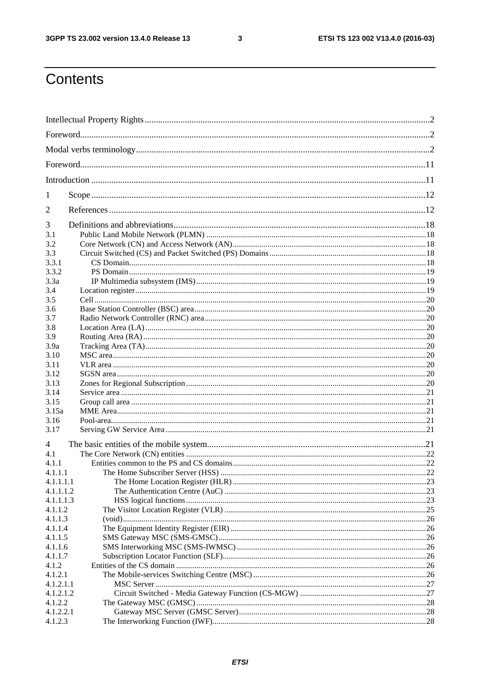$\mathbf{3}$ 

# Contents

| 1         |  |  |  |
|-----------|--|--|--|
| 2         |  |  |  |
| 3         |  |  |  |
| 3.1       |  |  |  |
| 3.2       |  |  |  |
| 3.3       |  |  |  |
| 3.3.1     |  |  |  |
| 3.3.2     |  |  |  |
| 3.3a      |  |  |  |
| 3.4       |  |  |  |
| 3.5       |  |  |  |
| 3.6       |  |  |  |
| 3.7       |  |  |  |
| 3.8       |  |  |  |
| 3.9       |  |  |  |
|           |  |  |  |
| 3.9a      |  |  |  |
| 3.10      |  |  |  |
| 3.11      |  |  |  |
| 3.12      |  |  |  |
| 3.13      |  |  |  |
| 3.14      |  |  |  |
| 3.15      |  |  |  |
| 3.15a     |  |  |  |
| 3.16      |  |  |  |
| 3.17      |  |  |  |
| 4         |  |  |  |
| 4.1       |  |  |  |
| 4.1.1     |  |  |  |
| 4.1.1.1   |  |  |  |
| 4.1.1.1.1 |  |  |  |
| 4.1.1.1.2 |  |  |  |
| 4.1.1.1.3 |  |  |  |
| 4.1.1.2   |  |  |  |
| 4.1.1.3   |  |  |  |
| 4.1.1.4   |  |  |  |
| 4.1.1.5   |  |  |  |
| 4.1.1.6   |  |  |  |
| 4.1.1.7   |  |  |  |
| 4.1.2     |  |  |  |
| 4.1.2.1   |  |  |  |
| 4.1.2.1.1 |  |  |  |
| 4.1.2.1.2 |  |  |  |
| 4.1.2.2   |  |  |  |
| 4.1.2.2.1 |  |  |  |
| 4.1.2.3   |  |  |  |
|           |  |  |  |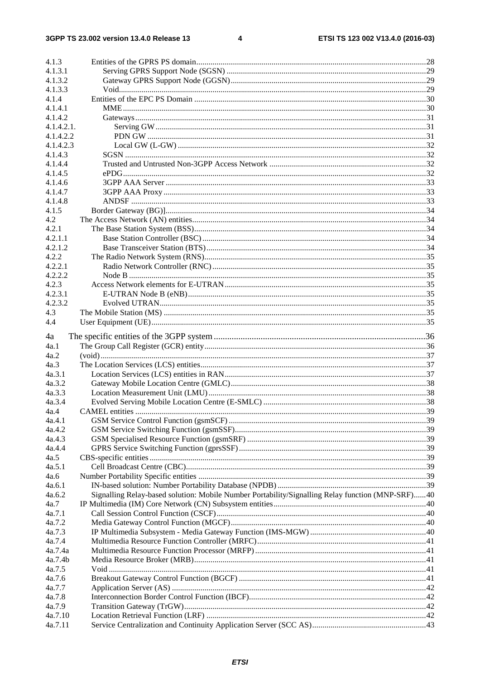$\overline{\mathbf{4}}$ 

| 4.1.3         |                                                                                                  |  |
|---------------|--------------------------------------------------------------------------------------------------|--|
| 4.1.3.1       |                                                                                                  |  |
| 4.1.3.2       |                                                                                                  |  |
| 4.1.3.3       |                                                                                                  |  |
| 4.1.4         |                                                                                                  |  |
| 4.1.4.1       |                                                                                                  |  |
| 4.1.4.2       |                                                                                                  |  |
| $4.1.4.2.1$ . |                                                                                                  |  |
| 4.1.4.2.2     |                                                                                                  |  |
|               |                                                                                                  |  |
| 4.1.4.2.3     |                                                                                                  |  |
| 4.1.4.3       |                                                                                                  |  |
| 4.1.4.4       |                                                                                                  |  |
| 4.1.4.5       |                                                                                                  |  |
| 4.1.4.6       |                                                                                                  |  |
| 4.1.4.7       |                                                                                                  |  |
| 4.1.4.8       |                                                                                                  |  |
| 4.1.5         |                                                                                                  |  |
| 4.2           |                                                                                                  |  |
| 4.2.1         |                                                                                                  |  |
| 4.2.1.1       |                                                                                                  |  |
| 4.2.1.2       |                                                                                                  |  |
| 4.2.2         |                                                                                                  |  |
| 4.2.2.1       |                                                                                                  |  |
| 4.2.2.2       |                                                                                                  |  |
| 4.2.3         |                                                                                                  |  |
| 4.2.3.1       |                                                                                                  |  |
| 4.2.3.2       |                                                                                                  |  |
| 4.3           |                                                                                                  |  |
| 4.4           |                                                                                                  |  |
|               |                                                                                                  |  |
| 4a            |                                                                                                  |  |
| 4a.1          |                                                                                                  |  |
| 4a.2          |                                                                                                  |  |
| 4a.3          |                                                                                                  |  |
| 4a.3.1        |                                                                                                  |  |
| 4a.3.2        |                                                                                                  |  |
| 4a.3.3        |                                                                                                  |  |
| 4a.3.4        |                                                                                                  |  |
| 4a.4          |                                                                                                  |  |
| 4a.4.1        |                                                                                                  |  |
| 4a.4.2        |                                                                                                  |  |
| 4a.4.3        |                                                                                                  |  |
| 4a.4.4        |                                                                                                  |  |
| 4a.5          |                                                                                                  |  |
| 4a.5.1        |                                                                                                  |  |
| 4a.6          |                                                                                                  |  |
| 4a.6.1        |                                                                                                  |  |
| 4a.6.2        | Signalling Relay-based solution: Mobile Number Portability/Signalling Relay function (MNP-SRF)40 |  |
| 4a.7          |                                                                                                  |  |
| 4a.7.1        |                                                                                                  |  |
| 4a.7.2        |                                                                                                  |  |
| 4a.7.3        |                                                                                                  |  |
| 4a.7.4        |                                                                                                  |  |
|               |                                                                                                  |  |
| 4a.7.4a       |                                                                                                  |  |
| 4a.7.4b       |                                                                                                  |  |
| 4a.7.5        |                                                                                                  |  |
| 4a.7.6        |                                                                                                  |  |
| 4a.7.7        |                                                                                                  |  |
| 4a.7.8        |                                                                                                  |  |
| 4a.7.9        |                                                                                                  |  |
| 4a.7.10       |                                                                                                  |  |
| 4a.7.11       |                                                                                                  |  |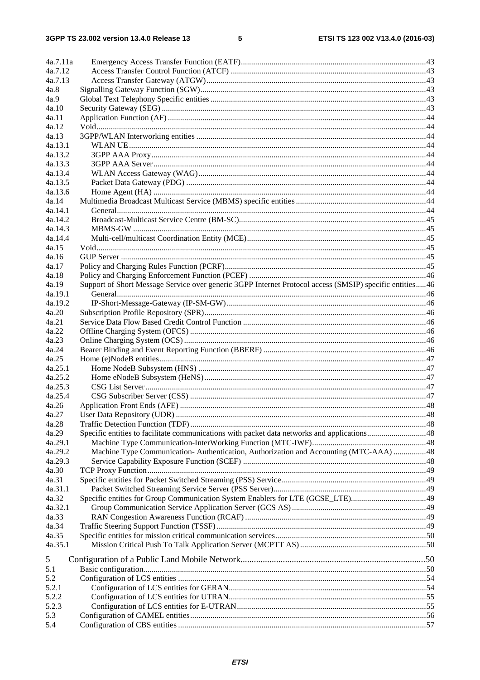| 4a.7.11a |                                                                                                          |  |
|----------|----------------------------------------------------------------------------------------------------------|--|
| 4a.7.12  |                                                                                                          |  |
| 4a.7.13  |                                                                                                          |  |
| 4a.8     |                                                                                                          |  |
| 4a.9     |                                                                                                          |  |
|          |                                                                                                          |  |
| 4a.10    |                                                                                                          |  |
| 4a.11    |                                                                                                          |  |
| 4a.12    |                                                                                                          |  |
| 4a.13    |                                                                                                          |  |
| 4a.13.1  |                                                                                                          |  |
| 4a.13.2  |                                                                                                          |  |
| 4a.13.3  |                                                                                                          |  |
|          |                                                                                                          |  |
| 4a.13.4  |                                                                                                          |  |
| 4a.13.5  |                                                                                                          |  |
| 4a.13.6  |                                                                                                          |  |
| 4a.14    |                                                                                                          |  |
| 4a.14.1  |                                                                                                          |  |
| 4a.14.2  |                                                                                                          |  |
| 4a.14.3  |                                                                                                          |  |
| 4a.14.4  |                                                                                                          |  |
|          |                                                                                                          |  |
| 4a.15    |                                                                                                          |  |
| 4a.16    |                                                                                                          |  |
| 4a.17    |                                                                                                          |  |
| 4a.18    |                                                                                                          |  |
| 4a.19    | Support of Short Message Service over generic 3GPP Internet Protocol access (SMSIP) specific entities 46 |  |
| 4a.19.1  |                                                                                                          |  |
|          |                                                                                                          |  |
| 4a.19.2  |                                                                                                          |  |
| 4a.20    |                                                                                                          |  |
| 4a.21    |                                                                                                          |  |
| 4a.22    |                                                                                                          |  |
| 4a.23    |                                                                                                          |  |
| 4a.24    |                                                                                                          |  |
| 4a.25    |                                                                                                          |  |
|          |                                                                                                          |  |
| 4a.25.1  |                                                                                                          |  |
| 4a.25.2  |                                                                                                          |  |
| 4a.25.3  |                                                                                                          |  |
| 4a.25.4  |                                                                                                          |  |
| 4a.26    |                                                                                                          |  |
| 4a.27    |                                                                                                          |  |
| 4a.28    |                                                                                                          |  |
|          |                                                                                                          |  |
| 4a.29    | Specific entities to facilitate communications with packet data networks and applications48              |  |
| 4a.29.1  |                                                                                                          |  |
| 4a.29.2  | Machine Type Communication-Authentication, Authorization and Accounting (MTC-AAA) 48                     |  |
| 4a.29.3  |                                                                                                          |  |
| 4a.30    |                                                                                                          |  |
| 4a.31    |                                                                                                          |  |
| 4a.31.1  |                                                                                                          |  |
|          |                                                                                                          |  |
| 4a.32    | Specific entities for Group Communication System Enablers for LTE (GCSE_LTE)49                           |  |
| 4a.32.1  |                                                                                                          |  |
| 4a.33    |                                                                                                          |  |
| 4a.34    |                                                                                                          |  |
| 4a.35    |                                                                                                          |  |
| 4a.35.1  |                                                                                                          |  |
|          |                                                                                                          |  |
| 5        |                                                                                                          |  |
| 5.1      |                                                                                                          |  |
| 5.2      |                                                                                                          |  |
|          |                                                                                                          |  |
| 5.2.1    |                                                                                                          |  |
| 5.2.2    |                                                                                                          |  |
| 5.2.3    |                                                                                                          |  |
| 5.3      |                                                                                                          |  |
| 5.4      |                                                                                                          |  |
|          |                                                                                                          |  |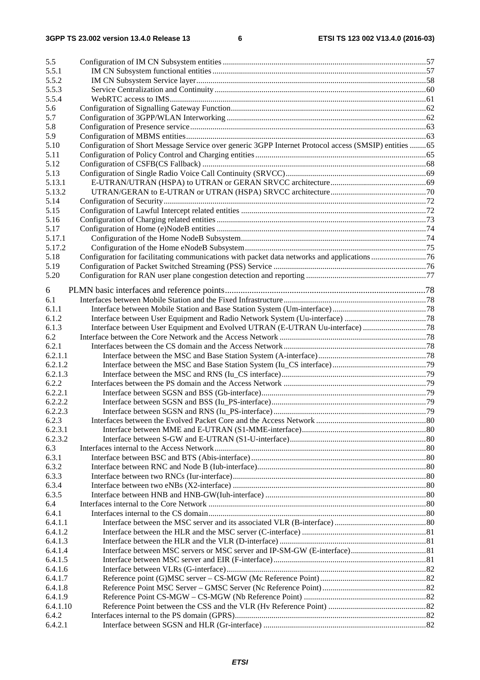| 5.5          |                                                                                                       |  |
|--------------|-------------------------------------------------------------------------------------------------------|--|
| 5.5.1        |                                                                                                       |  |
| 5.5.2        |                                                                                                       |  |
| 5.5.3        |                                                                                                       |  |
| 5.5.4        |                                                                                                       |  |
|              |                                                                                                       |  |
| 5.6<br>5.7   |                                                                                                       |  |
|              |                                                                                                       |  |
| 5.8          |                                                                                                       |  |
| 5.9          |                                                                                                       |  |
| 5.10         | Configuration of Short Message Service over generic 3GPP Internet Protocol access (SMSIP) entities 65 |  |
| 5.11<br>5.12 |                                                                                                       |  |
| 5.13         |                                                                                                       |  |
| 5.13.1       |                                                                                                       |  |
| 5.13.2       |                                                                                                       |  |
| 5.14         |                                                                                                       |  |
| 5.15         |                                                                                                       |  |
| 5.16         |                                                                                                       |  |
| 5.17         |                                                                                                       |  |
| 5.17.1       |                                                                                                       |  |
| 5.17.2       |                                                                                                       |  |
| 5.18         |                                                                                                       |  |
| 5.19         |                                                                                                       |  |
| 5.20         |                                                                                                       |  |
|              |                                                                                                       |  |
| 6            |                                                                                                       |  |
| 6.1          |                                                                                                       |  |
| 6.1.1        |                                                                                                       |  |
| 6.1.2        |                                                                                                       |  |
| 6.1.3        |                                                                                                       |  |
| 6.2          |                                                                                                       |  |
| 6.2.1        |                                                                                                       |  |
| 6.2.1.1      |                                                                                                       |  |
| 6.2.1.2      |                                                                                                       |  |
| 6.2.1.3      |                                                                                                       |  |
| 6.2.2        |                                                                                                       |  |
| 6.2.2.1      |                                                                                                       |  |
| 6.2.2.2      |                                                                                                       |  |
| 6.2.2.3      |                                                                                                       |  |
| 6.2.3        |                                                                                                       |  |
| 6.2.3.1      |                                                                                                       |  |
| 6.2.3.2      |                                                                                                       |  |
| 6.3          |                                                                                                       |  |
| 6.3.1        |                                                                                                       |  |
| 6.3.2        |                                                                                                       |  |
| 6.3.3        |                                                                                                       |  |
| 6.3.4        |                                                                                                       |  |
| 6.3.5        |                                                                                                       |  |
| 6.4          |                                                                                                       |  |
| 6.4.1        |                                                                                                       |  |
| 6.4.1.1      |                                                                                                       |  |
| 6.4.1.2      |                                                                                                       |  |
| 6.4.1.3      |                                                                                                       |  |
| 6.4.1.4      |                                                                                                       |  |
| 6.4.1.5      |                                                                                                       |  |
| 6.4.1.6      |                                                                                                       |  |
| 6.4.1.7      |                                                                                                       |  |
| 6.4.1.8      |                                                                                                       |  |
| 6.4.1.9      |                                                                                                       |  |
| 6.4.1.10     |                                                                                                       |  |
| 6.4.2        |                                                                                                       |  |
| 6.4.2.1      |                                                                                                       |  |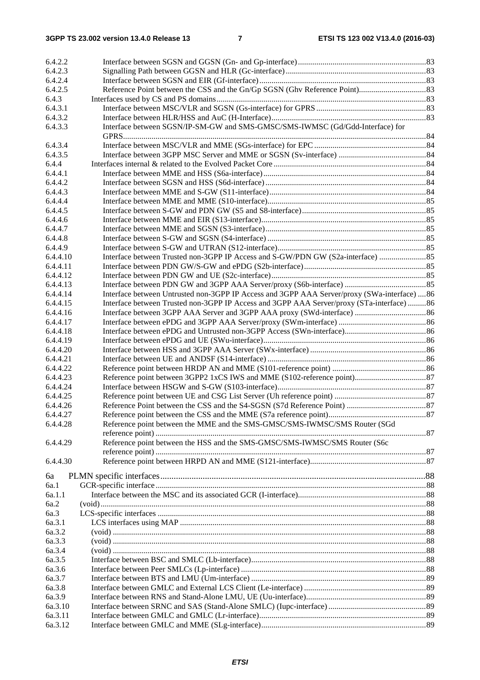| 6.4.2.2              |                                                                                              |  |
|----------------------|----------------------------------------------------------------------------------------------|--|
| 6.4.2.3              |                                                                                              |  |
| 6.4.2.4              |                                                                                              |  |
| 6.4.2.5              |                                                                                              |  |
| 6.4.3                |                                                                                              |  |
| 6.4.3.1              |                                                                                              |  |
| 6.4.3.2              |                                                                                              |  |
| 6.4.3.3              | Interface between SGSN/IP-SM-GW and SMS-GMSC/SMS-IWMSC (Gd/Gdd-Interface) for                |  |
|                      |                                                                                              |  |
| 6.4.3.4              |                                                                                              |  |
| 6.4.3.5              |                                                                                              |  |
| 6.4.4                |                                                                                              |  |
| 6.4.4.1              |                                                                                              |  |
| 6.4.4.2              |                                                                                              |  |
| 6.4.4.3<br>6.4.4.4   |                                                                                              |  |
| 6.4.4.5              |                                                                                              |  |
| 6.4.4.6              |                                                                                              |  |
| 6.4.4.7              |                                                                                              |  |
| 6.4.4.8              |                                                                                              |  |
| 6.4.4.9              |                                                                                              |  |
| 6.4.4.10             | Interface between Trusted non-3GPP IP Access and S-GW/PDN GW (S2a-interface)                 |  |
| 6.4.4.11             |                                                                                              |  |
| 6.4.4.12             |                                                                                              |  |
| 6.4.4.13             |                                                                                              |  |
| 6.4.4.14             | Interface between Untrusted non-3GPP IP Access and 3GPP AAA Server/proxy (SWa-interface)  86 |  |
| 6.4.4.15             | Interface between Trusted non-3GPP IP Access and 3GPP AAA Server/proxy (STa-interface) 86    |  |
| 6.4.4.16             |                                                                                              |  |
| 6.4.4.17             |                                                                                              |  |
| 6.4.4.18             |                                                                                              |  |
| 6.4.4.19             |                                                                                              |  |
| 6.4.4.20             |                                                                                              |  |
| 6.4.4.21             |                                                                                              |  |
| 6.4.4.22             |                                                                                              |  |
| 6.4.4.23             |                                                                                              |  |
| 6.4.4.24<br>6.4.4.25 |                                                                                              |  |
| 6.4.4.26             |                                                                                              |  |
| 6.4.4.27             |                                                                                              |  |
| 6.4.4.28             | Reference point between the MME and the SMS-GMSC/SMS-IWMSC/SMS Router (SGd                   |  |
|                      |                                                                                              |  |
| 6.4.4.29             | Reference point between the HSS and the SMS-GMSC/SMS-IWMSC/SMS Router (S6c                   |  |
|                      |                                                                                              |  |
| 6.4.4.30             |                                                                                              |  |
|                      |                                                                                              |  |
| 6a<br>6a.1           |                                                                                              |  |
|                      |                                                                                              |  |
| 6a.1.1<br>6a.2       |                                                                                              |  |
| 6a.3                 |                                                                                              |  |
| 6a.3.1               |                                                                                              |  |
| 6a.3.2               |                                                                                              |  |
| 6a.3.3               |                                                                                              |  |
| 6a.3.4               |                                                                                              |  |
| 6a.3.5               |                                                                                              |  |
| 6a.3.6               |                                                                                              |  |
| 6a.3.7               |                                                                                              |  |
| 6a.3.8               |                                                                                              |  |
| 6a.3.9               |                                                                                              |  |
| 6a.3.10              |                                                                                              |  |
| 6a.3.11              |                                                                                              |  |
| 6a.3.12              |                                                                                              |  |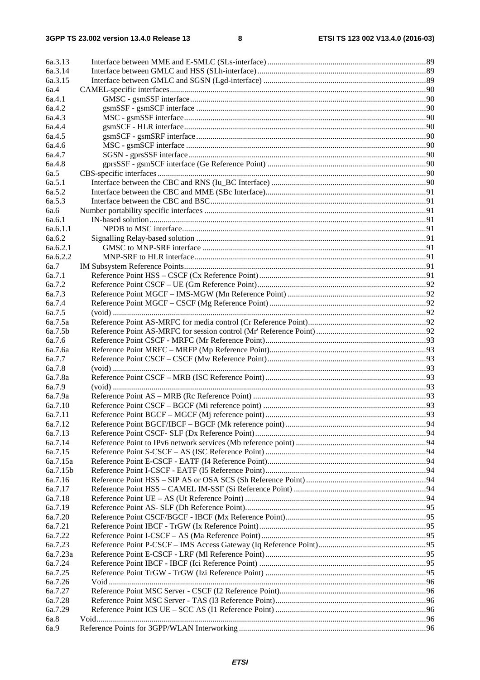| 6a.3.13            |  |
|--------------------|--|
| 6a.3.14            |  |
| 6a.3.15            |  |
| 6a.4               |  |
| 6a.4.1             |  |
| 6a.4.2             |  |
| 6a.4.3             |  |
| 6a.4.4             |  |
| 6a.4.5             |  |
| 6a.4.6             |  |
| 6a.4.7             |  |
| 6a.4.8             |  |
| 6a.5               |  |
| 6a.5.1             |  |
| 6a.5.2             |  |
| 6a.5.3             |  |
| 6a.6               |  |
| 6a.6.1             |  |
| 6a.6.1.1           |  |
| 6a.6.2             |  |
| 6a.6.2.1           |  |
| 6a.6.2.2           |  |
| 6a.7               |  |
| 6a.7.1             |  |
| 6a.7.2<br>6a.7.3   |  |
| 6a.7.4             |  |
| 6a.7.5             |  |
| 6a.7.5a            |  |
| 6a.7.5b            |  |
| 6a.7.6             |  |
| 6a.7.6a            |  |
| 6a.7.7             |  |
| 6a.7.8             |  |
| 6a.7.8a            |  |
| 6a.7.9             |  |
| 6a.7.9a            |  |
| 6a.7.10            |  |
| 6a.7.11            |  |
| 6a.7.12            |  |
| 6a.7.13            |  |
| 6a.7.14            |  |
| 6a.7.15            |  |
| 6a.7.15a           |  |
| 6a.7.15b           |  |
| 6a.7.16            |  |
| 6a.7.17            |  |
| 6a.7.18            |  |
| 6a.7.19            |  |
| 6a.7.20            |  |
| 6a.7.21            |  |
| 6a.7.22            |  |
| 6a.7.23            |  |
| 6a.7.23a           |  |
| 6a.7.24            |  |
| 6a.7.25<br>6a.7.26 |  |
| 6a.7.27            |  |
| 6a.7.28            |  |
| 6a.7.29            |  |
| 6a.8               |  |
| 6a.9               |  |
|                    |  |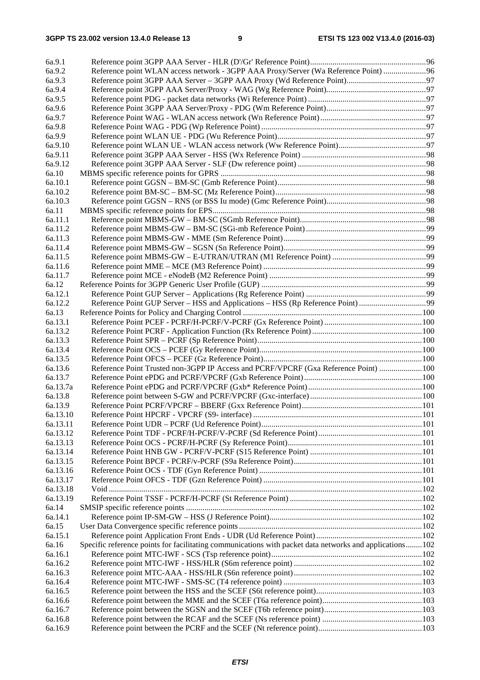| 6a.9.1   |                                                                                                         |  |
|----------|---------------------------------------------------------------------------------------------------------|--|
| 6a.9.2   | Reference point WLAN access network - 3GPP AAA Proxy/Server (Wa Reference Point) 96                     |  |
| 6a.9.3   |                                                                                                         |  |
| 6a.9.4   |                                                                                                         |  |
| 6a.9.5   |                                                                                                         |  |
| 6a.9.6   |                                                                                                         |  |
| 6a.9.7   |                                                                                                         |  |
| 6a.9.8   |                                                                                                         |  |
| 6a.9.9   |                                                                                                         |  |
| 6a.9.10  |                                                                                                         |  |
| 6a.9.11  |                                                                                                         |  |
| 6a.9.12  |                                                                                                         |  |
| 6a.10    |                                                                                                         |  |
| 6a.10.1  |                                                                                                         |  |
| 6a.10.2  |                                                                                                         |  |
| 6a.10.3  |                                                                                                         |  |
| 6a.11    |                                                                                                         |  |
| 6a.11.1  |                                                                                                         |  |
| 6a.11.2  |                                                                                                         |  |
| 6a.11.3  |                                                                                                         |  |
| 6a.11.4  |                                                                                                         |  |
| 6a.11.5  |                                                                                                         |  |
| 6a.11.6  |                                                                                                         |  |
| 6a.11.7  |                                                                                                         |  |
| 6a.12    |                                                                                                         |  |
| 6a.12.1  |                                                                                                         |  |
| 6a.12.2  |                                                                                                         |  |
| 6a.13    |                                                                                                         |  |
| 6a.13.1  |                                                                                                         |  |
| 6a.13.2  |                                                                                                         |  |
| 6a.13.3  |                                                                                                         |  |
| 6a.13.4  |                                                                                                         |  |
| 6a.13.5  |                                                                                                         |  |
| 6a.13.6  | Reference Point Trusted non-3GPP IP Access and PCRF/VPCRF (Gxa Reference Point)  100                    |  |
| 6a.13.7  |                                                                                                         |  |
| 6a.13.7a |                                                                                                         |  |
| 6a.13.8  |                                                                                                         |  |
| 6a.13.9  |                                                                                                         |  |
| 6a.13.10 |                                                                                                         |  |
| 6a.13.11 |                                                                                                         |  |
| 6a.13.12 |                                                                                                         |  |
| 6a.13.13 |                                                                                                         |  |
| 6a.13.14 |                                                                                                         |  |
| 6a.13.15 |                                                                                                         |  |
| 6a.13.16 |                                                                                                         |  |
| 6a.13.17 |                                                                                                         |  |
| 6a.13.18 |                                                                                                         |  |
| 6a.13.19 |                                                                                                         |  |
| 6a.14    |                                                                                                         |  |
| 6a.14.1  |                                                                                                         |  |
| 6a.15    |                                                                                                         |  |
| 6a.15.1  |                                                                                                         |  |
| 6a.16    | Specific reference points for facilitating communications with packet data networks and applications102 |  |
| 6a.16.1  |                                                                                                         |  |
| 6a.16.2  |                                                                                                         |  |
| 6a.16.3  |                                                                                                         |  |
| 6a.16.4  |                                                                                                         |  |
| 6a.16.5  |                                                                                                         |  |
| 6a.16.6  |                                                                                                         |  |
| 6a.16.7  |                                                                                                         |  |
| 6a.16.8  |                                                                                                         |  |
| 6a.16.9  |                                                                                                         |  |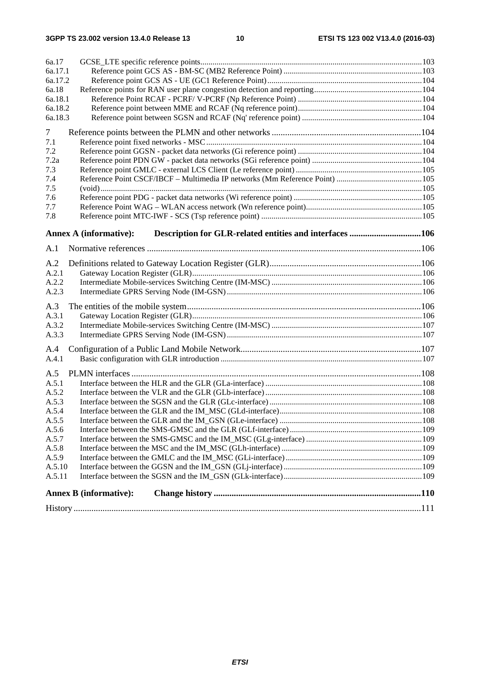| 6a.17          |                                                                                          |  |
|----------------|------------------------------------------------------------------------------------------|--|
| 6a.17.1        |                                                                                          |  |
| 6a.17.2        |                                                                                          |  |
| 6a.18          |                                                                                          |  |
| 6a.18.1        |                                                                                          |  |
| 6a.18.2        |                                                                                          |  |
| 6a.18.3        |                                                                                          |  |
| 7              |                                                                                          |  |
| 7.1            |                                                                                          |  |
| 7.2            |                                                                                          |  |
| 7.2a           |                                                                                          |  |
| 7.3            |                                                                                          |  |
| 7.4            |                                                                                          |  |
| 7.5            |                                                                                          |  |
| 7.6<br>7.7     |                                                                                          |  |
| 7.8            |                                                                                          |  |
|                |                                                                                          |  |
|                | Description for GLR-related entities and interfaces 106<br><b>Annex A (informative):</b> |  |
| A.1            |                                                                                          |  |
|                |                                                                                          |  |
| A.2            |                                                                                          |  |
| A.2.1          |                                                                                          |  |
| A.2.2<br>A.2.3 |                                                                                          |  |
|                |                                                                                          |  |
| A.3            |                                                                                          |  |
| A.3.1          |                                                                                          |  |
| A.3.2          |                                                                                          |  |
| A.3.3          |                                                                                          |  |
| A.4            |                                                                                          |  |
| A.4.1          |                                                                                          |  |
| A.5            |                                                                                          |  |
| A.5.1          |                                                                                          |  |
| A.5.2          |                                                                                          |  |
| A.5.3          |                                                                                          |  |
| A.5.4          |                                                                                          |  |
| A.5.5          |                                                                                          |  |
| A.5.6          |                                                                                          |  |
| A.5.7          |                                                                                          |  |
| A.5.8          |                                                                                          |  |
| A.5.9          |                                                                                          |  |
| A.5.10         |                                                                                          |  |
| A.5.11         |                                                                                          |  |
|                | <b>Annex B</b> (informative):                                                            |  |
|                |                                                                                          |  |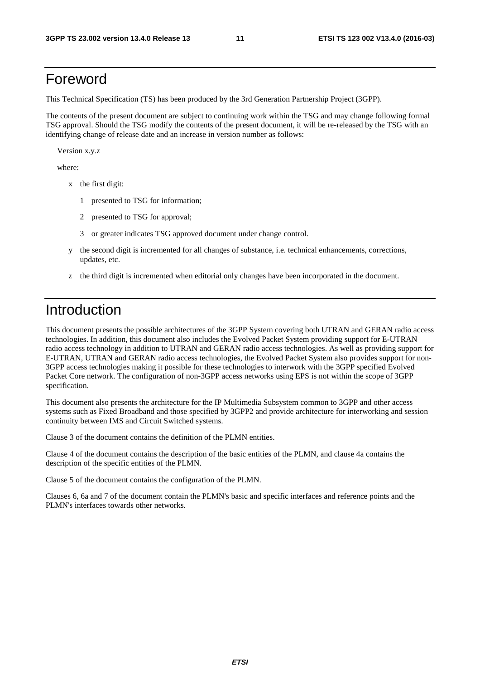### Foreword

This Technical Specification (TS) has been produced by the 3rd Generation Partnership Project (3GPP).

The contents of the present document are subject to continuing work within the TSG and may change following formal TSG approval. Should the TSG modify the contents of the present document, it will be re-released by the TSG with an identifying change of release date and an increase in version number as follows:

Version x.y.z

where:

- x the first digit:
	- 1 presented to TSG for information;
	- 2 presented to TSG for approval;
	- 3 or greater indicates TSG approved document under change control.
- y the second digit is incremented for all changes of substance, i.e. technical enhancements, corrections, updates, etc.
- z the third digit is incremented when editorial only changes have been incorporated in the document.

# Introduction

This document presents the possible architectures of the 3GPP System covering both UTRAN and GERAN radio access technologies. In addition, this document also includes the Evolved Packet System providing support for E-UTRAN radio access technology in addition to UTRAN and GERAN radio access technologies. As well as providing support for E-UTRAN, UTRAN and GERAN radio access technologies, the Evolved Packet System also provides support for non-3GPP access technologies making it possible for these technologies to interwork with the 3GPP specified Evolved Packet Core network. The configuration of non-3GPP access networks using EPS is not within the scope of 3GPP specification.

This document also presents the architecture for the IP Multimedia Subsystem common to 3GPP and other access systems such as Fixed Broadband and those specified by 3GPP2 and provide architecture for interworking and session continuity between IMS and Circuit Switched systems.

Clause 3 of the document contains the definition of the PLMN entities.

Clause 4 of the document contains the description of the basic entities of the PLMN, and clause 4a contains the description of the specific entities of the PLMN.

Clause 5 of the document contains the configuration of the PLMN.

Clauses 6, 6a and 7 of the document contain the PLMN's basic and specific interfaces and reference points and the PLMN's interfaces towards other networks.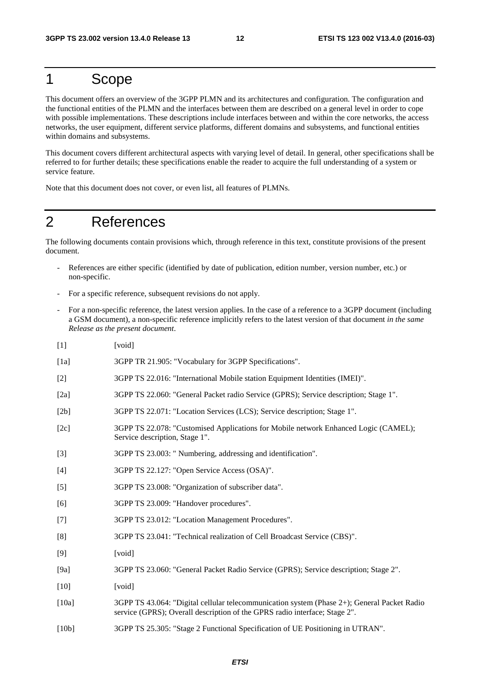# 1 Scope

This document offers an overview of the 3GPP PLMN and its architectures and configuration. The configuration and the functional entities of the PLMN and the interfaces between them are described on a general level in order to cope with possible implementations. These descriptions include interfaces between and within the core networks, the access networks, the user equipment, different service platforms, different domains and subsystems, and functional entities within domains and subsystems.

This document covers different architectural aspects with varying level of detail. In general, other specifications shall be referred to for further details; these specifications enable the reader to acquire the full understanding of a system or service feature.

Note that this document does not cover, or even list, all features of PLMNs.

# 2 References

The following documents contain provisions which, through reference in this text, constitute provisions of the present document.

- References are either specific (identified by date of publication, edition number, version number, etc.) or non-specific.
- For a specific reference, subsequent revisions do not apply.
- For a non-specific reference, the latest version applies. In the case of a reference to a 3GPP document (including a GSM document), a non-specific reference implicitly refers to the latest version of that document *in the same Release as the present document*.
- [1] [void]
- [1a] 3GPP TR 21.905: "Vocabulary for 3GPP Specifications".
- [2] 3GPP TS 22.016: "International Mobile station Equipment Identities (IMEI)".
- [2a] 3GPP TS 22.060: "General Packet radio Service (GPRS); Service description; Stage 1".
- [2b] 3GPP TS 22.071: "Location Services (LCS); Service description; Stage 1".
- [2c] 3GPP TS 22.078: "Customised Applications for Mobile network Enhanced Logic (CAMEL); Service description, Stage 1".
- [3] 3GPP TS 23.003: " Numbering, addressing and identification".
- [4] 3GPP TS 22.127: "Open Service Access (OSA)".
- [5] 3GPP TS 23.008: "Organization of subscriber data".
- [6] 3GPP TS 23.009: "Handover procedures".
- [7] 3GPP TS 23.012: "Location Management Procedures".
- [8] 3GPP TS 23.041: "Technical realization of Cell Broadcast Service (CBS)".
- [9] [void]
- [9a] 3GPP TS 23.060: "General Packet Radio Service (GPRS); Service description; Stage 2".
- [10] [void]
- [10a] 3GPP TS 43.064: "Digital cellular telecommunication system (Phase 2+); General Packet Radio service (GPRS); Overall description of the GPRS radio interface; Stage 2".
- [10b] 3GPP TS 25.305: "Stage 2 Functional Specification of UE Positioning in UTRAN".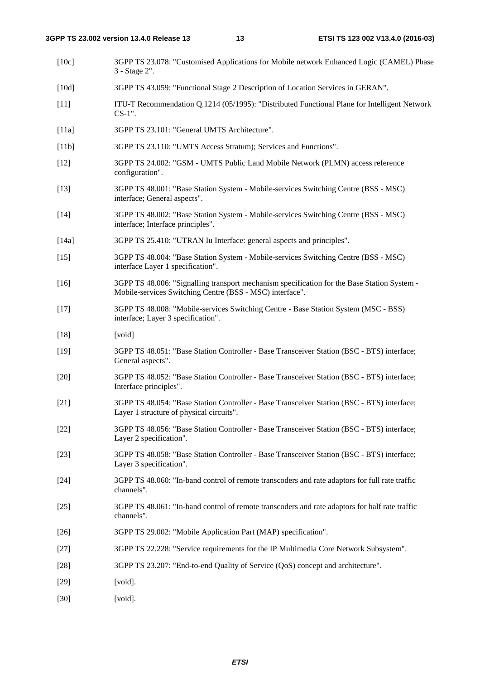[10c] 3GPP TS 23.078: "Customised Applications for Mobile network Enhanced Logic (CAMEL) Phase 3 - Stage 2". [10d] 3GPP TS 43.059: "Functional Stage 2 Description of Location Services in GERAN". [11] ITU-T Recommendation Q.1214 (05/1995): "Distributed Functional Plane for Intelligent Network CS-1". [11a] 3GPP TS 23.101: "General UMTS Architecture". [11b] 3GPP TS 23.110: "UMTS Access Stratum); Services and Functions". [12] 3GPP TS 24.002: "GSM - UMTS Public Land Mobile Network (PLMN) access reference configuration". [13] 3GPP TS 48.001: "Base Station System - Mobile-services Switching Centre (BSS - MSC) interface; General aspects". [14] 3GPP TS 48.002: "Base Station System - Mobile-services Switching Centre (BSS - MSC) interface; Interface principles". [14a] 3GPP TS 25.410: "UTRAN Iu Interface: general aspects and principles". [15] 3GPP TS 48.004: "Base Station System - Mobile-services Switching Centre (BSS - MSC) interface Layer 1 specification". [16] 3GPP TS 48.006: "Signalling transport mechanism specification for the Base Station System - Mobile-services Switching Centre (BSS - MSC) interface". [17] 3GPP TS 48.008: "Mobile-services Switching Centre - Base Station System (MSC - BSS) interface; Layer 3 specification". [18] [void] [19] 3GPP TS 48.051: "Base Station Controller - Base Transceiver Station (BSC - BTS) interface; General aspects". [20] 3GPP TS 48.052: "Base Station Controller - Base Transceiver Station (BSC - BTS) interface; Interface principles". [21] 3GPP TS 48.054: "Base Station Controller - Base Transceiver Station (BSC - BTS) interface; Layer 1 structure of physical circuits". [22] 3GPP TS 48.056: "Base Station Controller - Base Transceiver Station (BSC - BTS) interface; Layer 2 specification". [23] 3GPP TS 48.058: "Base Station Controller - Base Transceiver Station (BSC - BTS) interface; Layer 3 specification". [24] 3GPP TS 48.060: "In-band control of remote transcoders and rate adaptors for full rate traffic channels". [25] 3GPP TS 48.061: "In-band control of remote transcoders and rate adaptors for half rate traffic channels". [26] 3GPP TS 29.002: "Mobile Application Part (MAP) specification". [27] 3GPP TS 22.228: "Service requirements for the IP Multimedia Core Network Subsystem". [28] 3GPP TS 23.207: "End-to-end Quality of Service (QoS) concept and architecture". [29] [void]. [30] [void].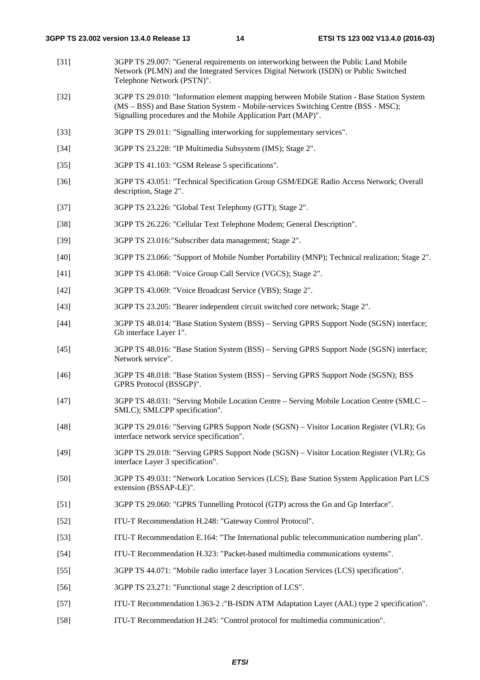- [31] 3GPP TS 29.007: "General requirements on interworking between the Public Land Mobile Network (PLMN) and the Integrated Services Digital Network (ISDN) or Public Switched Telephone Network (PSTN)".
- [32] 3GPP TS 29.010: "Information element mapping between Mobile Station Base Station System (MS – BSS) and Base Station System - Mobile-services Switching Centre (BSS - MSC); Signalling procedures and the Mobile Application Part (MAP)".
- [33] 3GPP TS 29.011: "Signalling interworking for supplementary services".
- [34] 3GPP TS 23.228: "IP Multimedia Subsystem (IMS); Stage 2".
- [35] 3GPP TS 41.103: "GSM Release 5 specifications".
- [36] 3GPP TS 43.051: "Technical Specification Group GSM/EDGE Radio Access Network; Overall description, Stage 2".
- [37] 3GPP TS 23.226: "Global Text Telephony (GTT); Stage 2".
- [38] 3GPP TS 26.226: "Cellular Text Telephone Modem; General Description".
- [39] 3GPP TS 23.016:"Subscriber data management; Stage 2".
- [40] 3GPP TS 23.066: "Support of Mobile Number Portability (MNP); Technical realization; Stage 2".
- [41] 3GPP TS 43.068: "Voice Group Call Service (VGCS); Stage 2".
- [42] 3GPP TS 43.069: "Voice Broadcast Service (VBS); Stage 2".
- [43] 3GPP TS 23.205: "Bearer independent circuit switched core network; Stage 2".
- [44] 3GPP TS 48.014: "Base Station System (BSS) Serving GPRS Support Node (SGSN) interface; Gb interface Layer 1".
- [45] 3GPP TS 48.016: "Base Station System (BSS) Serving GPRS Support Node (SGSN) interface; Network service".
- [46] 3GPP TS 48.018: "Base Station System (BSS) Serving GPRS Support Node (SGSN); BSS GPRS Protocol (BSSGP)".
- [47] 3GPP TS 48.031: "Serving Mobile Location Centre Serving Mobile Location Centre (SMLC SMLC); SMLCPP specification".
- [48] 3GPP TS 29.016: "Serving GPRS Support Node (SGSN) Visitor Location Register (VLR); Gs interface network service specification".
- [49] 3GPP TS 29.018: "Serving GPRS Support Node (SGSN) Visitor Location Register (VLR); Gs interface Layer 3 specification".
- [50] 3GPP TS 49.031: "Network Location Services (LCS); Base Station System Application Part LCS extension (BSSAP-LE)".
- [51] 3GPP TS 29.060: "GPRS Tunnelling Protocol (GTP) across the Gn and Gp Interface".
- [52] ITU-T Recommendation H.248: "Gateway Control Protocol".
- [53] ITU-T Recommendation E.164: "The International public telecommunication numbering plan".
- [54] ITU-T Recommendation H.323: "Packet-based multimedia communications systems".
- [55] 3GPP TS 44.071: "Mobile radio interface layer 3 Location Services (LCS) specification".
- [56] 3GPP TS 23.271: "Functional stage 2 description of LCS".
- [57] ITU-T Recommendation I.363-2 :"B-ISDN ATM Adaptation Layer (AAL) type 2 specification".
- [58] ITU-T Recommendation H.245: "Control protocol for multimedia communication".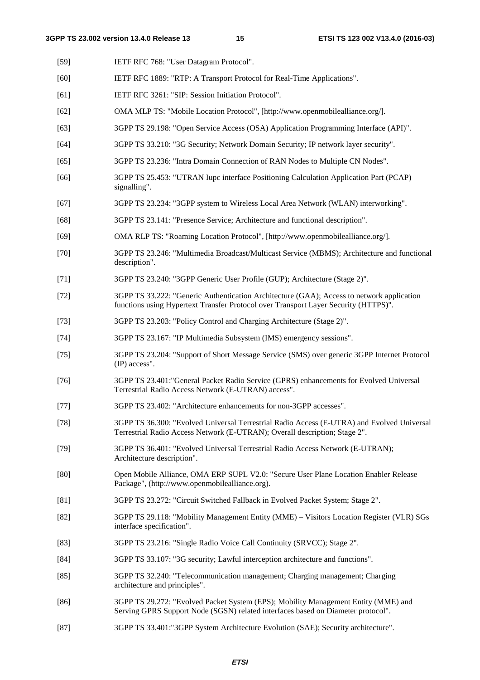- [59] IETF RFC 768: "User Datagram Protocol". [60] IETF RFC 1889: "RTP: A Transport Protocol for Real-Time Applications". [61] IETF RFC 3261: "SIP: Session Initiation Protocol". [62] OMA MLP TS: "Mobile Location Protocol", [http://www.openmobilealliance.org/]. [63] 3GPP TS 29.198: "Open Service Access (OSA) Application Programming Interface (API)". [64] 3GPP TS 33.210: "3G Security; Network Domain Security; IP network layer security". [65] 3GPP TS 23.236: "Intra Domain Connection of RAN Nodes to Multiple CN Nodes". [66] 3GPP TS 25.453: "UTRAN Iupc interface Positioning Calculation Application Part (PCAP) signalling". [67] 3GPP TS 23.234: "3GPP system to Wireless Local Area Network (WLAN) interworking". [68] 3GPP TS 23.141: "Presence Service; Architecture and functional description". [69] OMA RLP TS: "Roaming Location Protocol", [http://www.openmobilealliance.org/]. [70] 3GPP TS 23.246: "Multimedia Broadcast/Multicast Service (MBMS); Architecture and functional description". [71] 3GPP TS 23.240: "3GPP Generic User Profile (GUP); Architecture (Stage 2)". [72] 3GPP TS 33.222: "Generic Authentication Architecture (GAA); Access to network application functions using Hypertext Transfer Protocol over Transport Layer Security (HTTPS)". [73] 3GPP TS 23.203: "Policy Control and Charging Architecture (Stage 2)". [74] 3GPP TS 23.167: "IP Multimedia Subsystem (IMS) emergency sessions". [75] 3GPP TS 23.204: "Support of Short Message Service (SMS) over generic 3GPP Internet Protocol (IP) access". [76] 3GPP TS 23.401:"General Packet Radio Service (GPRS) enhancements for Evolved Universal Terrestrial Radio Access Network (E-UTRAN) access". [77] 3GPP TS 23.402: "Architecture enhancements for non-3GPP accesses". [78] 3GPP TS 36.300: "Evolved Universal Terrestrial Radio Access (E-UTRA) and Evolved Universal Terrestrial Radio Access Network (E-UTRAN); Overall description; Stage 2". [79] 3GPP TS 36.401: "Evolved Universal Terrestrial Radio Access Network (E-UTRAN); Architecture description". [80] Open Mobile Alliance, OMA ERP SUPL V2.0: "Secure User Plane Location Enabler Release Package", (http://www.openmobilealliance.org). [81] 3GPP TS 23.272: "Circuit Switched Fallback in Evolved Packet System; Stage 2". [82] 3GPP TS 29.118: "Mobility Management Entity (MME) – Visitors Location Register (VLR) SGs interface specification". [83] 3GPP TS 23.216: "Single Radio Voice Call Continuity (SRVCC); Stage 2". [84] 3GPP TS 33.107: "3G security; Lawful interception architecture and functions". [85] 3GPP TS 32.240: "Telecommunication management; Charging management; Charging architecture and principles". [86] 3GPP TS 29.272: "Evolved Packet System (EPS); Mobility Management Entity (MME) and Serving GPRS Support Node (SGSN) related interfaces based on Diameter protocol".
- [87] 3GPP TS 33.401:"3GPP System Architecture Evolution (SAE); Security architecture".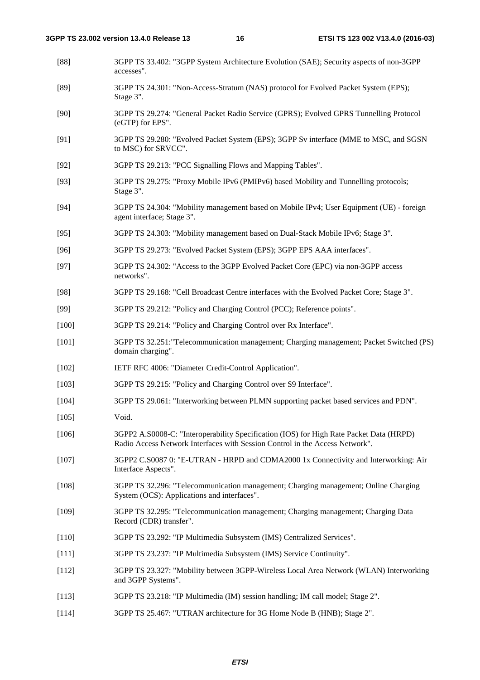- [88] 3GPP TS 33.402: "3GPP System Architecture Evolution (SAE); Security aspects of non-3GPP accesses".
- [89] 3GPP TS 24.301: "Non-Access-Stratum (NAS) protocol for Evolved Packet System (EPS); Stage 3".
- [90] 3GPP TS 29.274: "General Packet Radio Service (GPRS); Evolved GPRS Tunnelling Protocol (eGTP) for EPS".
- [91] 3GPP TS 29.280: "Evolved Packet System (EPS); 3GPP Sv interface (MME to MSC, and SGSN to MSC) for SRVCC".
- [92] 3GPP TS 29.213: "PCC Signalling Flows and Mapping Tables".
- [93] 3GPP TS 29.275: "Proxy Mobile IPv6 (PMIPv6) based Mobility and Tunnelling protocols; Stage 3".
- [94] 3GPP TS 24.304: "Mobility management based on Mobile IPv4; User Equipment (UE) foreign agent interface; Stage 3".
- [95] 3GPP TS 24.303: "Mobility management based on Dual-Stack Mobile IPv6; Stage 3".
- [96] 3GPP TS 29.273: "Evolved Packet System (EPS); 3GPP EPS AAA interfaces".
- [97] 3GPP TS 24.302: "Access to the 3GPP Evolved Packet Core (EPC) via non-3GPP access networks".
- [98] 3GPP TS 29.168: "Cell Broadcast Centre interfaces with the Evolved Packet Core; Stage 3".
- [99] 3GPP TS 29.212: "Policy and Charging Control (PCC); Reference points".
- [100] 3GPP TS 29.214: "Policy and Charging Control over Rx Interface".
- [101] 3GPP TS 32.251:"Telecommunication management; Charging management; Packet Switched (PS) domain charging".
- [102] IETF RFC 4006: "Diameter Credit-Control Application".
- [103] 3GPP TS 29.215: "Policy and Charging Control over S9 Interface".
- [104] 3GPP TS 29.061: "Interworking between PLMN supporting packet based services and PDN".
- [105] Void.
- [106] 3GPP2 A.S0008-C: "Interoperability Specification (IOS) for High Rate Packet Data (HRPD) Radio Access Network Interfaces with Session Control in the Access Network".
- [107] 3GPP2 C.S0087 0: "E-UTRAN HRPD and CDMA2000 1x Connectivity and Interworking: Air Interface Aspects".
- [108] 3GPP TS 32.296: "Telecommunication management; Charging management; Online Charging System (OCS): Applications and interfaces".
- [109] 3GPP TS 32.295: "Telecommunication management; Charging management; Charging Data Record (CDR) transfer".
- [110] 3GPP TS 23.292: "IP Multimedia Subsystem (IMS) Centralized Services".
- [111] 3GPP TS 23.237: "IP Multimedia Subsystem (IMS) Service Continuity".
- [112] 3GPP TS 23.327: "Mobility between 3GPP-Wireless Local Area Network (WLAN) Interworking and 3GPP Systems".
- [113] 3GPP TS 23.218: "IP Multimedia (IM) session handling; IM call model; Stage 2".
- [114] 3GPP TS 25.467: "UTRAN architecture for 3G Home Node B (HNB); Stage 2".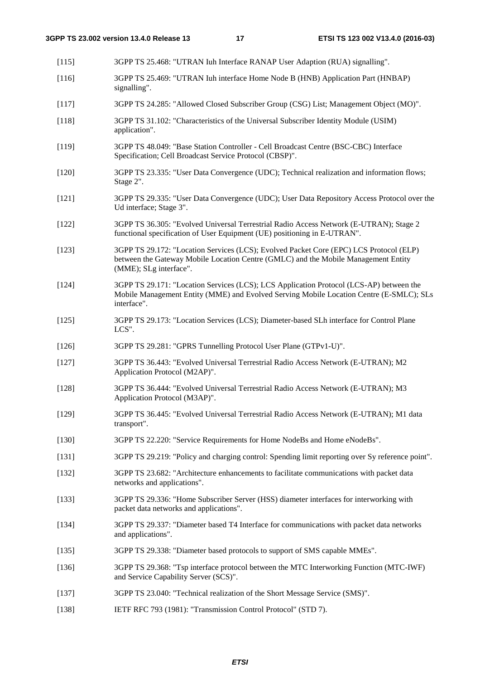- [115] 3GPP TS 25.468: "UTRAN Iuh Interface RANAP User Adaption (RUA) signalling".
- [116] 3GPP TS 25.469: "UTRAN Iuh interface Home Node B (HNB) Application Part (HNBAP) signalling".
- [117] 3GPP TS 24.285: "Allowed Closed Subscriber Group (CSG) List; Management Object (MO)".
- [118] 3GPP TS 31.102: "Characteristics of the Universal Subscriber Identity Module (USIM) application".
- [119] 3GPP TS 48.049: "Base Station Controller Cell Broadcast Centre (BSC-CBC) Interface Specification; Cell Broadcast Service Protocol (CBSP)".
- [120] 3GPP TS 23.335: "User Data Convergence (UDC); Technical realization and information flows; Stage 2".
- [121] 3GPP TS 29.335: "User Data Convergence (UDC); User Data Repository Access Protocol over the Ud interface; Stage 3".
- [122] 3GPP TS 36.305: "Evolved Universal Terrestrial Radio Access Network (E-UTRAN); Stage 2 functional specification of User Equipment (UE) positioning in E-UTRAN".
- [123] 3GPP TS 29.172: "Location Services (LCS); Evolved Packet Core (EPC) LCS Protocol (ELP) between the Gateway Mobile Location Centre (GMLC) and the Mobile Management Entity (MME); SLg interface".
- [124] 3GPP TS 29.171: "Location Services (LCS); LCS Application Protocol (LCS-AP) between the Mobile Management Entity (MME) and Evolved Serving Mobile Location Centre (E-SMLC); SLs interface".
- [125] 3GPP TS 29.173: "Location Services (LCS); Diameter-based SLh interface for Control Plane LCS".
- [126] 3GPP TS 29.281: "GPRS Tunnelling Protocol User Plane (GTPv1-U)".
- [127] 3GPP TS 36.443: "Evolved Universal Terrestrial Radio Access Network (E-UTRAN); M2 Application Protocol (M2AP)".
- [128] 3GPP TS 36.444: "Evolved Universal Terrestrial Radio Access Network (E-UTRAN); M3 Application Protocol (M3AP)".
- [129] 3GPP TS 36.445: "Evolved Universal Terrestrial Radio Access Network (E-UTRAN); M1 data transport".
- [130] 3GPP TS 22.220: "Service Requirements for Home NodeBs and Home eNodeBs".
- [131] 3GPP TS 29.219: "Policy and charging control: Spending limit reporting over Sy reference point".
- [132] 3GPP TS 23.682: "Architecture enhancements to facilitate communications with packet data networks and applications".
- [133] 3GPP TS 29.336: "Home Subscriber Server (HSS) diameter interfaces for interworking with packet data networks and applications".
- [134] 3GPP TS 29.337: "Diameter based T4 Interface for communications with packet data networks and applications".
- [135] 3GPP TS 29.338: "Diameter based protocols to support of SMS capable MMEs".
- [136] 3GPP TS 29.368: "Tsp interface protocol between the MTC Interworking Function (MTC-IWF) and Service Capability Server (SCS)".
- [137] 3GPP TS 23.040: "Technical realization of the Short Message Service (SMS)".
- [138] IETF RFC 793 (1981): "Transmission Control Protocol" (STD 7).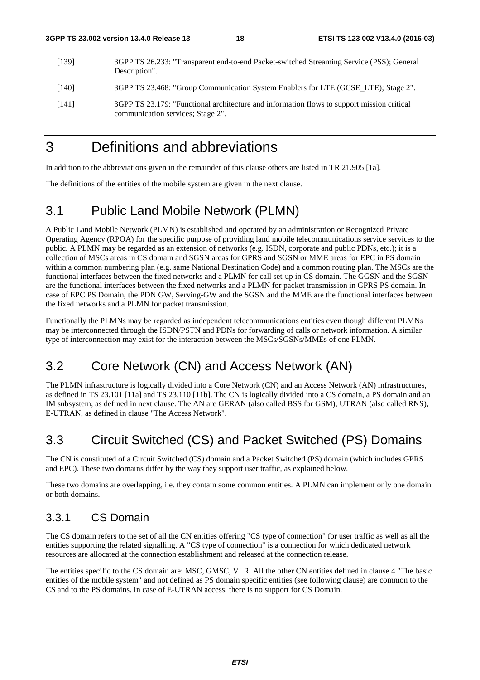| [139] | 3GPP TS 26.233: "Transparent end-to-end Packet-switched Streaming Service (PSS); General<br>Description".                       |
|-------|---------------------------------------------------------------------------------------------------------------------------------|
| [140] | 3GPP TS 23.468: "Group Communication System Enablers for LTE (GCSE LTE); Stage 2".                                              |
| [141] | 3GPP TS 23.179: "Functional architecture and information flows to support mission critical<br>communication services; Stage 2". |

3 Definitions and abbreviations

In addition to the abbreviations given in the remainder of this clause others are listed in TR 21.905 [1a].

The definitions of the entities of the mobile system are given in the next clause.

### 3.1 Public Land Mobile Network (PLMN)

A Public Land Mobile Network (PLMN) is established and operated by an administration or Recognized Private Operating Agency (RPOA) for the specific purpose of providing land mobile telecommunications service services to the public. A PLMN may be regarded as an extension of networks (e.g. ISDN, corporate and public PDNs, etc.); it is a collection of MSCs areas in CS domain and SGSN areas for GPRS and SGSN or MME areas for EPC in PS domain within a common numbering plan (e.g. same National Destination Code) and a common routing plan. The MSCs are the functional interfaces between the fixed networks and a PLMN for call set-up in CS domain. The GGSN and the SGSN are the functional interfaces between the fixed networks and a PLMN for packet transmission in GPRS PS domain. In case of EPC PS Domain, the PDN GW, Serving-GW and the SGSN and the MME are the functional interfaces between the fixed networks and a PLMN for packet transmission.

Functionally the PLMNs may be regarded as independent telecommunications entities even though different PLMNs may be interconnected through the ISDN/PSTN and PDNs for forwarding of calls or network information. A similar type of interconnection may exist for the interaction between the MSCs/SGSNs/MMEs of one PLMN.

# 3.2 Core Network (CN) and Access Network (AN)

The PLMN infrastructure is logically divided into a Core Network (CN) and an Access Network (AN) infrastructures, as defined in TS 23.101 [11a] and TS 23.110 [11b]. The CN is logically divided into a CS domain, a PS domain and an IM subsystem, as defined in next clause. The AN are GERAN (also called BSS for GSM), UTRAN (also called RNS), E-UTRAN, as defined in clause "The Access Network".

# 3.3 Circuit Switched (CS) and Packet Switched (PS) Domains

The CN is constituted of a Circuit Switched (CS) domain and a Packet Switched (PS) domain (which includes GPRS and EPC). These two domains differ by the way they support user traffic, as explained below.

These two domains are overlapping, i.e. they contain some common entities. A PLMN can implement only one domain or both domains.

### 3.3.1 CS Domain

The CS domain refers to the set of all the CN entities offering "CS type of connection" for user traffic as well as all the entities supporting the related signalling. A "CS type of connection" is a connection for which dedicated network resources are allocated at the connection establishment and released at the connection release.

The entities specific to the CS domain are: MSC, GMSC, VLR. All the other CN entities defined in clause 4 "The basic entities of the mobile system" and not defined as PS domain specific entities (see following clause) are common to the CS and to the PS domains. In case of E-UTRAN access, there is no support for CS Domain.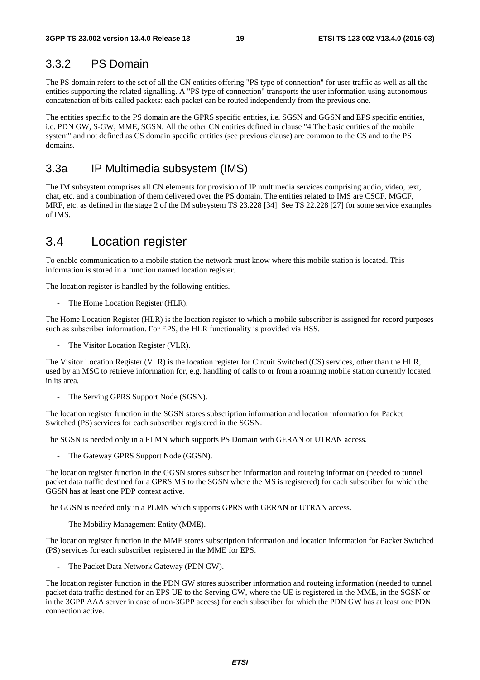### 3.3.2 PS Domain

The PS domain refers to the set of all the CN entities offering "PS type of connection" for user traffic as well as all the entities supporting the related signalling. A "PS type of connection" transports the user information using autonomous concatenation of bits called packets: each packet can be routed independently from the previous one.

The entities specific to the PS domain are the GPRS specific entities, i.e. SGSN and GGSN and EPS specific entities, i.e. PDN GW, S-GW, MME, SGSN. All the other CN entities defined in clause "4 The basic entities of the mobile system" and not defined as CS domain specific entities (see previous clause) are common to the CS and to the PS domains.

### 3.3a IP Multimedia subsystem (IMS)

The IM subsystem comprises all CN elements for provision of IP multimedia services comprising audio, video, text, chat, etc. and a combination of them delivered over the PS domain. The entities related to IMS are CSCF, MGCF, MRF, etc. as defined in the stage 2 of the IM subsystem TS 23.228 [34]. See TS 22.228 [27] for some service examples of IMS.

# 3.4 Location register

To enable communication to a mobile station the network must know where this mobile station is located. This information is stored in a function named location register.

The location register is handled by the following entities.

The Home Location Register (HLR).

The Home Location Register (HLR) is the location register to which a mobile subscriber is assigned for record purposes such as subscriber information. For EPS, the HLR functionality is provided via HSS.

- The Visitor Location Register (VLR).

The Visitor Location Register (VLR) is the location register for Circuit Switched (CS) services, other than the HLR, used by an MSC to retrieve information for, e.g. handling of calls to or from a roaming mobile station currently located in its area.

The Serving GPRS Support Node (SGSN).

The location register function in the SGSN stores subscription information and location information for Packet Switched (PS) services for each subscriber registered in the SGSN.

The SGSN is needed only in a PLMN which supports PS Domain with GERAN or UTRAN access.

The Gateway GPRS Support Node (GGSN).

The location register function in the GGSN stores subscriber information and routeing information (needed to tunnel packet data traffic destined for a GPRS MS to the SGSN where the MS is registered) for each subscriber for which the GGSN has at least one PDP context active.

The GGSN is needed only in a PLMN which supports GPRS with GERAN or UTRAN access.

The Mobility Management Entity (MME).

The location register function in the MME stores subscription information and location information for Packet Switched (PS) services for each subscriber registered in the MME for EPS.

The Packet Data Network Gateway (PDN GW).

The location register function in the PDN GW stores subscriber information and routeing information (needed to tunnel packet data traffic destined for an EPS UE to the Serving GW, where the UE is registered in the MME, in the SGSN or in the 3GPP AAA server in case of non-3GPP access) for each subscriber for which the PDN GW has at least one PDN connection active.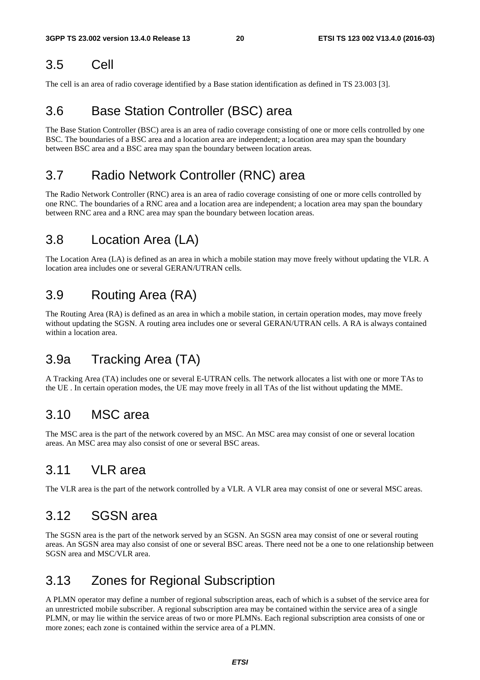# 3.5 Cell

The cell is an area of radio coverage identified by a Base station identification as defined in TS 23.003 [3].

# 3.6 Base Station Controller (BSC) area

The Base Station Controller (BSC) area is an area of radio coverage consisting of one or more cells controlled by one BSC. The boundaries of a BSC area and a location area are independent; a location area may span the boundary between BSC area and a BSC area may span the boundary between location areas.

### 3.7 Radio Network Controller (RNC) area

The Radio Network Controller (RNC) area is an area of radio coverage consisting of one or more cells controlled by one RNC. The boundaries of a RNC area and a location area are independent; a location area may span the boundary between RNC area and a RNC area may span the boundary between location areas.

# 3.8 Location Area (LA)

The Location Area (LA) is defined as an area in which a mobile station may move freely without updating the VLR. A location area includes one or several GERAN/UTRAN cells.

# 3.9 Routing Area (RA)

The Routing Area (RA) is defined as an area in which a mobile station, in certain operation modes, may move freely without updating the SGSN. A routing area includes one or several GERAN/UTRAN cells. A RA is always contained within a location area.

# 3.9a Tracking Area (TA)

A Tracking Area (TA) includes one or several E-UTRAN cells. The network allocates a list with one or more TAs to the UE . In certain operation modes, the UE may move freely in all TAs of the list without updating the MME.

# 3.10 MSC area

The MSC area is the part of the network covered by an MSC. An MSC area may consist of one or several location areas. An MSC area may also consist of one or several BSC areas.

# 3.11 VLR area

The VLR area is the part of the network controlled by a VLR. A VLR area may consist of one or several MSC areas.

### 3.12 SGSN area

The SGSN area is the part of the network served by an SGSN. An SGSN area may consist of one or several routing areas. An SGSN area may also consist of one or several BSC areas. There need not be a one to one relationship between SGSN area and MSC/VLR area.

# 3.13 Zones for Regional Subscription

A PLMN operator may define a number of regional subscription areas, each of which is a subset of the service area for an unrestricted mobile subscriber. A regional subscription area may be contained within the service area of a single PLMN, or may lie within the service areas of two or more PLMNs. Each regional subscription area consists of one or more zones; each zone is contained within the service area of a PLMN.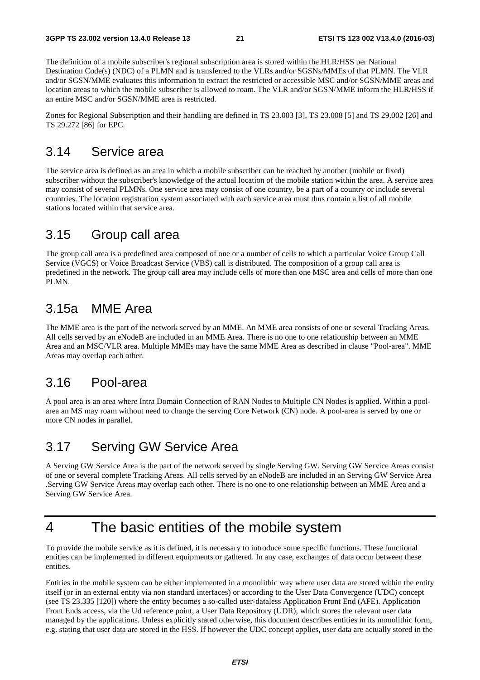The definition of a mobile subscriber's regional subscription area is stored within the HLR/HSS per National Destination Code(s) (NDC) of a PLMN and is transferred to the VLRs and/or SGSNs/MMEs of that PLMN. The VLR and/or SGSN/MME evaluates this information to extract the restricted or accessible MSC and/or SGSN/MME areas and location areas to which the mobile subscriber is allowed to roam. The VLR and/or SGSN/MME inform the HLR/HSS if an entire MSC and/or SGSN/MME area is restricted.

Zones for Regional Subscription and their handling are defined in TS 23.003 [3], TS 23.008 [5] and TS 29.002 [26] and TS 29.272 [86] for EPC.

### 3.14 Service area

The service area is defined as an area in which a mobile subscriber can be reached by another (mobile or fixed) subscriber without the subscriber's knowledge of the actual location of the mobile station within the area. A service area may consist of several PLMNs. One service area may consist of one country, be a part of a country or include several countries. The location registration system associated with each service area must thus contain a list of all mobile stations located within that service area.

### 3.15 Group call area

The group call area is a predefined area composed of one or a number of cells to which a particular Voice Group Call Service (VGCS) or Voice Broadcast Service (VBS) call is distributed. The composition of a group call area is predefined in the network. The group call area may include cells of more than one MSC area and cells of more than one PLMN.

### 3.15a MME Area

The MME area is the part of the network served by an MME. An MME area consists of one or several Tracking Areas. All cells served by an eNodeB are included in an MME Area. There is no one to one relationship between an MME Area and an MSC/VLR area. Multiple MMEs may have the same MME Area as described in clause "Pool-area". MME Areas may overlap each other.

### 3.16 Pool-area

A pool area is an area where Intra Domain Connection of RAN Nodes to Multiple CN Nodes is applied. Within a poolarea an MS may roam without need to change the serving Core Network (CN) node. A pool-area is served by one or more CN nodes in parallel.

### 3.17 Serving GW Service Area

A Serving GW Service Area is the part of the network served by single Serving GW. Serving GW Service Areas consist of one or several complete Tracking Areas. All cells served by an eNodeB are included in an Serving GW Service Area .Serving GW Service Areas may overlap each other. There is no one to one relationship between an MME Area and a Serving GW Service Area.

# 4 The basic entities of the mobile system

To provide the mobile service as it is defined, it is necessary to introduce some specific functions. These functional entities can be implemented in different equipments or gathered. In any case, exchanges of data occur between these entities.

Entities in the mobile system can be either implemented in a monolithic way where user data are stored within the entity itself (or in an external entity via non standard interfaces) or according to the User Data Convergence (UDC) concept (see TS 23.335 [120]) where the entity becomes a so-called user-dataless Application Front End (AFE). Application Front Ends access, via the Ud reference point, a User Data Repository (UDR), which stores the relevant user data managed by the applications. Unless explicitly stated otherwise, this document describes entities in its monolithic form, e.g. stating that user data are stored in the HSS. If however the UDC concept applies, user data are actually stored in the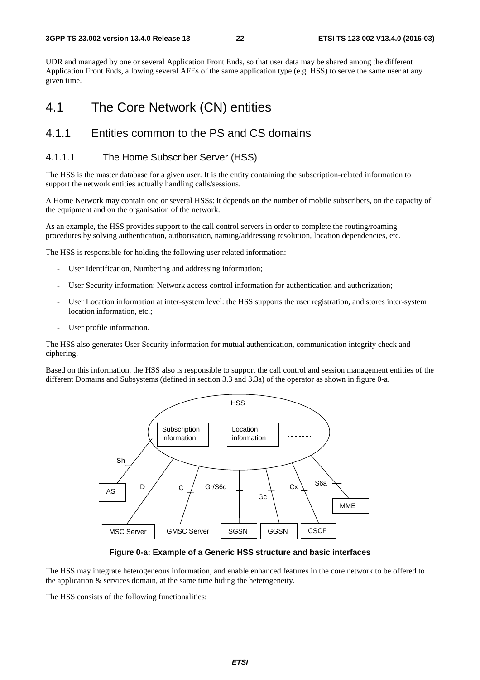#### **3GPP TS 23.002 version 13.4.0 Release 13 22 ETSI TS 123 002 V13.4.0 (2016-03)**

UDR and managed by one or several Application Front Ends, so that user data may be shared among the different Application Front Ends, allowing several AFEs of the same application type (e.g. HSS) to serve the same user at any given time.

### 4.1 The Core Network (CN) entities

### 4.1.1 Entities common to the PS and CS domains

#### 4.1.1.1 The Home Subscriber Server (HSS)

The HSS is the master database for a given user. It is the entity containing the subscription-related information to support the network entities actually handling calls/sessions.

A Home Network may contain one or several HSSs: it depends on the number of mobile subscribers, on the capacity of the equipment and on the organisation of the network.

As an example, the HSS provides support to the call control servers in order to complete the routing/roaming procedures by solving authentication, authorisation, naming/addressing resolution, location dependencies, etc.

The HSS is responsible for holding the following user related information:

- User Identification, Numbering and addressing information;
- User Security information: Network access control information for authentication and authorization;
- User Location information at inter-system level: the HSS supports the user registration, and stores inter-system location information, etc.;
- User profile information.

The HSS also generates User Security information for mutual authentication, communication integrity check and ciphering.

Based on this information, the HSS also is responsible to support the call control and session management entities of the different Domains and Subsystems (defined in section 3.3 and 3.3a) of the operator as shown in figure 0-a.



**Figure 0-a: Example of a Generic HSS structure and basic interfaces** 

The HSS may integrate heterogeneous information, and enable enhanced features in the core network to be offered to the application & services domain, at the same time hiding the heterogeneity.

The HSS consists of the following functionalities: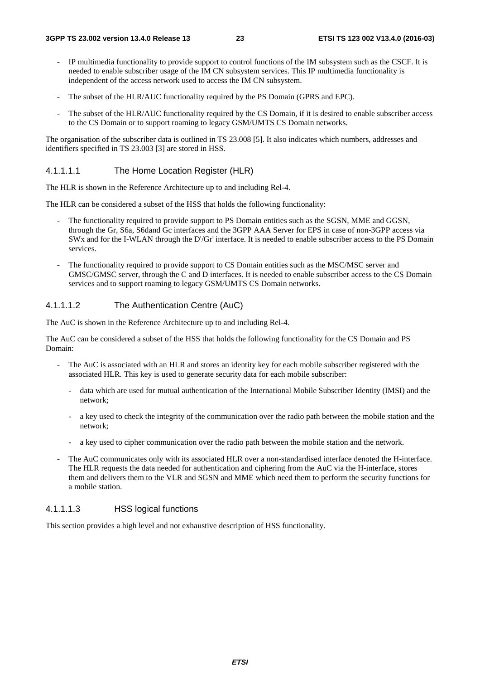- IP multimedia functionality to provide support to control functions of the IM subsystem such as the CSCF. It is needed to enable subscriber usage of the IM CN subsystem services. This IP multimedia functionality is independent of the access network used to access the IM CN subsystem.
- The subset of the HLR/AUC functionality required by the PS Domain (GPRS and EPC).
- The subset of the HLR/AUC functionality required by the CS Domain, if it is desired to enable subscriber access to the CS Domain or to support roaming to legacy GSM/UMTS CS Domain networks.

The organisation of the subscriber data is outlined in TS 23.008 [5]. It also indicates which numbers, addresses and identifiers specified in TS 23.003 [3] are stored in HSS.

#### 4.1.1.1.1 The Home Location Register (HLR)

The HLR is shown in the Reference Architecture up to and including Rel-4.

The HLR can be considered a subset of the HSS that holds the following functionality:

- The functionality required to provide support to PS Domain entities such as the SGSN, MME and GGSN, through the Gr, S6a, S6dand Gc interfaces and the 3GPP AAA Server for EPS in case of non-3GPP access via SWx and for the I-WLAN through the D'/Gr' interface. It is needed to enable subscriber access to the PS Domain services.
- The functionality required to provide support to CS Domain entities such as the MSC/MSC server and GMSC/GMSC server, through the C and D interfaces. It is needed to enable subscriber access to the CS Domain services and to support roaming to legacy GSM/UMTS CS Domain networks.

#### 4.1.1.1.2 The Authentication Centre (AuC)

The AuC is shown in the Reference Architecture up to and including Rel-4.

The AuC can be considered a subset of the HSS that holds the following functionality for the CS Domain and PS Domain:

- The AuC is associated with an HLR and stores an identity key for each mobile subscriber registered with the associated HLR. This key is used to generate security data for each mobile subscriber:
	- data which are used for mutual authentication of the International Mobile Subscriber Identity (IMSI) and the network;
	- a key used to check the integrity of the communication over the radio path between the mobile station and the network;
	- a key used to cipher communication over the radio path between the mobile station and the network.
- The AuC communicates only with its associated HLR over a non-standardised interface denoted the H-interface. The HLR requests the data needed for authentication and ciphering from the AuC via the H-interface, stores them and delivers them to the VLR and SGSN and MME which need them to perform the security functions for a mobile station.

#### 4.1.1.1.3 HSS logical functions

This section provides a high level and not exhaustive description of HSS functionality.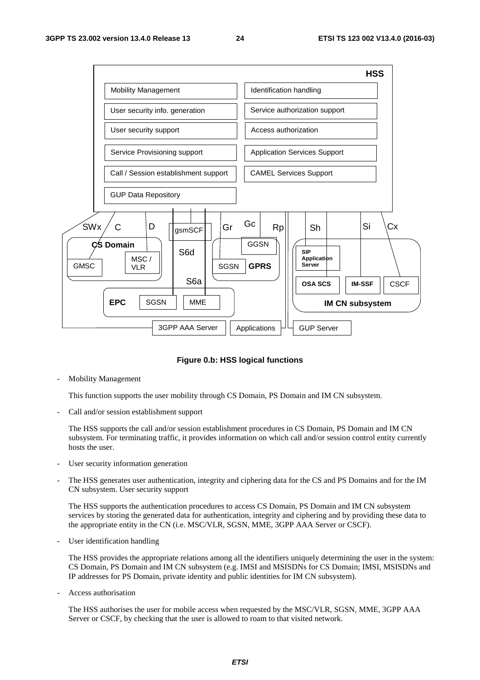

#### **Figure 0.b: HSS logical functions**

Mobility Management

This function supports the user mobility through CS Domain, PS Domain and IM CN subsystem.

- Call and/or session establishment support

 The HSS supports the call and/or session establishment procedures in CS Domain, PS Domain and IM CN subsystem. For terminating traffic, it provides information on which call and/or session control entity currently hosts the user.

- User security information generation
- The HSS generates user authentication, integrity and ciphering data for the CS and PS Domains and for the IM CN subsystem. User security support

 The HSS supports the authentication procedures to access CS Domain, PS Domain and IM CN subsystem services by storing the generated data for authentication, integrity and ciphering and by providing these data to the appropriate entity in the CN (i.e. MSC/VLR, SGSN, MME, 3GPP AAA Server or CSCF).

User identification handling

 The HSS provides the appropriate relations among all the identifiers uniquely determining the user in the system: CS Domain, PS Domain and IM CN subsystem (e.g. IMSI and MSISDNs for CS Domain; IMSI, MSISDNs and IP addresses for PS Domain, private identity and public identities for IM CN subsystem).

- Access authorisation

 The HSS authorises the user for mobile access when requested by the MSC/VLR, SGSN, MME, 3GPP AAA Server or CSCF, by checking that the user is allowed to roam to that visited network.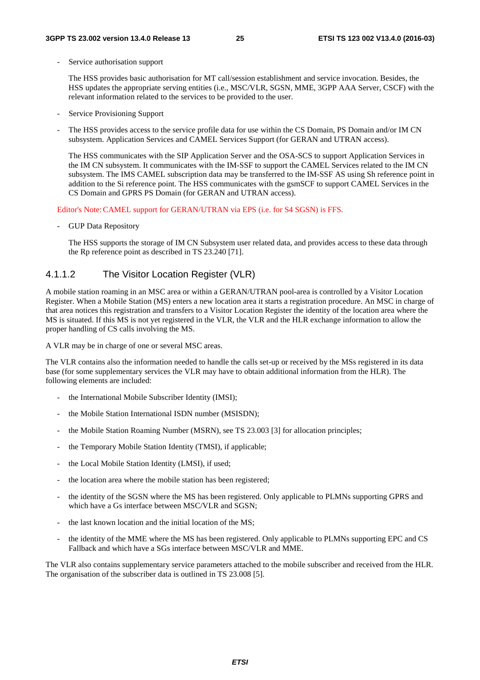Service authorisation support

 The HSS provides basic authorisation for MT call/session establishment and service invocation. Besides, the HSS updates the appropriate serving entities (i.e., MSC/VLR, SGSN, MME, 3GPP AAA Server, CSCF) with the relevant information related to the services to be provided to the user.

- Service Provisioning Support
- The HSS provides access to the service profile data for use within the CS Domain, PS Domain and/or IM CN subsystem. Application Services and CAMEL Services Support (for GERAN and UTRAN access).

 The HSS communicates with the SIP Application Server and the OSA-SCS to support Application Services in the IM CN subsystem. It communicates with the IM-SSF to support the CAMEL Services related to the IM CN subsystem. The IMS CAMEL subscription data may be transferred to the IM-SSF AS using Sh reference point in addition to the Si reference point. The HSS communicates with the gsmSCF to support CAMEL Services in the CS Domain and GPRS PS Domain (for GERAN and UTRAN access).

Editor's Note: CAMEL support for GERAN/UTRAN via EPS (i.e. for S4 SGSN) is FFS.

- GUP Data Repository

 The HSS supports the storage of IM CN Subsystem user related data, and provides access to these data through the Rp reference point as described in TS 23.240 [71].

#### 4.1.1.2 The Visitor Location Register (VLR)

A mobile station roaming in an MSC area or within a GERAN/UTRAN pool-area is controlled by a Visitor Location Register. When a Mobile Station (MS) enters a new location area it starts a registration procedure. An MSC in charge of that area notices this registration and transfers to a Visitor Location Register the identity of the location area where the MS is situated. If this MS is not yet registered in the VLR, the VLR and the HLR exchange information to allow the proper handling of CS calls involving the MS.

A VLR may be in charge of one or several MSC areas.

The VLR contains also the information needed to handle the calls set-up or received by the MSs registered in its data base (for some supplementary services the VLR may have to obtain additional information from the HLR). The following elements are included:

- the International Mobile Subscriber Identity (IMSI);
- the Mobile Station International ISDN number (MSISDN);
- the Mobile Station Roaming Number (MSRN), see TS 23.003 [3] for allocation principles;
- the Temporary Mobile Station Identity (TMSI), if applicable;
- the Local Mobile Station Identity (LMSI), if used;
- the location area where the mobile station has been registered;
- the identity of the SGSN where the MS has been registered. Only applicable to PLMNs supporting GPRS and which have a Gs interface between MSC/VLR and SGSN:
- the last known location and the initial location of the MS;
- the identity of the MME where the MS has been registered. Only applicable to PLMNs supporting EPC and CS Fallback and which have a SGs interface between MSC/VLR and MME.

The VLR also contains supplementary service parameters attached to the mobile subscriber and received from the HLR. The organisation of the subscriber data is outlined in TS 23.008 [5].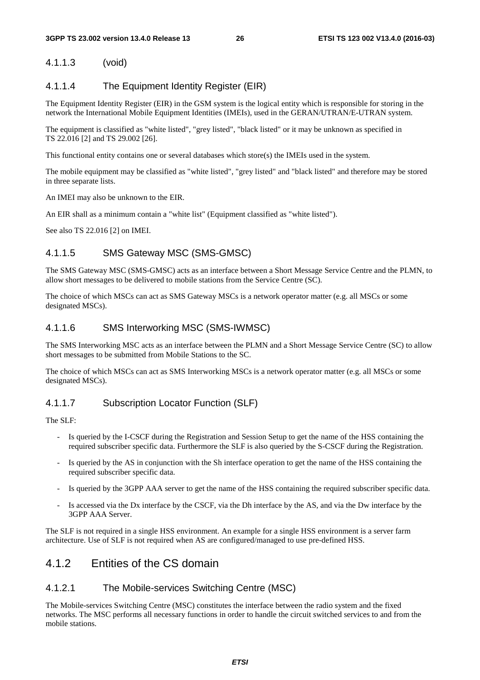#### 4.1.1.3 (void)

#### 4.1.1.4 The Equipment Identity Register (EIR)

The Equipment Identity Register (EIR) in the GSM system is the logical entity which is responsible for storing in the network the International Mobile Equipment Identities (IMEIs), used in the GERAN/UTRAN/E-UTRAN system.

The equipment is classified as "white listed", "grey listed", "black listed" or it may be unknown as specified in TS 22.016 [2] and TS 29.002 [26].

This functional entity contains one or several databases which store(s) the IMEIs used in the system.

The mobile equipment may be classified as "white listed", "grey listed" and "black listed" and therefore may be stored in three separate lists.

An IMEI may also be unknown to the EIR.

An EIR shall as a minimum contain a "white list" (Equipment classified as "white listed").

See also TS 22.016 [2] on IMEI.

#### 4.1.1.5 SMS Gateway MSC (SMS-GMSC)

The SMS Gateway MSC (SMS-GMSC) acts as an interface between a Short Message Service Centre and the PLMN, to allow short messages to be delivered to mobile stations from the Service Centre (SC).

The choice of which MSCs can act as SMS Gateway MSCs is a network operator matter (e.g. all MSCs or some designated MSCs).

#### 4.1.1.6 SMS Interworking MSC (SMS-IWMSC)

The SMS Interworking MSC acts as an interface between the PLMN and a Short Message Service Centre (SC) to allow short messages to be submitted from Mobile Stations to the SC.

The choice of which MSCs can act as SMS Interworking MSCs is a network operator matter (e.g. all MSCs or some designated MSCs).

#### 4.1.1.7 Subscription Locator Function (SLF)

The SLF:

- Is queried by the I-CSCF during the Registration and Session Setup to get the name of the HSS containing the required subscriber specific data. Furthermore the SLF is also queried by the S-CSCF during the Registration.
- Is queried by the AS in conjunction with the Sh interface operation to get the name of the HSS containing the required subscriber specific data.
- Is queried by the 3GPP AAA server to get the name of the HSS containing the required subscriber specific data.
- Is accessed via the Dx interface by the CSCF, via the Dh interface by the AS, and via the Dw interface by the 3GPP AAA Server.

The SLF is not required in a single HSS environment. An example for a single HSS environment is a server farm architecture. Use of SLF is not required when AS are configured/managed to use pre-defined HSS.

### 4.1.2 Entities of the CS domain

#### 4.1.2.1 The Mobile-services Switching Centre (MSC)

The Mobile-services Switching Centre (MSC) constitutes the interface between the radio system and the fixed networks. The MSC performs all necessary functions in order to handle the circuit switched services to and from the mobile stations.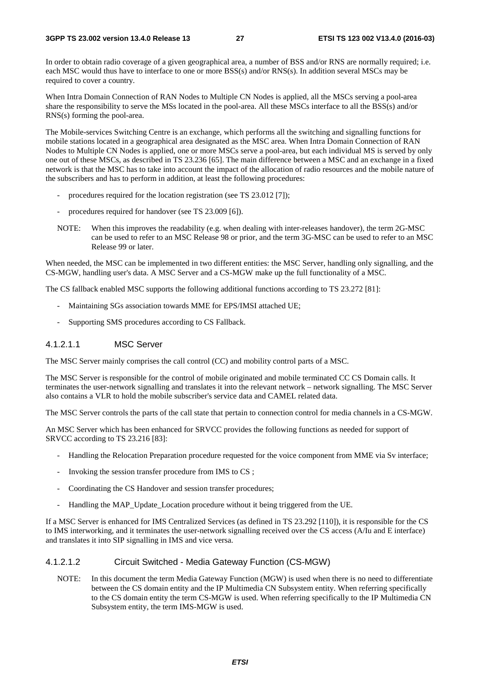In order to obtain radio coverage of a given geographical area, a number of BSS and/or RNS are normally required; i.e. each MSC would thus have to interface to one or more BSS(s) and/or RNS(s). In addition several MSCs may be required to cover a country.

When Intra Domain Connection of RAN Nodes to Multiple CN Nodes is applied, all the MSCs serving a pool-area share the responsibility to serve the MSs located in the pool-area. All these MSCs interface to all the BSS(s) and/or RNS(s) forming the pool-area.

The Mobile-services Switching Centre is an exchange, which performs all the switching and signalling functions for mobile stations located in a geographical area designated as the MSC area. When Intra Domain Connection of RAN Nodes to Multiple CN Nodes is applied, one or more MSCs serve a pool-area, but each individual MS is served by only one out of these MSCs, as described in TS 23.236 [65]. The main difference between a MSC and an exchange in a fixed network is that the MSC has to take into account the impact of the allocation of radio resources and the mobile nature of the subscribers and has to perform in addition, at least the following procedures:

- procedures required for the location registration (see TS 23.012 [7]);
- procedures required for handover (see TS 23.009 [6]).
- NOTE: When this improves the readability (e.g. when dealing with inter-releases handover), the term 2G-MSC can be used to refer to an MSC Release 98 or prior, and the term 3G-MSC can be used to refer to an MSC Release 99 or later.

When needed, the MSC can be implemented in two different entities: the MSC Server, handling only signalling, and the CS-MGW, handling user's data. A MSC Server and a CS-MGW make up the full functionality of a MSC.

The CS fallback enabled MSC supports the following additional functions according to TS 23.272 [81]:

- Maintaining SGs association towards MME for EPS/IMSI attached UE;
- Supporting SMS procedures according to CS Fallback.

#### 4.1.2.1.1 MSC Server

The MSC Server mainly comprises the call control (CC) and mobility control parts of a MSC.

The MSC Server is responsible for the control of mobile originated and mobile terminated CC CS Domain calls. It terminates the user-network signalling and translates it into the relevant network – network signalling. The MSC Server also contains a VLR to hold the mobile subscriber's service data and CAMEL related data.

The MSC Server controls the parts of the call state that pertain to connection control for media channels in a CS-MGW.

An MSC Server which has been enhanced for SRVCC provides the following functions as needed for support of SRVCC according to TS 23.216 [83]:

- Handling the Relocation Preparation procedure requested for the voice component from MME via Sv interface;
- Invoking the session transfer procedure from IMS to CS;
- Coordinating the CS Handover and session transfer procedures;
- Handling the MAP\_Update\_Location procedure without it being triggered from the UE.

If a MSC Server is enhanced for IMS Centralized Services (as defined in TS 23.292 [110]), it is responsible for the CS to IMS interworking, and it terminates the user-network signalling received over the CS access (A/Iu and E interface) and translates it into SIP signalling in IMS and vice versa.

#### 4.1.2.1.2 Circuit Switched - Media Gateway Function (CS-MGW)

NOTE: In this document the term Media Gateway Function (MGW) is used when there is no need to differentiate between the CS domain entity and the IP Multimedia CN Subsystem entity. When referring specifically to the CS domain entity the term CS-MGW is used. When referring specifically to the IP Multimedia CN Subsystem entity, the term IMS-MGW is used.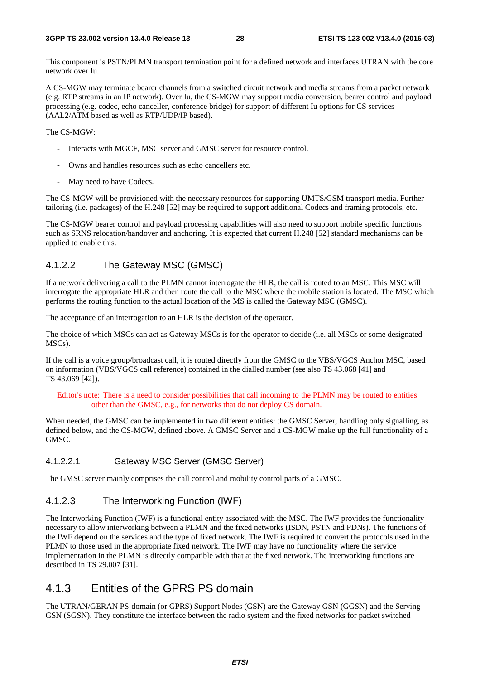This component is PSTN/PLMN transport termination point for a defined network and interfaces UTRAN with the core network over Iu.

A CS-MGW may terminate bearer channels from a switched circuit network and media streams from a packet network (e.g. RTP streams in an IP network). Over Iu, the CS-MGW may support media conversion, bearer control and payload processing (e.g. codec, echo canceller, conference bridge) for support of different Iu options for CS services (AAL2/ATM based as well as RTP/UDP/IP based).

The CS-MGW:

- Interacts with MGCF, MSC server and GMSC server for resource control.
- Owns and handles resources such as echo cancellers etc.
- May need to have Codecs.

The CS-MGW will be provisioned with the necessary resources for supporting UMTS/GSM transport media. Further tailoring (i.e. packages) of the H.248 [52] may be required to support additional Codecs and framing protocols, etc.

The CS-MGW bearer control and payload processing capabilities will also need to support mobile specific functions such as SRNS relocation/handover and anchoring. It is expected that current H.248 [52] standard mechanisms can be applied to enable this.

#### 4.1.2.2 The Gateway MSC (GMSC)

If a network delivering a call to the PLMN cannot interrogate the HLR, the call is routed to an MSC. This MSC will interrogate the appropriate HLR and then route the call to the MSC where the mobile station is located. The MSC which performs the routing function to the actual location of the MS is called the Gateway MSC (GMSC).

The acceptance of an interrogation to an HLR is the decision of the operator.

The choice of which MSCs can act as Gateway MSCs is for the operator to decide (i.e. all MSCs or some designated MSCs).

If the call is a voice group/broadcast call, it is routed directly from the GMSC to the VBS/VGCS Anchor MSC, based on information (VBS/VGCS call reference) contained in the dialled number (see also TS 43.068 [41] and TS 43.069 [42]).

Editor's note: There is a need to consider possibilities that call incoming to the PLMN may be routed to entities other than the GMSC, e.g., for networks that do not deploy CS domain.

When needed, the GMSC can be implemented in two different entities: the GMSC Server, handling only signalling, as defined below, and the CS-MGW, defined above. A GMSC Server and a CS-MGW make up the full functionality of a GMSC.

#### 4.1.2.2.1 Gateway MSC Server (GMSC Server)

The GMSC server mainly comprises the call control and mobility control parts of a GMSC.

#### 4.1.2.3 The Interworking Function (IWF)

The Interworking Function (IWF) is a functional entity associated with the MSC. The IWF provides the functionality necessary to allow interworking between a PLMN and the fixed networks (ISDN, PSTN and PDNs). The functions of the IWF depend on the services and the type of fixed network. The IWF is required to convert the protocols used in the PLMN to those used in the appropriate fixed network. The IWF may have no functionality where the service implementation in the PLMN is directly compatible with that at the fixed network. The interworking functions are described in TS 29.007 [31].

### 4.1.3 Entities of the GPRS PS domain

The UTRAN/GERAN PS-domain (or GPRS) Support Nodes (GSN) are the Gateway GSN (GGSN) and the Serving GSN (SGSN). They constitute the interface between the radio system and the fixed networks for packet switched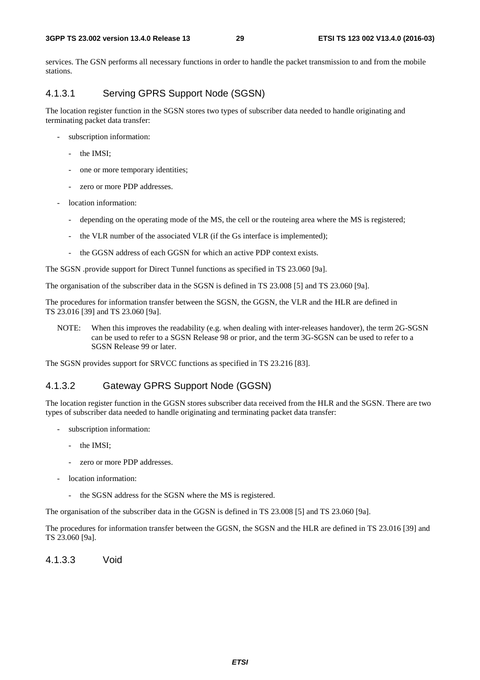services. The GSN performs all necessary functions in order to handle the packet transmission to and from the mobile stations.

#### 4.1.3.1 Serving GPRS Support Node (SGSN)

The location register function in the SGSN stores two types of subscriber data needed to handle originating and terminating packet data transfer:

- subscription information:
	- the IMSI;
	- one or more temporary identities;
	- zero or more PDP addresses.
- location information:
	- depending on the operating mode of the MS, the cell or the routeing area where the MS is registered;
	- the VLR number of the associated VLR (if the Gs interface is implemented):
	- the GGSN address of each GGSN for which an active PDP context exists.

The SGSN .provide support for Direct Tunnel functions as specified in TS 23.060 [9a].

The organisation of the subscriber data in the SGSN is defined in TS 23.008 [5] and TS 23.060 [9a].

The procedures for information transfer between the SGSN, the GGSN, the VLR and the HLR are defined in TS 23.016 [39] and TS 23.060 [9a].

NOTE: When this improves the readability (e.g. when dealing with inter-releases handover), the term 2G-SGSN can be used to refer to a SGSN Release 98 or prior, and the term 3G-SGSN can be used to refer to a SGSN Release 99 or later.

The SGSN provides support for SRVCC functions as specified in TS 23.216 [83].

#### 4.1.3.2 Gateway GPRS Support Node (GGSN)

The location register function in the GGSN stores subscriber data received from the HLR and the SGSN. There are two types of subscriber data needed to handle originating and terminating packet data transfer:

- subscription information:
	- the IMSI:
	- zero or more PDP addresses
- location information:
	- the SGSN address for the SGSN where the MS is registered.

The organisation of the subscriber data in the GGSN is defined in TS 23.008 [5] and TS 23.060 [9a].

The procedures for information transfer between the GGSN, the SGSN and the HLR are defined in TS 23.016 [39] and TS 23.060 [9a].

4.1.3.3 Void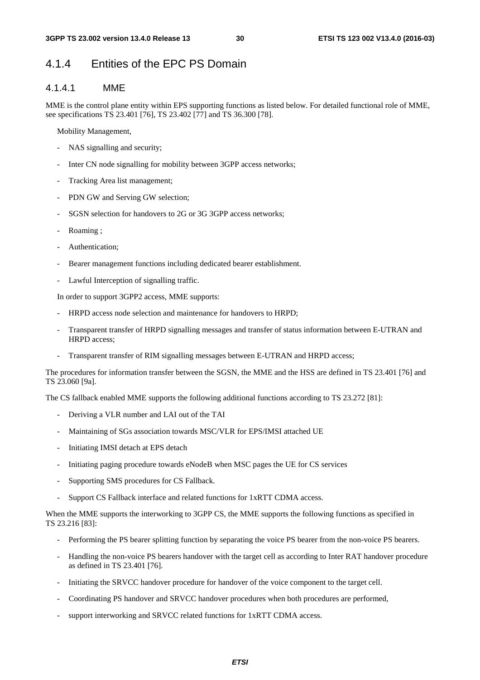### 4.1.4 Entities of the EPC PS Domain

#### 4.1.4.1 MME

MME is the control plane entity within EPS supporting functions as listed below. For detailed functional role of MME, see specifications TS 23.401 [76], TS 23.402 [77] and TS 36.300 [78].

Mobility Management,

- NAS signalling and security:
- Inter CN node signalling for mobility between 3GPP access networks;
- Tracking Area list management;
- PDN GW and Serving GW selection;
- SGSN selection for handovers to 2G or 3G 3GPP access networks;
- Roaming ;
- Authentication;
- Bearer management functions including dedicated bearer establishment.
- Lawful Interception of signalling traffic.

In order to support 3GPP2 access, MME supports:

- HRPD access node selection and maintenance for handovers to HRPD;
- Transparent transfer of HRPD signalling messages and transfer of status information between E-UTRAN and HRPD access;
- Transparent transfer of RIM signalling messages between E-UTRAN and HRPD access;

The procedures for information transfer between the SGSN, the MME and the HSS are defined in TS 23.401 [76] and TS 23.060 [9a].

The CS fallback enabled MME supports the following additional functions according to TS 23.272 [81]:

- Deriving a VLR number and LAI out of the TAI
- Maintaining of SGs association towards MSC/VLR for EPS/IMSI attached UE
- Initiating IMSI detach at EPS detach
- Initiating paging procedure towards eNodeB when MSC pages the UE for CS services
- Supporting SMS procedures for CS Fallback.
- Support CS Fallback interface and related functions for 1xRTT CDMA access.

When the MME supports the interworking to 3GPP CS, the MME supports the following functions as specified in TS 23.216 [83]:

- Performing the PS bearer splitting function by separating the voice PS bearer from the non-voice PS bearers.
- Handling the non-voice PS bearers handover with the target cell as according to Inter RAT handover procedure as defined in TS 23.401 [76].
- Initiating the SRVCC handover procedure for handover of the voice component to the target cell.
- Coordinating PS handover and SRVCC handover procedures when both procedures are performed,
- support interworking and SRVCC related functions for 1xRTT CDMA access.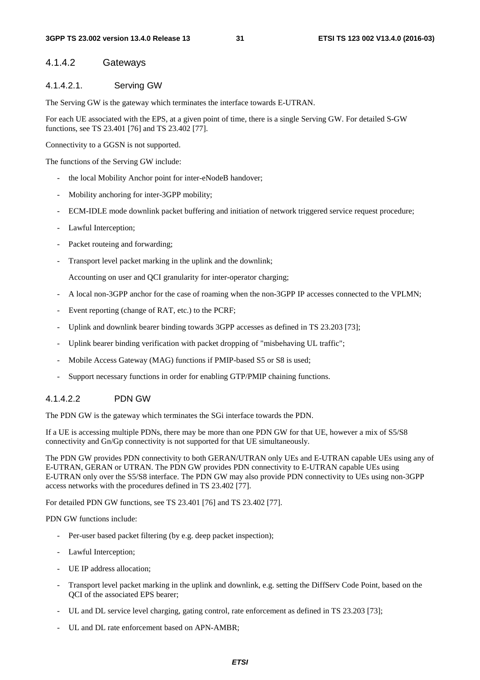#### 4.1.4.2 Gateways

#### 4.1.4.2.1. Serving GW

The Serving GW is the gateway which terminates the interface towards E-UTRAN.

For each UE associated with the EPS, at a given point of time, there is a single Serving GW. For detailed S-GW functions, see TS 23.401 [76] and TS 23.402 [77].

Connectivity to a GGSN is not supported.

The functions of the Serving GW include:

- the local Mobility Anchor point for inter-eNodeB handover;
- Mobility anchoring for inter-3GPP mobility;
- ECM-IDLE mode downlink packet buffering and initiation of network triggered service request procedure;
- Lawful Interception;
- Packet routeing and forwarding;
- Transport level packet marking in the uplink and the downlink;

Accounting on user and QCI granularity for inter-operator charging;

- A local non-3GPP anchor for the case of roaming when the non-3GPP IP accesses connected to the VPLMN;
- Event reporting (change of RAT, etc.) to the PCRF;
- Uplink and downlink bearer binding towards 3GPP accesses as defined in TS 23.203 [73];
- Uplink bearer binding verification with packet dropping of "misbehaving UL traffic";
- Mobile Access Gateway (MAG) functions if PMIP-based S5 or S8 is used;
- Support necessary functions in order for enabling GTP/PMIP chaining functions.

#### 4.1.4.2.2 PDN GW

The PDN GW is the gateway which terminates the SGi interface towards the PDN.

If a UE is accessing multiple PDNs, there may be more than one PDN GW for that UE, however a mix of S5/S8 connectivity and Gn/Gp connectivity is not supported for that UE simultaneously.

The PDN GW provides PDN connectivity to both GERAN/UTRAN only UEs and E-UTRAN capable UEs using any of E-UTRAN, GERAN or UTRAN. The PDN GW provides PDN connectivity to E-UTRAN capable UEs using E-UTRAN only over the S5/S8 interface. The PDN GW may also provide PDN connectivity to UEs using non-3GPP access networks with the procedures defined in TS 23.402 [77].

For detailed PDN GW functions, see TS 23.401 [76] and TS 23.402 [77].

PDN GW functions include:

- Per-user based packet filtering (by e.g. deep packet inspection);
- Lawful Interception;
- UE IP address allocation;
- Transport level packet marking in the uplink and downlink, e.g. setting the DiffServ Code Point, based on the QCI of the associated EPS bearer;
- UL and DL service level charging, gating control, rate enforcement as defined in TS 23.203 [73];
- UL and DL rate enforcement based on APN-AMBR;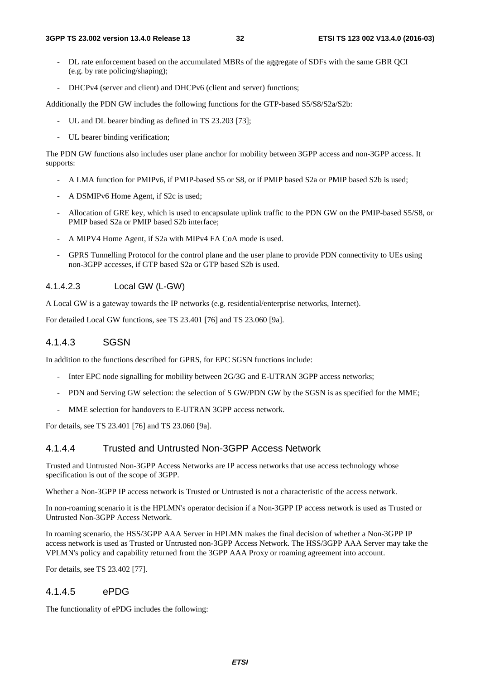- DL rate enforcement based on the accumulated MBRs of the aggregate of SDFs with the same GBR QCI (e.g. by rate policing/shaping);
- DHCPv4 (server and client) and DHCPv6 (client and server) functions;

Additionally the PDN GW includes the following functions for the GTP-based S5/S8/S2a/S2b:

- UL and DL bearer binding as defined in TS 23.203 [73];
- UL bearer binding verification;

The PDN GW functions also includes user plane anchor for mobility between 3GPP access and non-3GPP access. It supports:

- A LMA function for PMIPv6, if PMIP-based S5 or S8, or if PMIP based S2a or PMIP based S2b is used;
- A DSMIPv6 Home Agent, if S2c is used;
- Allocation of GRE key, which is used to encapsulate uplink traffic to the PDN GW on the PMIP-based S5/S8, or PMIP based S2a or PMIP based S2b interface;
- A MIPV4 Home Agent, if S2a with MIPv4 FA CoA mode is used.
- GPRS Tunnelling Protocol for the control plane and the user plane to provide PDN connectivity to UEs using non-3GPP accesses, if GTP based S2a or GTP based S2b is used.

#### 4.1.4.2.3 Local GW (L-GW)

A Local GW is a gateway towards the IP networks (e.g. residential/enterprise networks, Internet).

For detailed Local GW functions, see TS 23.401 [76] and TS 23.060 [9a].

#### 4.1.4.3 SGSN

In addition to the functions described for GPRS, for EPC SGSN functions include:

- Inter EPC node signalling for mobility between 2G/3G and E-UTRAN 3GPP access networks;
- PDN and Serving GW selection: the selection of S GW/PDN GW by the SGSN is as specified for the MME;
- MME selection for handovers to E-UTRAN 3GPP access network.

For details, see TS 23.401 [76] and TS 23.060 [9a].

#### 4.1.4.4 Trusted and Untrusted Non-3GPP Access Network

Trusted and Untrusted Non-3GPP Access Networks are IP access networks that use access technology whose specification is out of the scope of 3GPP.

Whether a Non-3GPP IP access network is Trusted or Untrusted is not a characteristic of the access network.

In non-roaming scenario it is the HPLMN's operator decision if a Non-3GPP IP access network is used as Trusted or Untrusted Non-3GPP Access Network.

In roaming scenario, the HSS/3GPP AAA Server in HPLMN makes the final decision of whether a Non-3GPP IP access network is used as Trusted or Untrusted non-3GPP Access Network. The HSS/3GPP AAA Server may take the VPLMN's policy and capability returned from the 3GPP AAA Proxy or roaming agreement into account.

For details, see TS 23.402 [77].

#### 4.1.4.5 ePDG

The functionality of ePDG includes the following: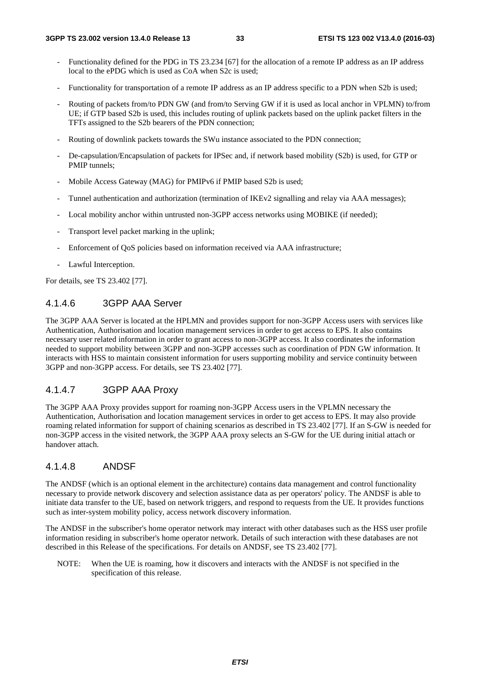- Functionality defined for the PDG in TS 23.234 [67] for the allocation of a remote IP address as an IP address local to the ePDG which is used as CoA when S2c is used;
- Functionality for transportation of a remote IP address as an IP address specific to a PDN when S2b is used;
- Routing of packets from/to PDN GW (and from/to Serving GW if it is used as local anchor in VPLMN) to/from UE; if GTP based S2b is used, this includes routing of uplink packets based on the uplink packet filters in the TFTs assigned to the S2b bearers of the PDN connection;
- Routing of downlink packets towards the SWu instance associated to the PDN connection;
- De-capsulation/Encapsulation of packets for IPSec and, if network based mobility (S2b) is used, for GTP or PMIP tunnels;
- Mobile Access Gateway (MAG) for PMIPv6 if PMIP based S2b is used;
- Tunnel authentication and authorization (termination of IKEv2 signalling and relay via AAA messages);
- Local mobility anchor within untrusted non-3GPP access networks using MOBIKE (if needed);
- Transport level packet marking in the uplink;
- Enforcement of QoS policies based on information received via AAA infrastructure;
- Lawful Interception.

For details, see TS 23.402 [77].

### 4.1.4.6 3GPP AAA Server

The 3GPP AAA Server is located at the HPLMN and provides support for non-3GPP Access users with services like Authentication, Authorisation and location management services in order to get access to EPS. It also contains necessary user related information in order to grant access to non-3GPP access. It also coordinates the information needed to support mobility between 3GPP and non-3GPP accesses such as coordination of PDN GW information. It interacts with HSS to maintain consistent information for users supporting mobility and service continuity between 3GPP and non-3GPP access. For details, see TS 23.402 [77].

### 4.1.4.7 3GPP AAA Proxy

The 3GPP AAA Proxy provides support for roaming non-3GPP Access users in the VPLMN necessary the Authentication, Authorisation and location management services in order to get access to EPS. It may also provide roaming related information for support of chaining scenarios as described in TS 23.402 [77]. If an S-GW is needed for non-3GPP access in the visited network, the 3GPP AAA proxy selects an S-GW for the UE during initial attach or handover attach.

### 4.1.4.8 ANDSF

The ANDSF (which is an optional element in the architecture) contains data management and control functionality necessary to provide network discovery and selection assistance data as per operators' policy. The ANDSF is able to initiate data transfer to the UE, based on network triggers, and respond to requests from the UE. It provides functions such as inter-system mobility policy, access network discovery information.

The ANDSF in the subscriber's home operator network may interact with other databases such as the HSS user profile information residing in subscriber's home operator network. Details of such interaction with these databases are not described in this Release of the specifications. For details on ANDSF, see TS 23.402 [77].

NOTE: When the UE is roaming, how it discovers and interacts with the ANDSF is not specified in the specification of this release.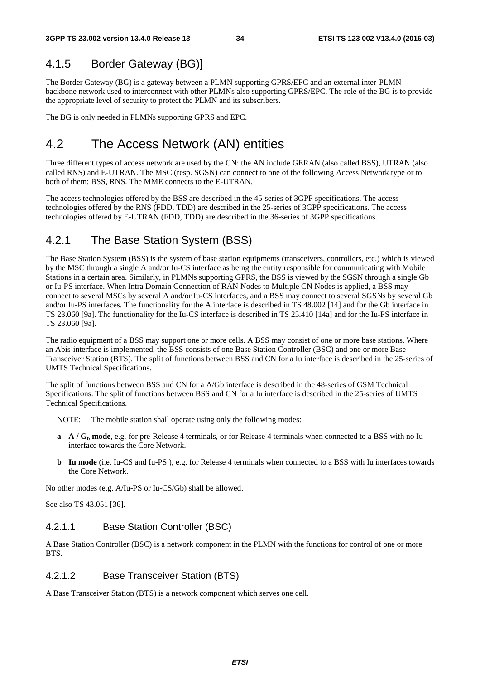### 4.1.5 Border Gateway (BG)]

The Border Gateway (BG) is a gateway between a PLMN supporting GPRS/EPC and an external inter-PLMN backbone network used to interconnect with other PLMNs also supporting GPRS/EPC. The role of the BG is to provide the appropriate level of security to protect the PLMN and its subscribers.

The BG is only needed in PLMNs supporting GPRS and EPC.

# 4.2 The Access Network (AN) entities

Three different types of access network are used by the CN: the AN include GERAN (also called BSS), UTRAN (also called RNS) and E-UTRAN. The MSC (resp. SGSN) can connect to one of the following Access Network type or to both of them: BSS, RNS. The MME connects to the E-UTRAN.

The access technologies offered by the BSS are described in the 45-series of 3GPP specifications. The access technologies offered by the RNS (FDD, TDD) are described in the 25-series of 3GPP specifications. The access technologies offered by E-UTRAN (FDD, TDD) are described in the 36-series of 3GPP specifications.

### 4.2.1 The Base Station System (BSS)

The Base Station System (BSS) is the system of base station equipments (transceivers, controllers, etc.) which is viewed by the MSC through a single A and/or Iu-CS interface as being the entity responsible for communicating with Mobile Stations in a certain area. Similarly, in PLMNs supporting GPRS, the BSS is viewed by the SGSN through a single Gb or Iu-PS interface. When Intra Domain Connection of RAN Nodes to Multiple CN Nodes is applied, a BSS may connect to several MSCs by several A and/or Iu-CS interfaces, and a BSS may connect to several SGSNs by several Gb and/or Iu-PS interfaces. The functionality for the A interface is described in TS 48.002 [14] and for the Gb interface in TS 23.060 [9a]. The functionality for the Iu-CS interface is described in TS 25.410 [14a] and for the Iu-PS interface in TS 23.060 [9a].

The radio equipment of a BSS may support one or more cells. A BSS may consist of one or more base stations. Where an Abis-interface is implemented, the BSS consists of one Base Station Controller (BSC) and one or more Base Transceiver Station (BTS). The split of functions between BSS and CN for a Iu interface is described in the 25-series of UMTS Technical Specifications.

The split of functions between BSS and CN for a A/Gb interface is described in the 48-series of GSM Technical Specifications. The split of functions between BSS and CN for a Iu interface is described in the 25-series of UMTS Technical Specifications.

NOTE: The mobile station shall operate using only the following modes:

- **a** A /  $G_b$  mode, e.g. for pre-Release 4 terminals, or for Release 4 terminals when connected to a BSS with no Iu interface towards the Core Network.
- **b** Iu mode (i.e. Iu-CS and Iu-PS), e.g. for Release 4 terminals when connected to a BSS with Iu interfaces towards the Core Network.

No other modes (e.g. A/Iu-PS or Iu-CS/Gb) shall be allowed.

See also TS 43.051 [36].

#### 4.2.1.1 Base Station Controller (BSC)

A Base Station Controller (BSC) is a network component in the PLMN with the functions for control of one or more BTS.

#### 4.2.1.2 Base Transceiver Station (BTS)

A Base Transceiver Station (BTS) is a network component which serves one cell.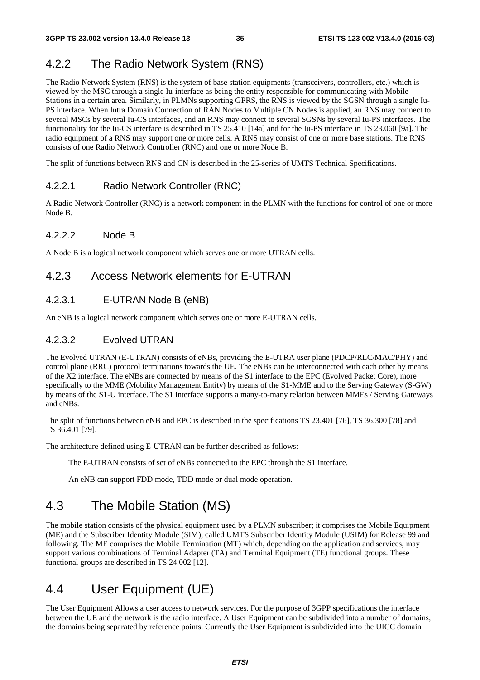### 4.2.2 The Radio Network System (RNS)

The Radio Network System (RNS) is the system of base station equipments (transceivers, controllers, etc.) which is viewed by the MSC through a single Iu-interface as being the entity responsible for communicating with Mobile Stations in a certain area. Similarly, in PLMNs supporting GPRS, the RNS is viewed by the SGSN through a single Iu-PS interface. When Intra Domain Connection of RAN Nodes to Multiple CN Nodes is applied, an RNS may connect to several MSCs by several Iu-CS interfaces, and an RNS may connect to several SGSNs by several Iu-PS interfaces. The functionality for the Iu-CS interface is described in TS 25.410 [14a] and for the Iu-PS interface in TS 23.060 [9a]. The radio equipment of a RNS may support one or more cells. A RNS may consist of one or more base stations. The RNS consists of one Radio Network Controller (RNC) and one or more Node B.

The split of functions between RNS and CN is described in the 25-series of UMTS Technical Specifications.

#### 4.2.2.1 Radio Network Controller (RNC)

A Radio Network Controller (RNC) is a network component in the PLMN with the functions for control of one or more Node B.

#### 4.2.2.2 Node B

A Node B is a logical network component which serves one or more UTRAN cells.

### 4.2.3 Access Network elements for E-UTRAN

#### 4.2.3.1 E-UTRAN Node B (eNB)

An eNB is a logical network component which serves one or more E-UTRAN cells.

#### 4.2.3.2 Evolved UTRAN

The Evolved UTRAN (E-UTRAN) consists of eNBs, providing the E-UTRA user plane (PDCP/RLC/MAC/PHY) and control plane (RRC) protocol terminations towards the UE. The eNBs can be interconnected with each other by means of the X2 interface. The eNBs are connected by means of the S1 interface to the EPC (Evolved Packet Core), more specifically to the MME (Mobility Management Entity) by means of the S1-MME and to the Serving Gateway (S-GW) by means of the S1-U interface. The S1 interface supports a many-to-many relation between MMEs / Serving Gateways and eNBs.

The split of functions between eNB and EPC is described in the specifications TS 23.401 [76], TS 36.300 [78] and TS 36.401 [79].

The architecture defined using E-UTRAN can be further described as follows:

The E-UTRAN consists of set of eNBs connected to the EPC through the S1 interface.

An eNB can support FDD mode, TDD mode or dual mode operation.

# 4.3 The Mobile Station (MS)

The mobile station consists of the physical equipment used by a PLMN subscriber; it comprises the Mobile Equipment (ME) and the Subscriber Identity Module (SIM), called UMTS Subscriber Identity Module (USIM) for Release 99 and following. The ME comprises the Mobile Termination (MT) which, depending on the application and services, may support various combinations of Terminal Adapter (TA) and Terminal Equipment (TE) functional groups. These functional groups are described in TS 24.002 [12].

### 4.4 User Equipment (UE)

The User Equipment Allows a user access to network services. For the purpose of 3GPP specifications the interface between the UE and the network is the radio interface. A User Equipment can be subdivided into a number of domains, the domains being separated by reference points. Currently the User Equipment is subdivided into the UICC domain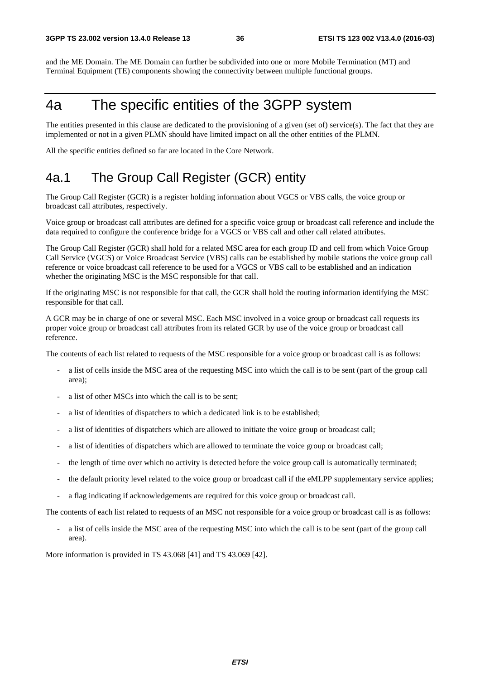and the ME Domain. The ME Domain can further be subdivided into one or more Mobile Termination (MT) and Terminal Equipment (TE) components showing the connectivity between multiple functional groups.

# 4a The specific entities of the 3GPP system

The entities presented in this clause are dedicated to the provisioning of a given (set of) service(s). The fact that they are implemented or not in a given PLMN should have limited impact on all the other entities of the PLMN.

All the specific entities defined so far are located in the Core Network.

# 4a.1 The Group Call Register (GCR) entity

The Group Call Register (GCR) is a register holding information about VGCS or VBS calls, the voice group or broadcast call attributes, respectively.

Voice group or broadcast call attributes are defined for a specific voice group or broadcast call reference and include the data required to configure the conference bridge for a VGCS or VBS call and other call related attributes.

The Group Call Register (GCR) shall hold for a related MSC area for each group ID and cell from which Voice Group Call Service (VGCS) or Voice Broadcast Service (VBS) calls can be established by mobile stations the voice group call reference or voice broadcast call reference to be used for a VGCS or VBS call to be established and an indication whether the originating MSC is the MSC responsible for that call.

If the originating MSC is not responsible for that call, the GCR shall hold the routing information identifying the MSC responsible for that call.

A GCR may be in charge of one or several MSC. Each MSC involved in a voice group or broadcast call requests its proper voice group or broadcast call attributes from its related GCR by use of the voice group or broadcast call reference.

The contents of each list related to requests of the MSC responsible for a voice group or broadcast call is as follows:

- a list of cells inside the MSC area of the requesting MSC into which the call is to be sent (part of the group call area);
- a list of other MSCs into which the call is to be sent;
- a list of identities of dispatchers to which a dedicated link is to be established;
- a list of identities of dispatchers which are allowed to initiate the voice group or broadcast call;
- a list of identities of dispatchers which are allowed to terminate the voice group or broadcast call;
- the length of time over which no activity is detected before the voice group call is automatically terminated;
- the default priority level related to the voice group or broadcast call if the eMLPP supplementary service applies;
- a flag indicating if acknowledgements are required for this voice group or broadcast call.

The contents of each list related to requests of an MSC not responsible for a voice group or broadcast call is as follows:

a list of cells inside the MSC area of the requesting MSC into which the call is to be sent (part of the group call area).

More information is provided in TS 43.068 [41] and TS 43.069 [42].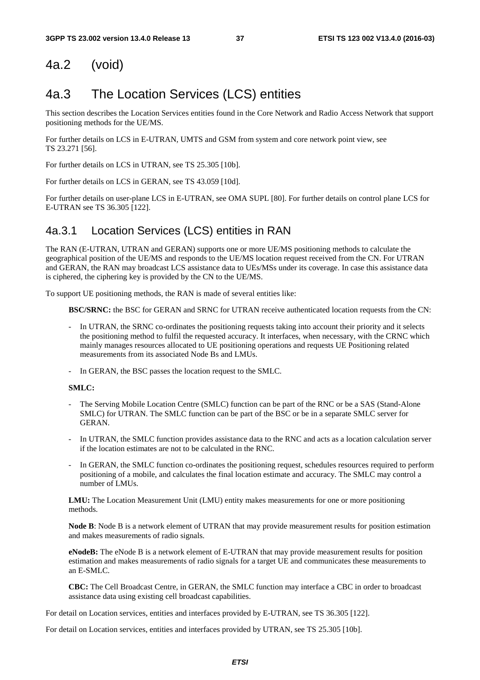## 4a.2 (void)

## 4a.3 The Location Services (LCS) entities

This section describes the Location Services entities found in the Core Network and Radio Access Network that support positioning methods for the UE/MS.

For further details on LCS in E-UTRAN, UMTS and GSM from system and core network point view, see TS 23.271 [56].

For further details on LCS in UTRAN, see TS 25.305 [10b].

For further details on LCS in GERAN, see TS 43.059 [10d].

For further details on user-plane LCS in E-UTRAN, see OMA SUPL [80]. For further details on control plane LCS for E-UTRAN see TS 36.305 [122].

### 4a.3.1 Location Services (LCS) entities in RAN

The RAN (E-UTRAN, UTRAN and GERAN) supports one or more UE/MS positioning methods to calculate the geographical position of the UE/MS and responds to the UE/MS location request received from the CN. For UTRAN and GERAN, the RAN may broadcast LCS assistance data to UEs/MSs under its coverage. In case this assistance data is ciphered, the ciphering key is provided by the CN to the UE/MS.

To support UE positioning methods, the RAN is made of several entities like:

**BSC/SRNC:** the BSC for GERAN and SRNC for UTRAN receive authenticated location requests from the CN:

- In UTRAN, the SRNC co-ordinates the positioning requests taking into account their priority and it selects the positioning method to fulfil the requested accuracy. It interfaces, when necessary, with the CRNC which mainly manages resources allocated to UE positioning operations and requests UE Positioning related measurements from its associated Node Bs and LMUs.
- In GERAN, the BSC passes the location request to the SMLC.

#### **SMLC:**

- The Serving Mobile Location Centre (SMLC) function can be part of the RNC or be a SAS (Stand-Alone SMLC) for UTRAN. The SMLC function can be part of the BSC or be in a separate SMLC server for GERAN.
- In UTRAN, the SMLC function provides assistance data to the RNC and acts as a location calculation server if the location estimates are not to be calculated in the RNC.
- In GERAN, the SMLC function co-ordinates the positioning request, schedules resources required to perform positioning of a mobile, and calculates the final location estimate and accuracy. The SMLC may control a number of LMUs.

 **LMU:** The Location Measurement Unit (LMU) entity makes measurements for one or more positioning methods.

**Node B**: Node B is a network element of UTRAN that may provide measurement results for position estimation and makes measurements of radio signals.

**eNodeB:** The eNode B is a network element of E-UTRAN that may provide measurement results for position estimation and makes measurements of radio signals for a target UE and communicates these measurements to an E-SMLC.

 **CBC:** The Cell Broadcast Centre, in GERAN, the SMLC function may interface a CBC in order to broadcast assistance data using existing cell broadcast capabilities.

For detail on Location services, entities and interfaces provided by E-UTRAN, see TS 36.305 [122].

For detail on Location services, entities and interfaces provided by UTRAN, see TS 25.305 [10b].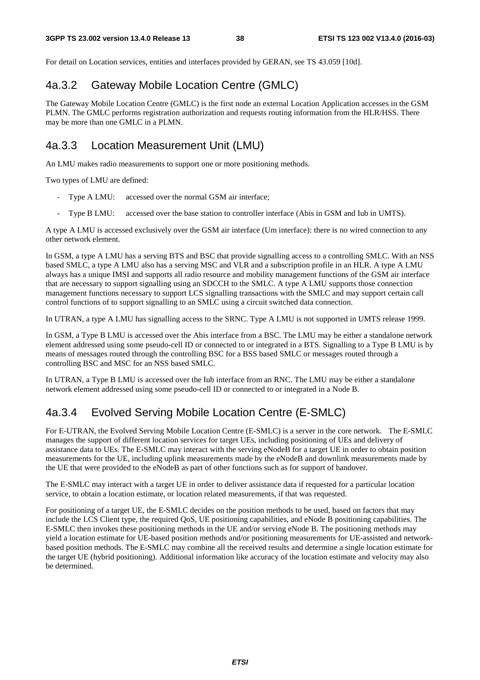For detail on Location services, entities and interfaces provided by GERAN, see TS 43.059 [10d].

## 4a.3.2 Gateway Mobile Location Centre (GMLC)

The Gateway Mobile Location Centre (GMLC) is the first node an external Location Application accesses in the GSM PLMN. The GMLC performs registration authorization and requests routing information from the HLR/HSS. There may be more than one GMLC in a PLMN.

# 4a.3.3 Location Measurement Unit (LMU)

An LMU makes radio measurements to support one or more positioning methods.

Two types of LMU are defined:

- Type A LMU: accessed over the normal GSM air interface;
- Type B LMU: accessed over the base station to controller interface (Abis in GSM and Iub in UMTS).

A type A LMU is accessed exclusively over the GSM air interface (Um interface): there is no wired connection to any other network element.

In GSM, a type A LMU has a serving BTS and BSC that provide signalling access to a controlling SMLC. With an NSS based SMLC, a type A LMU also has a serving MSC and VLR and a subscription profile in an HLR. A type A LMU always has a unique IMSI and supports all radio resource and mobility management functions of the GSM air interface that are necessary to support signalling using an SDCCH to the SMLC. A type A LMU supports those connection management functions necessary to support LCS signalling transactions with the SMLC and may support certain call control functions of to support signalling to an SMLC using a circuit switched data connection.

In UTRAN, a type A LMU has signalling access to the SRNC. Type A LMU is not supported in UMTS release 1999.

In GSM, a Type B LMU is accessed over the Abis interface from a BSC. The LMU may be either a standalone network element addressed using some pseudo-cell ID or connected to or integrated in a BTS. Signalling to a Type B LMU is by means of messages routed through the controlling BSC for a BSS based SMLC or messages routed through a controlling BSC and MSC for an NSS based SMLC.

In UTRAN, a Type B LMU is accessed over the Iub interface from an RNC. The LMU may be either a standalone network element addressed using some pseudo-cell ID or connected to or integrated in a Node B.

# 4a.3.4 Evolved Serving Mobile Location Centre (E-SMLC)

For E-UTRAN, the Evolved Serving Mobile Location Centre (E-SMLC) is a server in the core network. The E-SMLC manages the support of different location services for target UEs, including positioning of UEs and delivery of assistance data to UEs. The E-SMLC may interact with the serving eNodeB for a target UE in order to obtain position measurements for the UE, including uplink measurements made by the eNodeB and downlink measurements made by the UE that were provided to the eNodeB as part of other functions such as for support of handover.

The E-SMLC may interact with a target UE in order to deliver assistance data if requested for a particular location service, to obtain a location estimate, or location related measurements, if that was requested.

For positioning of a target UE, the E-SMLC decides on the position methods to be used, based on factors that may include the LCS Client type, the required QoS, UE positioning capabilities, and eNode B positioning capabilities. The E-SMLC then invokes these positioning methods in the UE and/or serving eNode B. The positioning methods may yield a location estimate for UE-based position methods and/or positioning measurements for UE-assisted and networkbased position methods. The E-SMLC may combine all the received results and determine a single location estimate for the target UE (hybrid positioning). Additional information like accuracy of the location estimate and velocity may also be determined.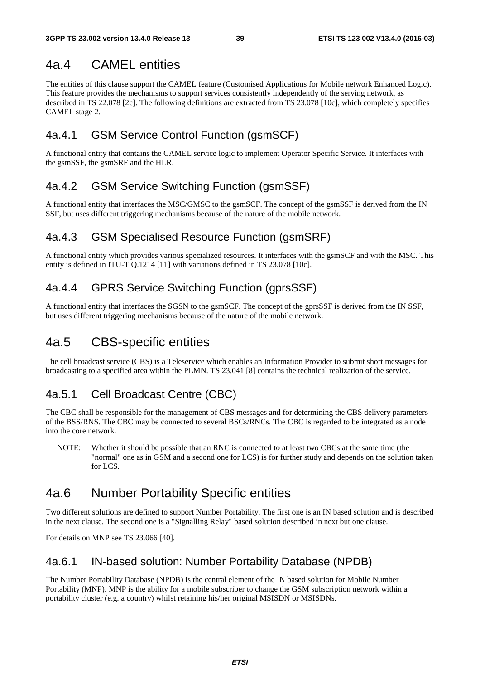# 4a.4 CAMEL entities

The entities of this clause support the CAMEL feature (Customised Applications for Mobile network Enhanced Logic). This feature provides the mechanisms to support services consistently independently of the serving network, as described in TS 22.078 [2c]. The following definitions are extracted from TS 23.078 [10c], which completely specifies CAMEL stage 2.

## 4a.4.1 GSM Service Control Function (gsmSCF)

A functional entity that contains the CAMEL service logic to implement Operator Specific Service. It interfaces with the gsmSSF, the gsmSRF and the HLR.

## 4a.4.2 GSM Service Switching Function (gsmSSF)

A functional entity that interfaces the MSC/GMSC to the gsmSCF. The concept of the gsmSSF is derived from the IN SSF, but uses different triggering mechanisms because of the nature of the mobile network.

## 4a.4.3 GSM Specialised Resource Function (gsmSRF)

A functional entity which provides various specialized resources. It interfaces with the gsmSCF and with the MSC. This entity is defined in ITU-T Q.1214 [11] with variations defined in TS 23.078 [10c].

## 4a.4.4 GPRS Service Switching Function (gprsSSF)

A functional entity that interfaces the SGSN to the gsmSCF. The concept of the gprsSSF is derived from the IN SSF, but uses different triggering mechanisms because of the nature of the mobile network.

# 4a.5 CBS-specific entities

The cell broadcast service (CBS) is a Teleservice which enables an Information Provider to submit short messages for broadcasting to a specified area within the PLMN. TS 23.041 [8] contains the technical realization of the service.

## 4a.5.1 Cell Broadcast Centre (CBC)

The CBC shall be responsible for the management of CBS messages and for determining the CBS delivery parameters of the BSS/RNS. The CBC may be connected to several BSCs/RNCs. The CBC is regarded to be integrated as a node into the core network.

NOTE: Whether it should be possible that an RNC is connected to at least two CBCs at the same time (the "normal" one as in GSM and a second one for LCS) is for further study and depends on the solution taken for LCS.

# 4a.6 Number Portability Specific entities

Two different solutions are defined to support Number Portability. The first one is an IN based solution and is described in the next clause. The second one is a "Signalling Relay" based solution described in next but one clause.

For details on MNP see TS 23.066 [40].

## 4a.6.1 IN-based solution: Number Portability Database (NPDB)

The Number Portability Database (NPDB) is the central element of the IN based solution for Mobile Number Portability (MNP). MNP is the ability for a mobile subscriber to change the GSM subscription network within a portability cluster (e.g. a country) whilst retaining his/her original MSISDN or MSISDNs.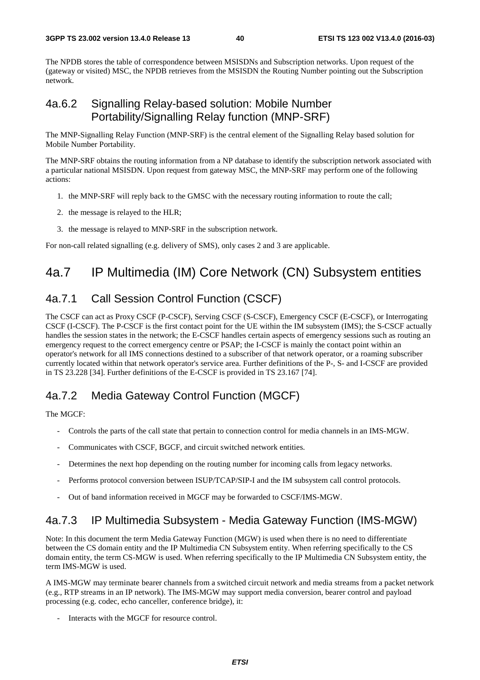The NPDB stores the table of correspondence between MSISDNs and Subscription networks. Upon request of the (gateway or visited) MSC, the NPDB retrieves from the MSISDN the Routing Number pointing out the Subscription network.

#### 4a.6.2 Signalling Relay-based solution: Mobile Number Portability/Signalling Relay function (MNP-SRF)

The MNP-Signalling Relay Function (MNP-SRF) is the central element of the Signalling Relay based solution for Mobile Number Portability.

The MNP-SRF obtains the routing information from a NP database to identify the subscription network associated with a particular national MSISDN. Upon request from gateway MSC, the MNP-SRF may perform one of the following actions:

- 1. the MNP-SRF will reply back to the GMSC with the necessary routing information to route the call;
- 2. the message is relayed to the HLR;
- 3. the message is relayed to MNP-SRF in the subscription network.

For non-call related signalling (e.g. delivery of SMS), only cases 2 and 3 are applicable.

# 4a.7 IP Multimedia (IM) Core Network (CN) Subsystem entities

## 4a.7.1 Call Session Control Function (CSCF)

The CSCF can act as Proxy CSCF (P-CSCF), Serving CSCF (S-CSCF), Emergency CSCF (E-CSCF), or Interrogating CSCF (I-CSCF). The P-CSCF is the first contact point for the UE within the IM subsystem (IMS); the S-CSCF actually handles the session states in the network; the E-CSCF handles certain aspects of emergency sessions such as routing an emergency request to the correct emergency centre or PSAP; the I-CSCF is mainly the contact point within an operator's network for all IMS connections destined to a subscriber of that network operator, or a roaming subscriber currently located within that network operator's service area. Further definitions of the P-, S- and I-CSCF are provided in TS 23.228 [34]. Further definitions of the E-CSCF is provided in TS 23.167 [74].

## 4a.7.2 Media Gateway Control Function (MGCF)

The MGCF:

- Controls the parts of the call state that pertain to connection control for media channels in an IMS-MGW.
- Communicates with CSCF, BGCF, and circuit switched network entities.
- Determines the next hop depending on the routing number for incoming calls from legacy networks.
- Performs protocol conversion between ISUP/TCAP/SIP-I and the IM subsystem call control protocols.
- Out of band information received in MGCF may be forwarded to CSCF/IMS-MGW.

## 4a.7.3 IP Multimedia Subsystem - Media Gateway Function (IMS-MGW)

Note: In this document the term Media Gateway Function (MGW) is used when there is no need to differentiate between the CS domain entity and the IP Multimedia CN Subsystem entity. When referring specifically to the CS domain entity, the term CS-MGW is used. When referring specifically to the IP Multimedia CN Subsystem entity, the term IMS-MGW is used.

A IMS-MGW may terminate bearer channels from a switched circuit network and media streams from a packet network (e.g., RTP streams in an IP network). The IMS-MGW may support media conversion, bearer control and payload processing (e.g. codec, echo canceller, conference bridge), it:

Interacts with the MGCF for resource control.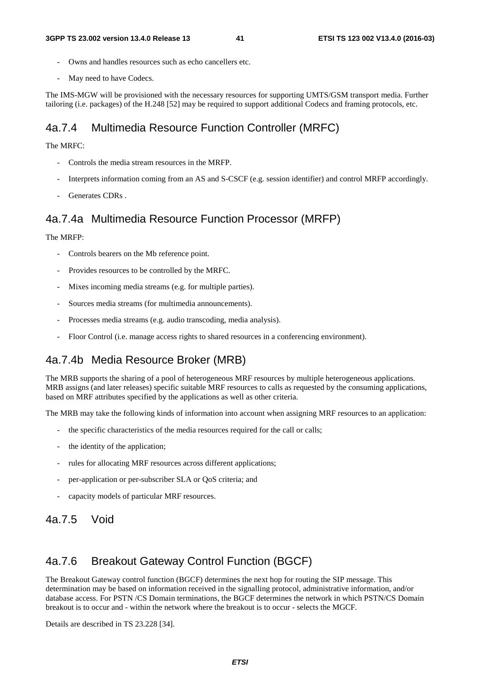- Owns and handles resources such as echo cancellers etc.
- May need to have Codecs.

The IMS-MGW will be provisioned with the necessary resources for supporting UMTS/GSM transport media. Further tailoring (i.e. packages) of the H.248 [52] may be required to support additional Codecs and framing protocols, etc.

### 4a.7.4 Multimedia Resource Function Controller (MRFC)

The MRFC:

- Controls the media stream resources in the MRFP.
- Interprets information coming from an AS and S-CSCF (e.g. session identifier) and control MRFP accordingly.
- Generates CDRs.

#### 4a.7.4a Multimedia Resource Function Processor (MRFP)

The MRFP:

- Controls bearers on the Mb reference point.
- Provides resources to be controlled by the MRFC.
- Mixes incoming media streams (e.g. for multiple parties).
- Sources media streams (for multimedia announcements).
- Processes media streams (e.g. audio transcoding, media analysis).
- Floor Control (i.e. manage access rights to shared resources in a conferencing environment).

### 4a.7.4b Media Resource Broker (MRB)

The MRB supports the sharing of a pool of heterogeneous MRF resources by multiple heterogeneous applications. MRB assigns (and later releases) specific suitable MRF resources to calls as requested by the consuming applications, based on MRF attributes specified by the applications as well as other criteria.

The MRB may take the following kinds of information into account when assigning MRF resources to an application:

- the specific characteristics of the media resources required for the call or calls;
- the identity of the application;
- rules for allocating MRF resources across different applications;
- per-application or per-subscriber SLA or QoS criteria; and
- capacity models of particular MRF resources.

## 4a.7.5 Void

#### 4a.7.6 Breakout Gateway Control Function (BGCF)

The Breakout Gateway control function (BGCF) determines the next hop for routing the SIP message. This determination may be based on information received in the signalling protocol, administrative information, and/or database access. For PSTN /CS Domain terminations, the BGCF determines the network in which PSTN/CS Domain breakout is to occur and - within the network where the breakout is to occur - selects the MGCF.

Details are described in TS 23.228 [34].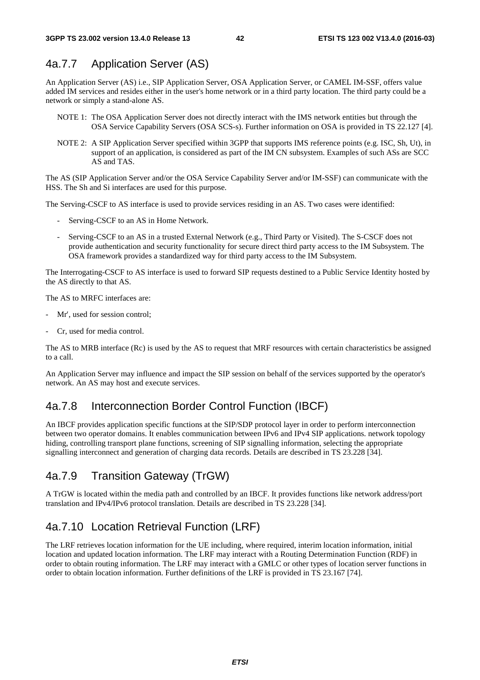### 4a.7.7 Application Server (AS)

An Application Server (AS) i.e., SIP Application Server, OSA Application Server, or CAMEL IM-SSF, offers value added IM services and resides either in the user's home network or in a third party location. The third party could be a network or simply a stand-alone AS.

- NOTE 1: The OSA Application Server does not directly interact with the IMS network entities but through the OSA Service Capability Servers (OSA SCS-s). Further information on OSA is provided in TS 22.127 [4].
- NOTE 2: A SIP Application Server specified within 3GPP that supports IMS reference points (e.g. ISC, Sh, Ut), in support of an application, is considered as part of the IM CN subsystem. Examples of such ASs are SCC AS and TAS.

The AS (SIP Application Server and/or the OSA Service Capability Server and/or IM-SSF) can communicate with the HSS. The Sh and Si interfaces are used for this purpose.

The Serving-CSCF to AS interface is used to provide services residing in an AS. Two cases were identified:

- Serving-CSCF to an AS in Home Network.
- Serving-CSCF to an AS in a trusted External Network (e.g., Third Party or Visited). The S-CSCF does not provide authentication and security functionality for secure direct third party access to the IM Subsystem. The OSA framework provides a standardized way for third party access to the IM Subsystem.

The Interrogating-CSCF to AS interface is used to forward SIP requests destined to a Public Service Identity hosted by the AS directly to that AS.

The AS to MRFC interfaces are:

- Mr', used for session control; - Mr', used for session control;<br>- Cr, used for media control.
- 

The AS to MRB interface (Rc) is used by the AS to request that MRF resources with certain characteristics be assigned to a call.

An Application Server may influence and impact the SIP session on behalf of the services supported by the operator's network. An AS may host and execute services.

### 4a.7.8 Interconnection Border Control Function (IBCF)

An IBCF provides application specific functions at the SIP/SDP protocol layer in order to perform interconnection between two operator domains. It enables communication between IPv6 and IPv4 SIP applications. network topology hiding, controlling transport plane functions, screening of SIP signalling information, selecting the appropriate signalling interconnect and generation of charging data records. Details are described in TS 23.228 [34].

### 4a.7.9 Transition Gateway (TrGW)

A TrGW is located within the media path and controlled by an IBCF. It provides functions like network address/port translation and IPv4/IPv6 protocol translation. Details are described in TS 23.228 [34].

## 4a.7.10 Location Retrieval Function (LRF)

The LRF retrieves location information for the UE including, where required, interim location information, initial location and updated location information. The LRF may interact with a Routing Determination Function (RDF) in order to obtain routing information. The LRF may interact with a GMLC or other types of location server functions in order to obtain location information. Further definitions of the LRF is provided in TS 23.167 [74].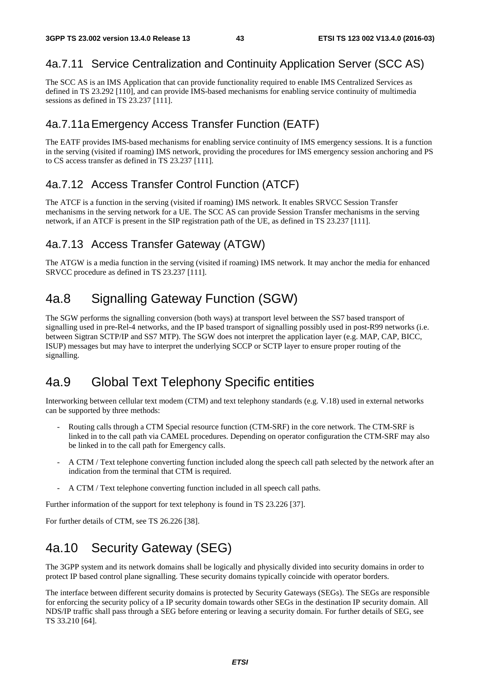## 4a.7.11 Service Centralization and Continuity Application Server (SCC AS)

The SCC AS is an IMS Application that can provide functionality required to enable IMS Centralized Services as defined in TS 23.292 [110], and can provide IMS-based mechanisms for enabling service continuity of multimedia sessions as defined in TS 23.237 [111].

## 4a.7.11a Emergency Access Transfer Function (EATF)

The EATF provides IMS-based mechanisms for enabling service continuity of IMS emergency sessions. It is a function in the serving (visited if roaming) IMS network, providing the procedures for IMS emergency session anchoring and PS to CS access transfer as defined in TS 23.237 [111].

## 4a.7.12 Access Transfer Control Function (ATCF)

The ATCF is a function in the serving (visited if roaming) IMS network. It enables SRVCC Session Transfer mechanisms in the serving network for a UE. The SCC AS can provide Session Transfer mechanisms in the serving network, if an ATCF is present in the SIP registration path of the UE, as defined in TS 23.237 [111].

## 4a.7.13 Access Transfer Gateway (ATGW)

The ATGW is a media function in the serving (visited if roaming) IMS network. It may anchor the media for enhanced SRVCC procedure as defined in TS 23.237 [111].

# 4a.8 Signalling Gateway Function (SGW)

The SGW performs the signalling conversion (both ways) at transport level between the SS7 based transport of signalling used in pre-Rel-4 networks, and the IP based transport of signalling possibly used in post-R99 networks (i.e. between Sigtran SCTP/IP and SS7 MTP). The SGW does not interpret the application layer (e.g. MAP, CAP, BICC, ISUP) messages but may have to interpret the underlying SCCP or SCTP layer to ensure proper routing of the signalling.

# 4a.9 Global Text Telephony Specific entities

Interworking between cellular text modem (CTM) and text telephony standards (e.g. V.18) used in external networks can be supported by three methods:

- Routing calls through a CTM Special resource function (CTM-SRF) in the core network. The CTM-SRF is linked in to the call path via CAMEL procedures. Depending on operator configuration the CTM-SRF may also be linked in to the call path for Emergency calls.
- A CTM / Text telephone converting function included along the speech call path selected by the network after an indication from the terminal that CTM is required.
- A CTM / Text telephone converting function included in all speech call paths.

Further information of the support for text telephony is found in TS 23.226 [37].

For further details of CTM, see TS 26.226 [38].

# 4a.10 Security Gateway (SEG)

The 3GPP system and its network domains shall be logically and physically divided into security domains in order to protect IP based control plane signalling. These security domains typically coincide with operator borders.

The interface between different security domains is protected by Security Gateways (SEGs). The SEGs are responsible for enforcing the security policy of a IP security domain towards other SEGs in the destination IP security domain. All NDS/IP traffic shall pass through a SEG before entering or leaving a security domain. For further details of SEG, see TS 33.210 [64].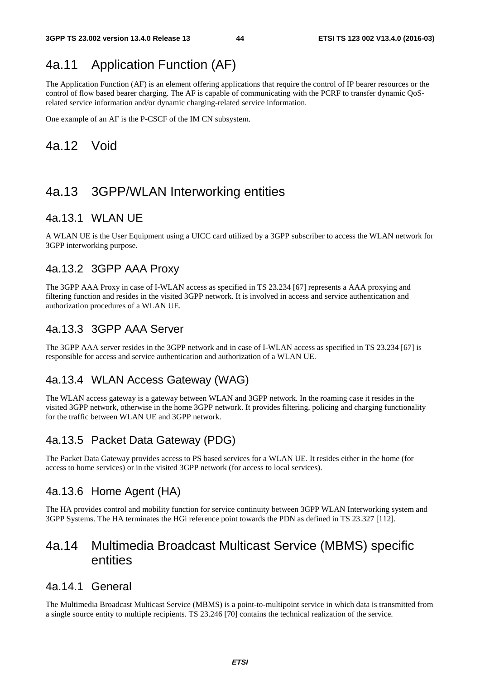# 4a.11 Application Function (AF)

The Application Function (AF) is an element offering applications that require the control of IP bearer resources or the control of flow based bearer charging. The AF is capable of communicating with the PCRF to transfer dynamic QoSrelated service information and/or dynamic charging-related service information.

One example of an AF is the P-CSCF of the IM CN subsystem.

## 4a.12 Void

## 4a.13 3GPP/WLAN Interworking entities

#### 4a.13.1 WLAN UE

A WLAN UE is the User Equipment using a UICC card utilized by a 3GPP subscriber to access the WLAN network for 3GPP interworking purpose.

#### 4a.13.2 3GPP AAA Proxy

The 3GPP AAA Proxy in case of I-WLAN access as specified in TS 23.234 [67] represents a AAA proxying and filtering function and resides in the visited 3GPP network. It is involved in access and service authentication and authorization procedures of a WLAN UE.

#### 4a.13.3 3GPP AAA Server

The 3GPP AAA server resides in the 3GPP network and in case of I-WLAN access as specified in TS 23.234 [67] is responsible for access and service authentication and authorization of a WLAN UE.

#### 4a.13.4 WLAN Access Gateway (WAG)

The WLAN access gateway is a gateway between WLAN and 3GPP network. In the roaming case it resides in the visited 3GPP network, otherwise in the home 3GPP network. It provides filtering, policing and charging functionality for the traffic between WLAN UE and 3GPP network.

#### 4a.13.5 Packet Data Gateway (PDG)

The Packet Data Gateway provides access to PS based services for a WLAN UE. It resides either in the home (for access to home services) or in the visited 3GPP network (for access to local services).

#### 4a.13.6 Home Agent (HA)

The HA provides control and mobility function for service continuity between 3GPP WLAN Interworking system and 3GPP Systems. The HA terminates the HGi reference point towards the PDN as defined in TS 23.327 [112].

## 4a.14 Multimedia Broadcast Multicast Service (MBMS) specific entities

#### 4a.14.1 General

The Multimedia Broadcast Multicast Service (MBMS) is a point-to-multipoint service in which data is transmitted from a single source entity to multiple recipients. TS 23.246 [70] contains the technical realization of the service.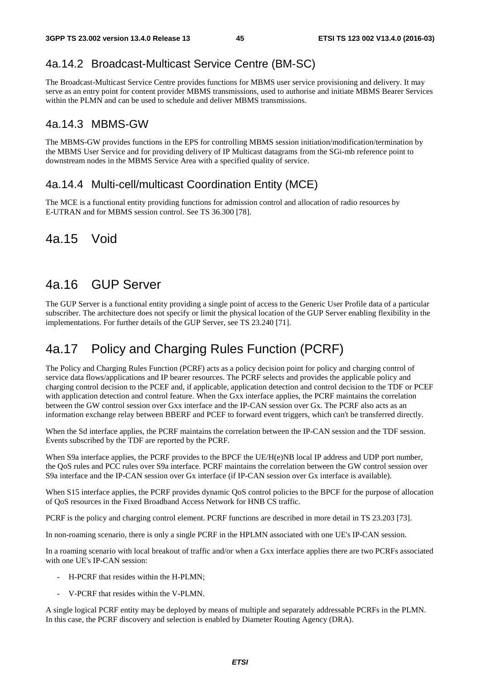#### 4a.14.2 Broadcast-Multicast Service Centre (BM-SC)

The Broadcast-Multicast Service Centre provides functions for MBMS user service provisioning and delivery. It may serve as an entry point for content provider MBMS transmissions, used to authorise and initiate MBMS Bearer Services within the PLMN and can be used to schedule and deliver MBMS transmissions.

#### 4a.14.3 MBMS-GW

The MBMS-GW provides functions in the EPS for controlling MBMS session initiation/modification/termination by the MBMS User Service and for providing delivery of IP Multicast datagrams from the SGi-mb reference point to downstream nodes in the MBMS Service Area with a specified quality of service.

#### 4a.14.4 Multi-cell/multicast Coordination Entity (MCE)

The MCE is a functional entity providing functions for admission control and allocation of radio resources by E-UTRAN and for MBMS session control. See TS 36.300 [78].

## 4a.15 Void

## 4a.16 GUP Server

The GUP Server is a functional entity providing a single point of access to the Generic User Profile data of a particular subscriber. The architecture does not specify or limit the physical location of the GUP Server enabling flexibility in the implementations. For further details of the GUP Server, see TS 23.240 [71].

## 4a.17 Policy and Charging Rules Function (PCRF)

The Policy and Charging Rules Function (PCRF) acts as a policy decision point for policy and charging control of service data flows/applications and IP bearer resources. The PCRF selects and provides the applicable policy and charging control decision to the PCEF and, if applicable, application detection and control decision to the TDF or PCEF with application detection and control feature. When the Gxx interface applies, the PCRF maintains the correlation between the GW control session over Gxx interface and the IP-CAN session over Gx. The PCRF also acts as an information exchange relay between BBERF and PCEF to forward event triggers, which can't be transferred directly.

When the Sd interface applies, the PCRF maintains the correlation between the IP-CAN session and the TDF session. Events subscribed by the TDF are reported by the PCRF.

When S9a interface applies, the PCRF provides to the BPCF the UE/H(e)NB local IP address and UDP port number, the QoS rules and PCC rules over S9a interface. PCRF maintains the correlation between the GW control session over S9a interface and the IP-CAN session over Gx interface (if IP-CAN session over Gx interface is available).

When S15 interface applies, the PCRF provides dynamic QoS control policies to the BPCF for the purpose of allocation of QoS resources in the Fixed Broadband Access Network for HNB CS traffic.

PCRF is the policy and charging control element. PCRF functions are described in more detail in TS 23.203 [73].

In non-roaming scenario, there is only a single PCRF in the HPLMN associated with one UE's IP-CAN session.

In a roaming scenario with local breakout of traffic and/or when a Gxx interface applies there are two PCRFs associated with one UE's IP-CAN session:

- H-PCRF that resides within the H-PLMN;
- V-PCRF that resides within the V-PLMN.

A single logical PCRF entity may be deployed by means of multiple and separately addressable PCRFs in the PLMN. In this case, the PCRF discovery and selection is enabled by Diameter Routing Agency (DRA).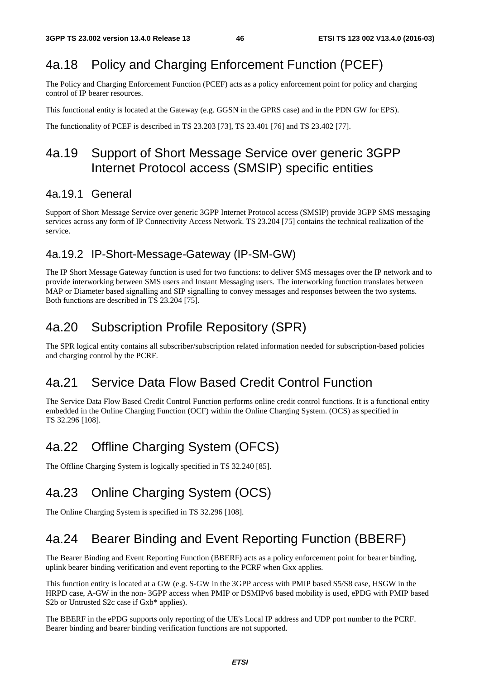## 4a.18 Policy and Charging Enforcement Function (PCEF)

The Policy and Charging Enforcement Function (PCEF) acts as a policy enforcement point for policy and charging control of IP bearer resources.

This functional entity is located at the Gateway (e.g. GGSN in the GPRS case) and in the PDN GW for EPS).

The functionality of PCEF is described in TS 23.203 [73], TS 23.401 [76] and TS 23.402 [77].

# 4a.19 Support of Short Message Service over generic 3GPP Internet Protocol access (SMSIP) specific entities

#### 4a.19.1 General

Support of Short Message Service over generic 3GPP Internet Protocol access (SMSIP) provide 3GPP SMS messaging services across any form of IP Connectivity Access Network. TS 23.204 [75] contains the technical realization of the service.

#### 4a.19.2 IP-Short-Message-Gateway (IP-SM-GW)

The IP Short Message Gateway function is used for two functions: to deliver SMS messages over the IP network and to provide interworking between SMS users and Instant Messaging users. The interworking function translates between MAP or Diameter based signalling and SIP signalling to convey messages and responses between the two systems. Both functions are described in TS 23.204 [75].

## 4a.20 Subscription Profile Repository (SPR)

The SPR logical entity contains all subscriber/subscription related information needed for subscription-based policies and charging control by the PCRF.

## 4a.21 Service Data Flow Based Credit Control Function

The Service Data Flow Based Credit Control Function performs online credit control functions. It is a functional entity embedded in the Online Charging Function (OCF) within the Online Charging System. (OCS) as specified in TS 32.296 [108].

# 4a.22 Offline Charging System (OFCS)

The Offline Charging System is logically specified in TS 32.240 [85].

# 4a.23 Online Charging System (OCS)

The Online Charging System is specified in TS 32.296 [108].

## 4a.24 Bearer Binding and Event Reporting Function (BBERF)

The Bearer Binding and Event Reporting Function (BBERF) acts as a policy enforcement point for bearer binding, uplink bearer binding verification and event reporting to the PCRF when Gxx applies.

This function entity is located at a GW (e.g. S-GW in the 3GPP access with PMIP based S5/S8 case, HSGW in the HRPD case, A-GW in the non- 3GPP access when PMIP or DSMIPv6 based mobility is used, ePDG with PMIP based S2b or Untrusted S2c case if Gxb\* applies).

The BBERF in the ePDG supports only reporting of the UE's Local IP address and UDP port number to the PCRF. Bearer binding and bearer binding verification functions are not supported.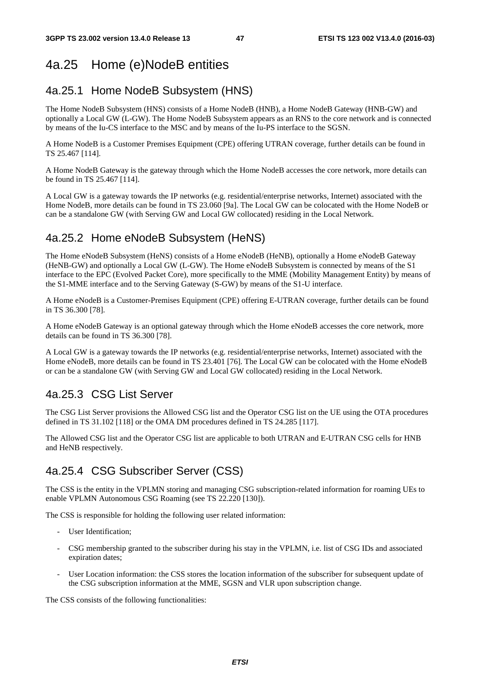## 4a.25 Home (e)NodeB entities

#### 4a.25.1 Home NodeB Subsystem (HNS)

The Home NodeB Subsystem (HNS) consists of a Home NodeB (HNB), a Home NodeB Gateway (HNB-GW) and optionally a Local GW (L-GW). The Home NodeB Subsystem appears as an RNS to the core network and is connected by means of the Iu-CS interface to the MSC and by means of the Iu-PS interface to the SGSN.

A Home NodeB is a Customer Premises Equipment (CPE) offering UTRAN coverage, further details can be found in TS 25.467 [114].

A Home NodeB Gateway is the gateway through which the Home NodeB accesses the core network, more details can be found in TS 25.467 [114].

A Local GW is a gateway towards the IP networks (e.g. residential/enterprise networks, Internet) associated with the Home NodeB, more details can be found in TS 23.060 [9a]. The Local GW can be colocated with the Home NodeB or can be a standalone GW (with Serving GW and Local GW collocated) residing in the Local Network.

### 4a.25.2 Home eNodeB Subsystem (HeNS)

The Home eNodeB Subsystem (HeNS) consists of a Home eNodeB (HeNB), optionally a Home eNodeB Gateway (HeNB-GW) and optionally a Local GW (L-GW). The Home eNodeB Subsystem is connected by means of the S1 interface to the EPC (Evolved Packet Core), more specifically to the MME (Mobility Management Entity) by means of the S1-MME interface and to the Serving Gateway (S-GW) by means of the S1-U interface.

A Home eNodeB is a Customer-Premises Equipment (CPE) offering E-UTRAN coverage, further details can be found in TS 36.300 [78].

A Home eNodeB Gateway is an optional gateway through which the Home eNodeB accesses the core network, more details can be found in TS 36.300 [78].

A Local GW is a gateway towards the IP networks (e.g. residential/enterprise networks, Internet) associated with the Home eNodeB, more details can be found in TS 23.401 [76]. The Local GW can be colocated with the Home eNodeB or can be a standalone GW (with Serving GW and Local GW collocated) residing in the Local Network.

### 4a.25.3 CSG List Server

The CSG List Server provisions the Allowed CSG list and the Operator CSG list on the UE using the OTA procedures defined in TS 31.102 [118] or the OMA DM procedures defined in TS 24.285 [117].

The Allowed CSG list and the Operator CSG list are applicable to both UTRAN and E-UTRAN CSG cells for HNB and HeNB respectively.

### 4a.25.4 CSG Subscriber Server (CSS)

The CSS is the entity in the VPLMN storing and managing CSG subscription-related information for roaming UEs to enable VPLMN Autonomous CSG Roaming (see TS 22.220 [130]).

The CSS is responsible for holding the following user related information:

- User Identification;
- CSG membership granted to the subscriber during his stay in the VPLMN, i.e. list of CSG IDs and associated expiration dates;
- User Location information: the CSS stores the location information of the subscriber for subsequent update of the CSG subscription information at the MME, SGSN and VLR upon subscription change.

The CSS consists of the following functionalities: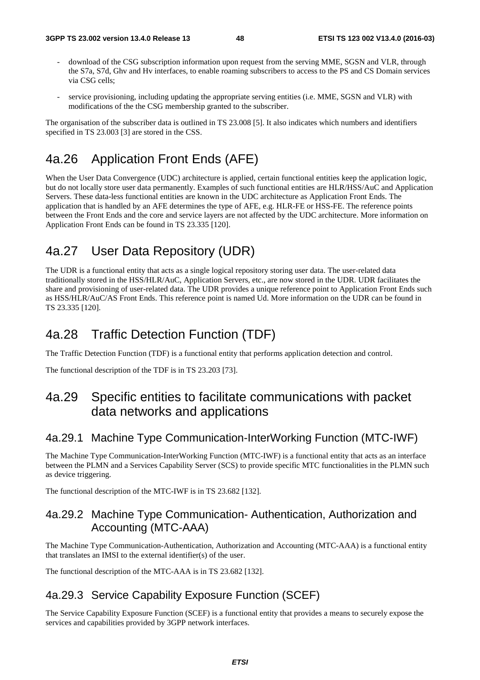- download of the CSG subscription information upon request from the serving MME, SGSN and VLR, through the S7a, S7d, Ghv and Hv interfaces, to enable roaming subscribers to access to the PS and CS Domain services via CSG cells;
- service provisioning, including updating the appropriate serving entities (i.e. MME, SGSN and VLR) with modifications of the the CSG membership granted to the subscriber.

The organisation of the subscriber data is outlined in TS 23.008 [5]. It also indicates which numbers and identifiers specified in TS 23.003 [3] are stored in the CSS.

# 4a.26 Application Front Ends (AFE)

When the User Data Convergence (UDC) architecture is applied, certain functional entities keep the application logic, but do not locally store user data permanently. Examples of such functional entities are HLR/HSS/AuC and Application Servers. These data-less functional entities are known in the UDC architecture as Application Front Ends. The application that is handled by an AFE determines the type of AFE, e.g. HLR-FE or HSS-FE. The reference points between the Front Ends and the core and service layers are not affected by the UDC architecture. More information on Application Front Ends can be found in TS 23.335 [120].

# 4a.27 User Data Repository (UDR)

The UDR is a functional entity that acts as a single logical repository storing user data. The user-related data traditionally stored in the HSS/HLR/AuC, Application Servers, etc., are now stored in the UDR. UDR facilitates the share and provisioning of user-related data. The UDR provides a unique reference point to Application Front Ends such as HSS/HLR/AuC/AS Front Ends. This reference point is named Ud. More information on the UDR can be found in TS 23.335 [120].

## 4a.28 Traffic Detection Function (TDF)

The Traffic Detection Function (TDF) is a functional entity that performs application detection and control.

The functional description of the TDF is in TS 23.203 [73].

## 4a.29 Specific entities to facilitate communications with packet data networks and applications

#### 4a.29.1 Machine Type Communication-InterWorking Function (MTC-IWF)

The Machine Type Communication-InterWorking Function (MTC-IWF) is a functional entity that acts as an interface between the PLMN and a Services Capability Server (SCS) to provide specific MTC functionalities in the PLMN such as device triggering.

The functional description of the MTC-IWF is in TS 23.682 [132].

#### 4a.29.2 Machine Type Communication- Authentication, Authorization and Accounting (MTC-AAA)

The Machine Type Communication-Authentication, Authorization and Accounting (MTC-AAA) is a functional entity that translates an IMSI to the external identifier(s) of the user.

The functional description of the MTC-AAA is in TS 23.682 [132].

#### 4a.29.3 Service Capability Exposure Function (SCEF)

The Service Capability Exposure Function (SCEF) is a functional entity that provides a means to securely expose the services and capabilities provided by 3GPP network interfaces.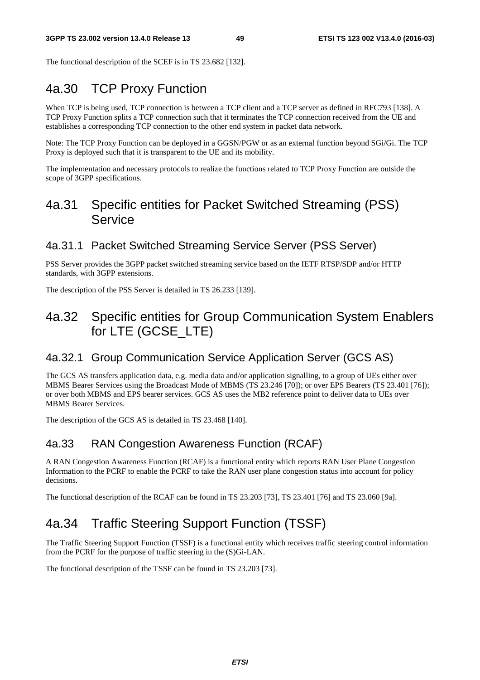The functional description of the SCEF is in TS 23.682 [132].

# 4a.30 TCP Proxy Function

When TCP is being used, TCP connection is between a TCP client and a TCP server as defined in RFC793 [138]. A TCP Proxy Function splits a TCP connection such that it terminates the TCP connection received from the UE and establishes a corresponding TCP connection to the other end system in packet data network.

Note: The TCP Proxy Function can be deployed in a GGSN/PGW or as an external function beyond SGi/Gi. The TCP Proxy is deployed such that it is transparent to the UE and its mobility.

The implementation and necessary protocols to realize the functions related to TCP Proxy Function are outside the scope of 3GPP specifications.

## 4a.31 Specific entities for Packet Switched Streaming (PSS) **Service**

#### 4a.31.1 Packet Switched Streaming Service Server (PSS Server)

PSS Server provides the 3GPP packet switched streaming service based on the IETF RTSP/SDP and/or HTTP standards, with 3GPP extensions.

The description of the PSS Server is detailed in TS 26.233 [139].

# 4a.32 Specific entities for Group Communication System Enablers for LTE (GCSE\_LTE)

### 4a.32.1 Group Communication Service Application Server (GCS AS)

The GCS AS transfers application data, e.g. media data and/or application signalling, to a group of UEs either over MBMS Bearer Services using the Broadcast Mode of MBMS (TS 23.246 [70]); or over EPS Bearers (TS 23.401 [76]); or over both MBMS and EPS bearer services. GCS AS uses the MB2 reference point to deliver data to UEs over MBMS Bearer Services.

The description of the GCS AS is detailed in TS 23.468 [140].

## 4a.33 RAN Congestion Awareness Function (RCAF)

A RAN Congestion Awareness Function (RCAF) is a functional entity which reports RAN User Plane Congestion Information to the PCRF to enable the PCRF to take the RAN user plane congestion status into account for policy decisions.

The functional description of the RCAF can be found in TS 23.203 [73], TS 23.401 [76] and TS 23.060 [9a].

# 4a.34 Traffic Steering Support Function (TSSF)

The Traffic Steering Support Function (TSSF) is a functional entity which receives traffic steering control information from the PCRF for the purpose of traffic steering in the (S)Gi-LAN.

The functional description of the TSSF can be found in TS 23.203 [73].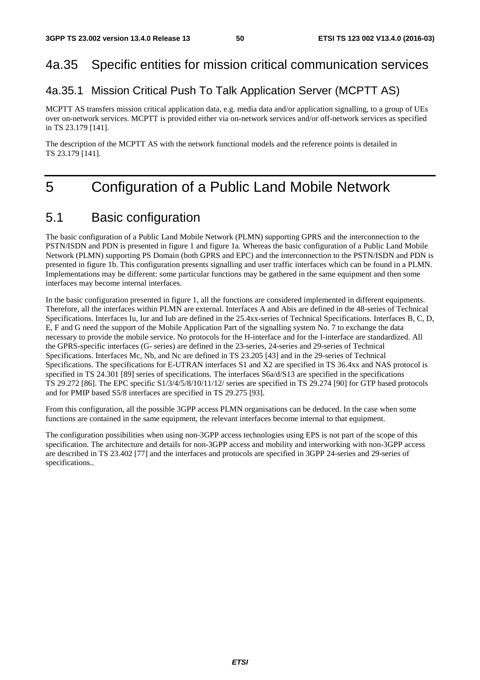## 4a.35 Specific entities for mission critical communication services

#### 4a.35.1 Mission Critical Push To Talk Application Server (MCPTT AS)

MCPTT AS transfers mission critical application data, e.g. media data and/or application signalling, to a group of UEs over on-network services. MCPTT is provided either via on-network services and/or off-network services as specified in TS 23.179 [141].

The description of the MCPTT AS with the network functional models and the reference points is detailed in TS 23.179 [141].

# 5 Configuration of a Public Land Mobile Network

## 5.1 Basic configuration

The basic configuration of a Public Land Mobile Network (PLMN) supporting GPRS and the interconnection to the PSTN/ISDN and PDN is presented in figure 1 and figure 1a. Whereas the basic configuration of a Public Land Mobile Network (PLMN) supporting PS Domain (both GPRS and EPC) and the interconnection to the PSTN/ISDN and PDN is presented in figure 1b. This configuration presents signalling and user traffic interfaces which can be found in a PLMN. Implementations may be different: some particular functions may be gathered in the same equipment and then some interfaces may become internal interfaces.

In the basic configuration presented in figure 1, all the functions are considered implemented in different equipments. Therefore, all the interfaces within PLMN are external. Interfaces A and Abis are defined in the 48-series of Technical Specifications. Interfaces Iu, Iur and Iub are defined in the 25.4xx-series of Technical Specifications. Interfaces B, C, D, E, F and G need the support of the Mobile Application Part of the signalling system No. 7 to exchange the data necessary to provide the mobile service. No protocols for the H-interface and for the I-interface are standardized. All the GPRS-specific interfaces (G- series) are defined in the 23-series, 24-series and 29-series of Technical Specifications. Interfaces Mc, Nb, and Nc are defined in TS 23.205 [43] and in the 29-series of Technical Specifications. The specifications for E-UTRAN interfaces S1 and X2 are specified in TS 36.4xx and NAS protocol is specified in TS 24.301 [89] series of specifications. The interfaces  $S6a/d/S13$  are specified in the specifications TS 29.272 [86]. The EPC specific S1/3/4/5/8/10/11/12/ series are specified in TS 29.274 [90] for GTP based protocols and for PMIP based S5/8 interfaces are specified in TS 29.275 [93].

From this configuration, all the possible 3GPP access PLMN organisations can be deduced. In the case when some functions are contained in the same equipment, the relevant interfaces become internal to that equipment.

The configuration possibilities when using non-3GPP access technologies using EPS is not part of the scope of this specification. The architecture and details for non-3GPP access and mobility and interworking with non-3GPP access are described in TS 23.402 [77] and the interfaces and protocols are specified in 3GPP 24-series and 29-series of specifications..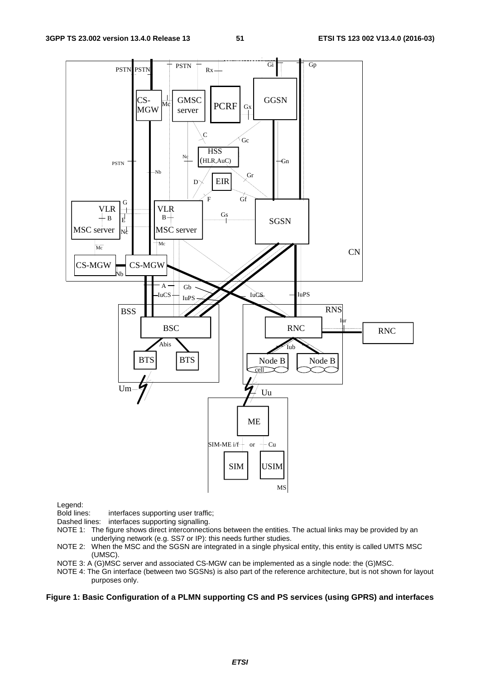

Legend:<br>Bold lines: Bold lines: interfaces supporting user traffic;<br>Dashed lines: interfaces supporting signalling.

- interfaces supporting signalling.
- NOTE 1: The figure shows direct interconnections between the entities. The actual links may be provided by an underlying network (e.g. SS7 or IP): this needs further studies.
- NOTE 2: When the MSC and the SGSN are integrated in a single physical entity, this entity is called UMTS MSC (UMSC).
- NOTE 3: A (G)MSC server and associated CS-MGW can be implemented as a single node: the (G)MSC.
- NOTE 4: The Gn interface (between two SGSNs) is also part of the reference architecture, but is not shown for layout purposes only.

**Figure 1: Basic Configuration of a PLMN supporting CS and PS services (using GPRS) and interfaces**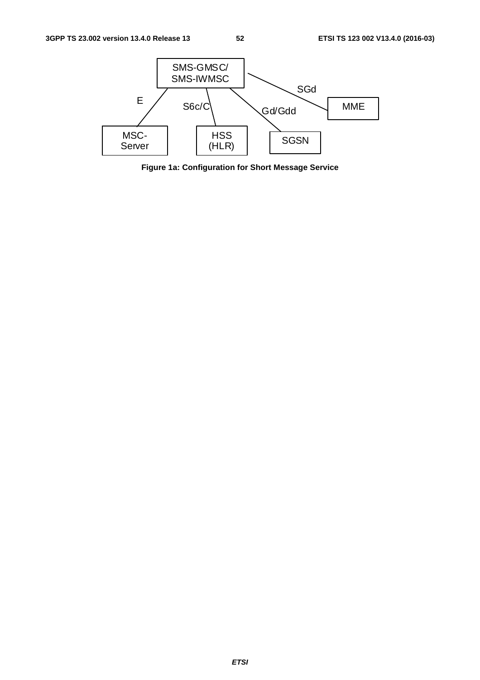

**Figure 1a: Configuration for Short Message Service**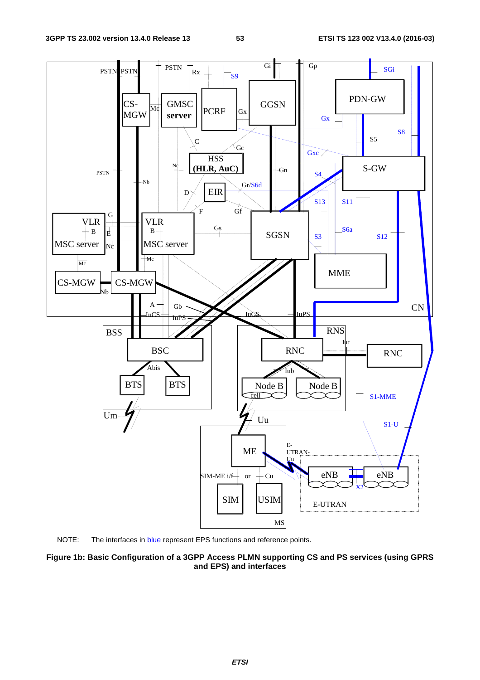

NOTE: The interfaces in blue represent EPS functions and reference points.

#### **Figure 1b: Basic Configuration of a 3GPP Access PLMN supporting CS and PS services (using GPRS and EPS) and interfaces**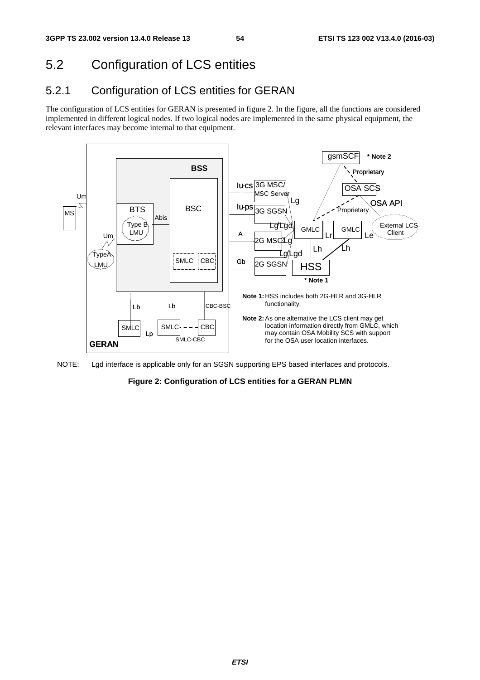# 5.2 Configuration of LCS entities

### 5.2.1 Configuration of LCS entities for GERAN

The configuration of LCS entities for GERAN is presented in figure 2. In the figure, all the functions are considered implemented in different logical nodes. If two logical nodes are implemented in the same physical equipment, the relevant interfaces may become internal to that equipment.



NOTE: Lgd interface is applicable only for an SGSN supporting EPS based interfaces and protocols.

**Figure 2: Configuration of LCS entities for a GERAN PLMN**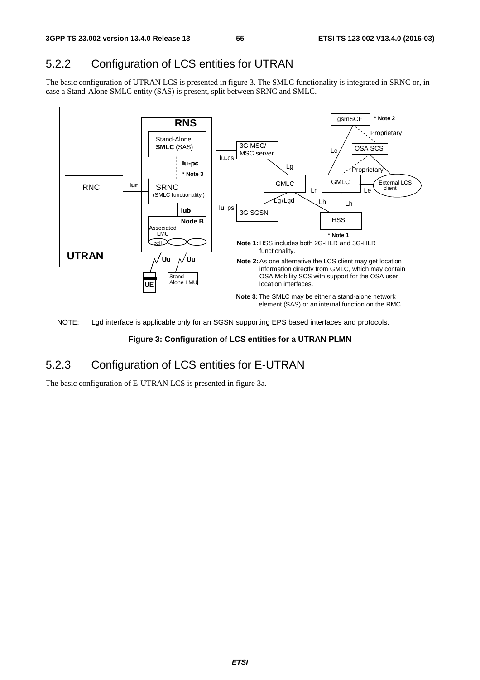## 5.2.2 Configuration of LCS entities for UTRAN

The basic configuration of UTRAN LCS is presented in figure 3. The SMLC functionality is integrated in SRNC or, in case a Stand-Alone SMLC entity (SAS) is present, split between SRNC and SMLC.



NOTE: Lgd interface is applicable only for an SGSN supporting EPS based interfaces and protocols.

#### **Figure 3: Configuration of LCS entities for a UTRAN PLMN**

### 5.2.3 Configuration of LCS entities for E-UTRAN

The basic configuration of E-UTRAN LCS is presented in figure 3a.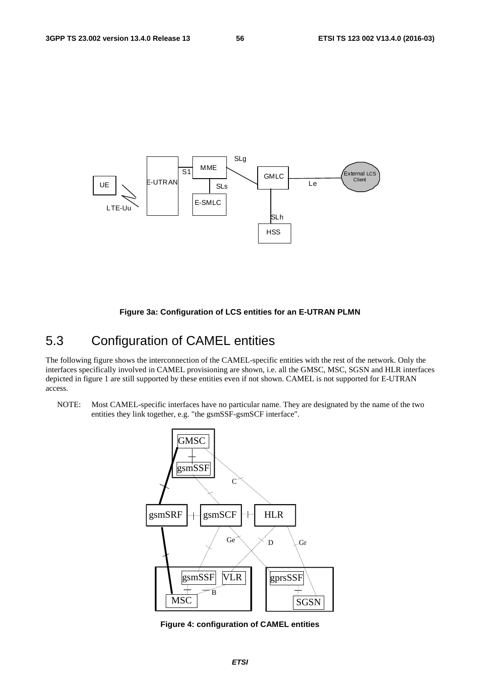

#### **Figure 3a: Configuration of LCS entities for an E-UTRAN PLMN**

## 5.3 Configuration of CAMEL entities

The following figure shows the interconnection of the CAMEL-specific entities with the rest of the network. Only the interfaces specifically involved in CAMEL provisioning are shown, i.e. all the GMSC, MSC, SGSN and HLR interfaces depicted in figure 1 are still supported by these entities even if not shown. CAMEL is not supported for E-UTRAN access.

NOTE: Most CAMEL-specific interfaces have no particular name. They are designated by the name of the two entities they link together, e.g. "the gsmSSF-gsmSCF interface".



**Figure 4: configuration of CAMEL entities**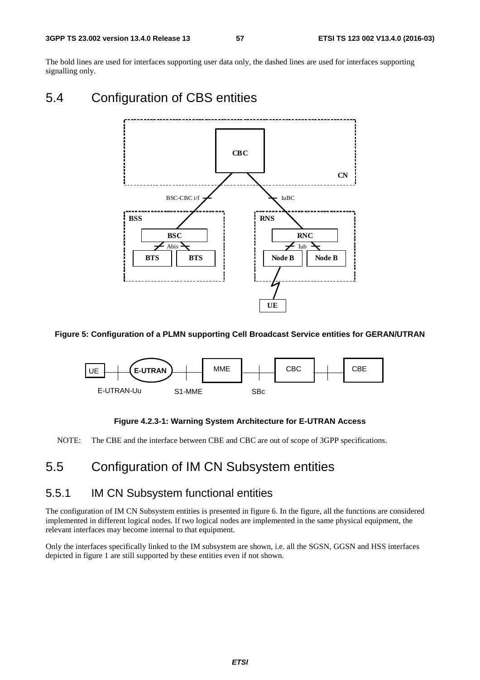The bold lines are used for interfaces supporting user data only, the dashed lines are used for interfaces supporting signalling only.

## 5.4 Configuration of CBS entities



#### **Figure 5: Configuration of a PLMN supporting Cell Broadcast Service entities for GERAN/UTRAN**



#### **Figure 4.2.3-1: Warning System Architecture for E-UTRAN Access**

NOTE: The CBE and the interface between CBE and CBC are out of scope of 3GPP specifications.

# 5.5 Configuration of IM CN Subsystem entities

#### 5.5.1 IM CN Subsystem functional entities

The configuration of IM CN Subsystem entities is presented in figure 6. In the figure, all the functions are considered implemented in different logical nodes. If two logical nodes are implemented in the same physical equipment, the relevant interfaces may become internal to that equipment.

Only the interfaces specifically linked to the IM subsystem are shown, i.e. all the SGSN, GGSN and HSS interfaces depicted in figure 1 are still supported by these entities even if not shown.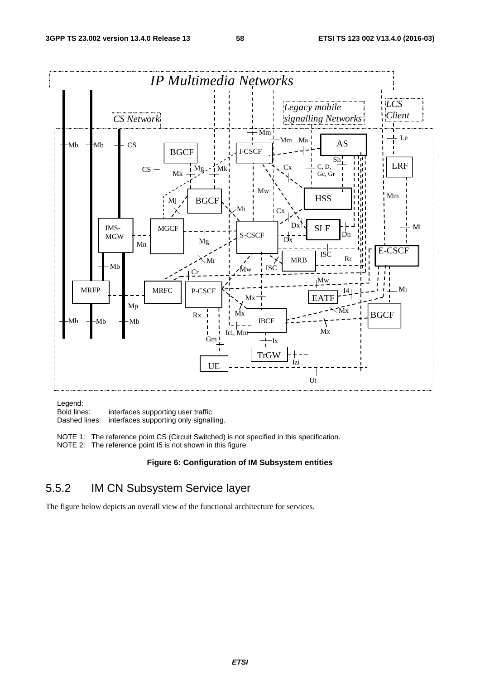

Legend:<br>Bold lines: Bold lines: interfaces supporting user traffic;<br>Dashed lines: interfaces supporting only signall interfaces supporting only signalling.

NOTE 1: The reference point CS (Circuit Switched) is not specified in this specification. NOTE 2: The reference point I5 is not shown in this figure.

#### **Figure 6: Configuration of IM Subsystem entities**

#### 5.5.2 IM CN Subsystem Service layer

The figure below depicts an overall view of the functional architecture for services.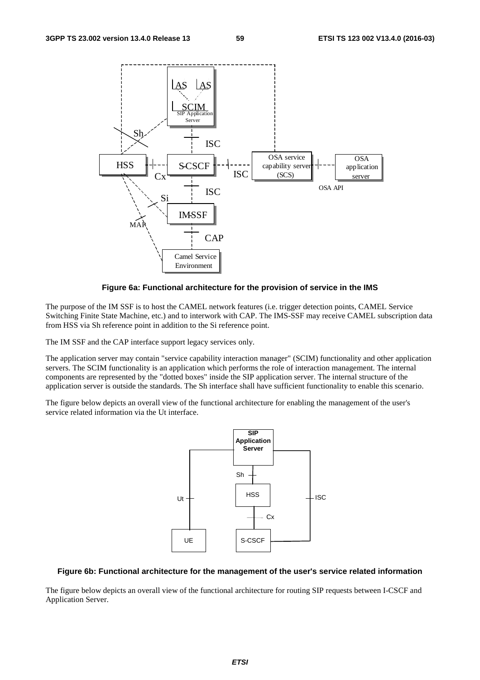

**Figure 6a: Functional architecture for the provision of service in the IMS** 

The purpose of the IM SSF is to host the CAMEL network features (i.e. trigger detection points, CAMEL Service Switching Finite State Machine, etc.) and to interwork with CAP. The IMS-SSF may receive CAMEL subscription data from HSS via Sh reference point in addition to the Si reference point.

The IM SSF and the CAP interface support legacy services only.

The application server may contain "service capability interaction manager" (SCIM) functionality and other application servers. The SCIM functionality is an application which performs the role of interaction management. The internal components are represented by the "dotted boxes" inside the SIP application server. The internal structure of the application server is outside the standards. The Sh interface shall have sufficient functionality to enable this scenario.

The figure below depicts an overall view of the functional architecture for enabling the management of the user's service related information via the Ut interface.



#### **Figure 6b: Functional architecture for the management of the user's service related information**

The figure below depicts an overall view of the functional architecture for routing SIP requests between I-CSCF and Application Server.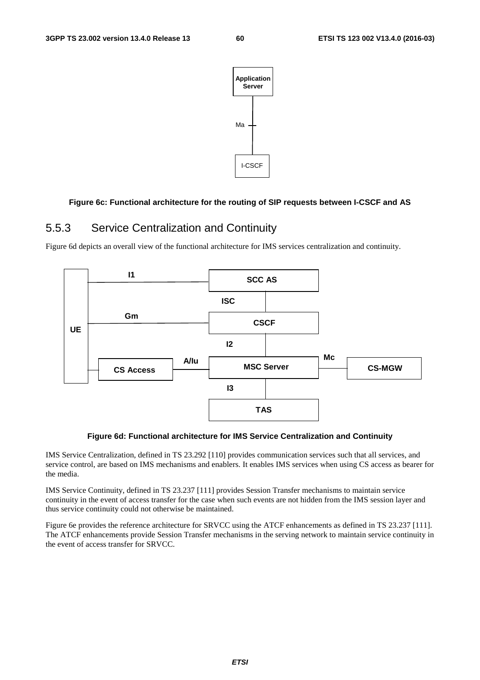

#### **Figure 6c: Functional architecture for the routing of SIP requests between I-CSCF and AS**

### 5.5.3 Service Centralization and Continuity

Figure 6d depicts an overall view of the functional architecture for IMS services centralization and continuity.



#### **Figure 6d: Functional architecture for IMS Service Centralization and Continuity**

IMS Service Centralization, defined in TS 23.292 [110] provides communication services such that all services, and service control, are based on IMS mechanisms and enablers. It enables IMS services when using CS access as bearer for the media.

IMS Service Continuity, defined in TS 23.237 [111] provides Session Transfer mechanisms to maintain service continuity in the event of access transfer for the case when such events are not hidden from the IMS session layer and thus service continuity could not otherwise be maintained.

Figure 6e provides the reference architecture for SRVCC using the ATCF enhancements as defined in TS 23.237 [111]. The ATCF enhancements provide Session Transfer mechanisms in the serving network to maintain service continuity in the event of access transfer for SRVCC.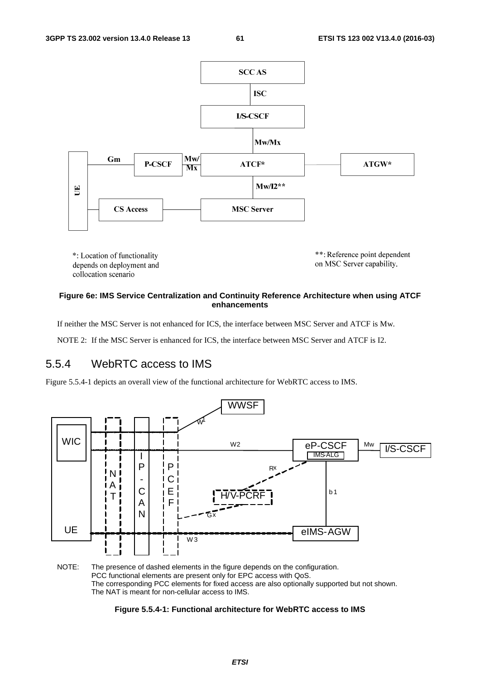

\*: Location of functionality depends on deployment and collocation scenario

\*\*: Reference point dependent on MSC Server capability.

#### **Figure 6e: IMS Service Centralization and Continuity Reference Architecture when using ATCF enhancements**

If neither the MSC Server is not enhanced for ICS, the interface between MSC Server and ATCF is Mw.

NOTE 2: If the MSC Server is enhanced for ICS, the interface between MSC Server and ATCF is I2.

#### 5.5.4 WebRTC access to IMS

Figure 5.5.4-1 depicts an overall view of the functional architecture for WebRTC access to IMS.



NOTE: The presence of dashed elements in the figure depends on the configuration. PCC functional elements are present only for EPC access with QoS. The corresponding PCC elements for fixed access are also optionally supported but not shown. The NAT is meant for non-cellular access to IMS.

#### **Figure 5.5.4-1: Functional architecture for WebRTC access to IMS**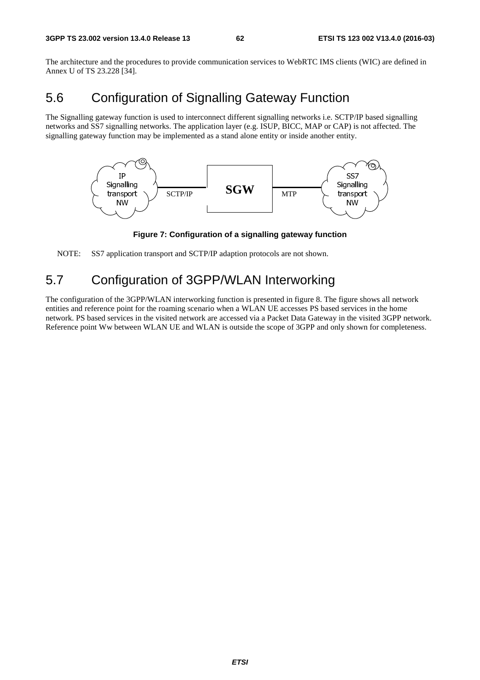The architecture and the procedures to provide communication services to WebRTC IMS clients (WIC) are defined in Annex U of TS 23.228 [34].

# 5.6 Configuration of Signalling Gateway Function

The Signalling gateway function is used to interconnect different signalling networks i.e. SCTP/IP based signalling networks and SS7 signalling networks. The application layer (e.g. ISUP, BICC, MAP or CAP) is not affected. The signalling gateway function may be implemented as a stand alone entity or inside another entity.



**Figure 7: Configuration of a signalling gateway function** 



# 5.7 Configuration of 3GPP/WLAN Interworking

The configuration of the 3GPP/WLAN interworking function is presented in figure 8. The figure shows all network entities and reference point for the roaming scenario when a WLAN UE accesses PS based services in the home network. PS based services in the visited network are accessed via a Packet Data Gateway in the visited 3GPP network. Reference point Ww between WLAN UE and WLAN is outside the scope of 3GPP and only shown for completeness.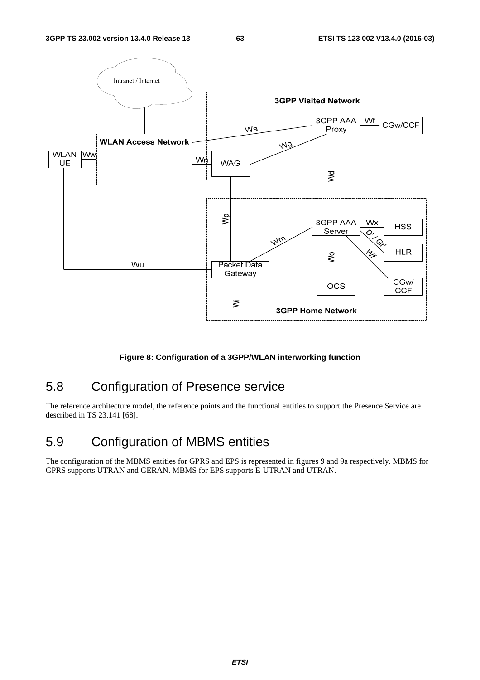

#### **Figure 8: Configuration of a 3GPP/WLAN interworking function**

## 5.8 Configuration of Presence service

The reference architecture model, the reference points and the functional entities to support the Presence Service are described in TS 23.141 [68].

# 5.9 Configuration of MBMS entities

The configuration of the MBMS entities for GPRS and EPS is represented in figures 9 and 9a respectively. MBMS for GPRS supports UTRAN and GERAN. MBMS for EPS supports E-UTRAN and UTRAN.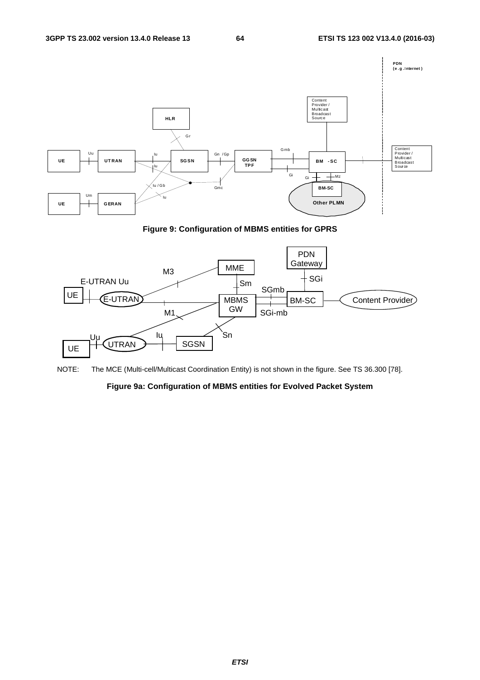

**Figure 9: Configuration of MBMS entities for GPRS** 





#### **Figure 9a: Configuration of MBMS entities for Evolved Packet System**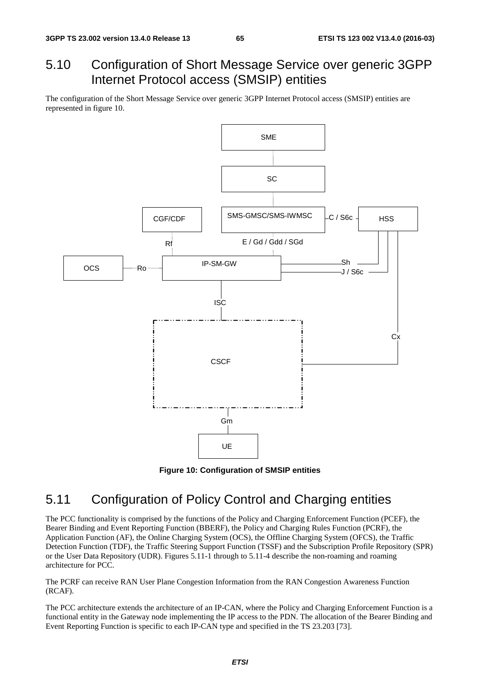# 5.10 Configuration of Short Message Service over generic 3GPP Internet Protocol access (SMSIP) entities

The configuration of the Short Message Service over generic 3GPP Internet Protocol access (SMSIP) entities are represented in figure 10.





## 5.11 Configuration of Policy Control and Charging entities

The PCC functionality is comprised by the functions of the Policy and Charging Enforcement Function (PCEF), the Bearer Binding and Event Reporting Function (BBERF), the Policy and Charging Rules Function (PCRF), the Application Function (AF), the Online Charging System (OCS), the Offline Charging System (OFCS), the Traffic Detection Function (TDF), the Traffic Steering Support Function (TSSF) and the Subscription Profile Repository (SPR) or the User Data Repository (UDR). Figures 5.11-1 through to 5.11-4 describe the non-roaming and roaming architecture for PCC.

The PCRF can receive RAN User Plane Congestion Information from the RAN Congestion Awareness Function (RCAF).

The PCC architecture extends the architecture of an IP-CAN, where the Policy and Charging Enforcement Function is a functional entity in the Gateway node implementing the IP access to the PDN. The allocation of the Bearer Binding and Event Reporting Function is specific to each IP-CAN type and specified in the TS 23.203 [73].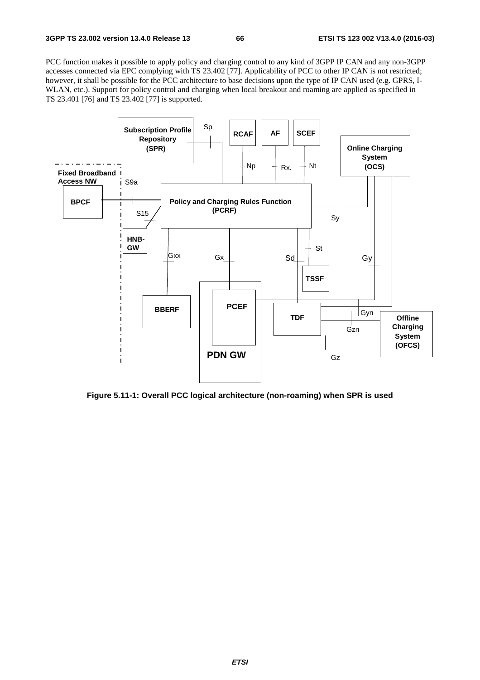PCC function makes it possible to apply policy and charging control to any kind of 3GPP IP CAN and any non-3GPP accesses connected via EPC complying with TS 23.402 [77]. Applicability of PCC to other IP CAN is not restricted; however, it shall be possible for the PCC architecture to base decisions upon the type of IP CAN used (e.g. GPRS, I-WLAN, etc.). Support for policy control and charging when local breakout and roaming are applied as specified in TS 23.401 [76] and TS 23.402 [77] is supported.



**Figure 5.11-1: Overall PCC logical architecture (non-roaming) when SPR is used**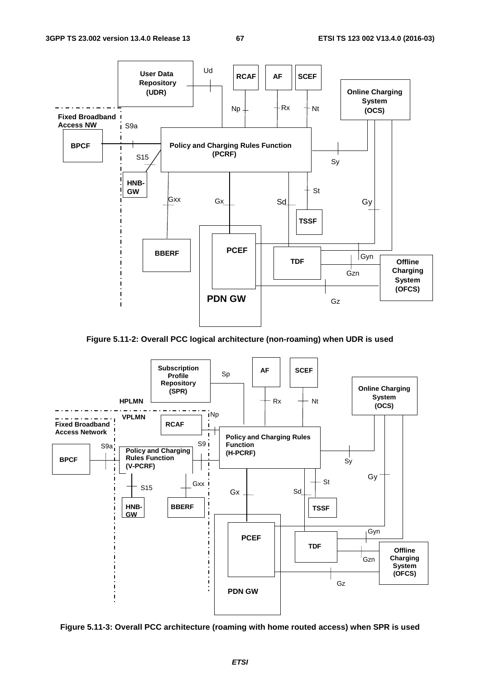

**Figure 5.11-2: Overall PCC logical architecture (non-roaming) when UDR is used** 



**Figure 5.11-3: Overall PCC architecture (roaming with home routed access) when SPR is used**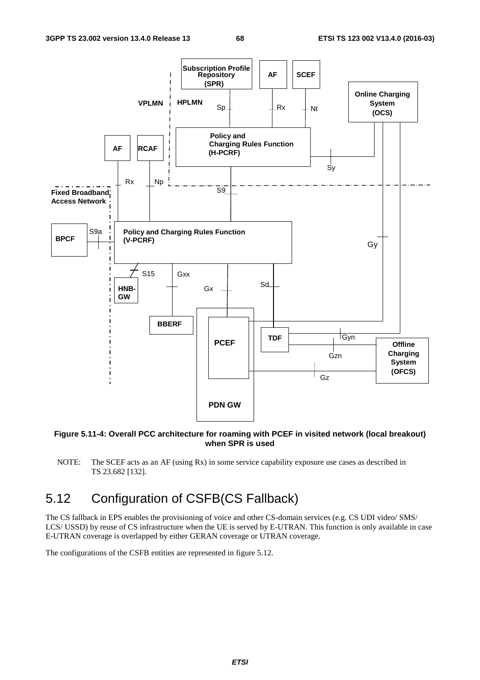

#### **Figure 5.11-4: Overall PCC architecture for roaming with PCEF in visited network (local breakout) when SPR is used**

NOTE: The SCEF acts as an AF (using Rx) in some service capability exposure use cases as described in TS 23.682 [132].

# 5.12 Configuration of CSFB(CS Fallback)

The CS fallback in EPS enables the provisioning of voice and other CS-domain services (e.g. CS UDI video/ SMS/ LCS/ USSD) by reuse of CS infrastructure when the UE is served by E-UTRAN. This function is only available in case E-UTRAN coverage is overlapped by either GERAN coverage or UTRAN coverage.

The configurations of the CSFB entities are represented in figure 5.12.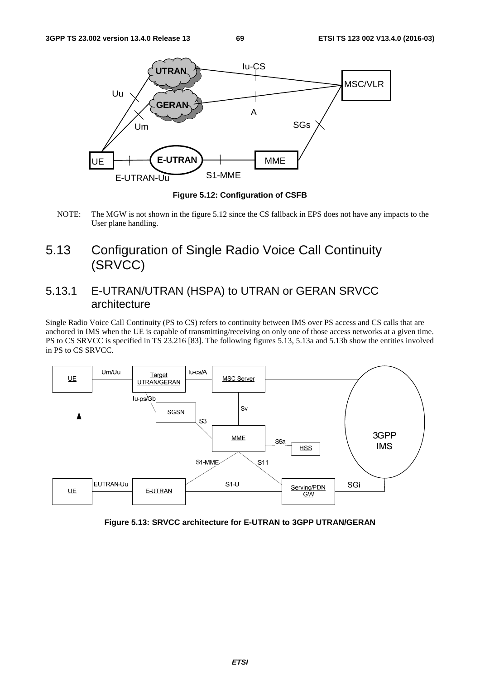

**Figure 5.12: Configuration of CSFB** 

NOTE: The MGW is not shown in the figure 5.12 since the CS fallback in EPS does not have any impacts to the User plane handling.

# 5.13 Configuration of Single Radio Voice Call Continuity (SRVCC)

### 5.13.1 E-UTRAN/UTRAN (HSPA) to UTRAN or GERAN SRVCC architecture

Single Radio Voice Call Continuity (PS to CS) refers to continuity between IMS over PS access and CS calls that are anchored in IMS when the UE is capable of transmitting/receiving on only one of those access networks at a given time. PS to CS SRVCC is specified in TS 23.216 [83]. The following figures 5.13, 5.13a and 5.13b show the entities involved in PS to CS SRVCC.



**Figure 5.13: SRVCC architecture for E-UTRAN to 3GPP UTRAN/GERAN**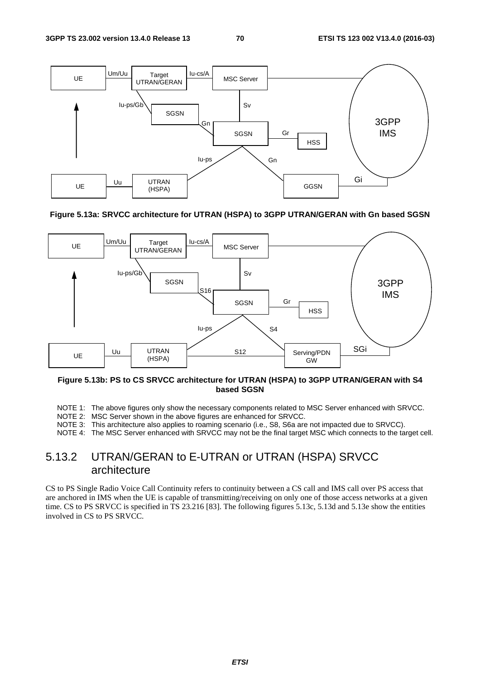

**Figure 5.13a: SRVCC architecture for UTRAN (HSPA) to 3GPP UTRAN/GERAN with Gn based SGSN** 



#### **Figure 5.13b: PS to CS SRVCC architecture for UTRAN (HSPA) to 3GPP UTRAN/GERAN with S4 based SGSN**

NOTE 1: The above figures only show the necessary components related to MSC Server enhanced with SRVCC.

NOTE 2: MSC Server shown in the above figures are enhanced for SRVCC.

NOTE 3: This architecture also applies to roaming scenario (i.e., S8, S6a are not impacted due to SRVCC).

NOTE 4: The MSC Server enhanced with SRVCC may not be the final target MSC which connects to the target cell.

### 5.13.2 UTRAN/GERAN to E-UTRAN or UTRAN (HSPA) SRVCC architecture

CS to PS Single Radio Voice Call Continuity refers to continuity between a CS call and IMS call over PS access that are anchored in IMS when the UE is capable of transmitting/receiving on only one of those access networks at a given time. CS to PS SRVCC is specified in TS 23.216 [83]. The following figures 5.13c, 5.13d and 5.13e show the entities involved in CS to PS SRVCC.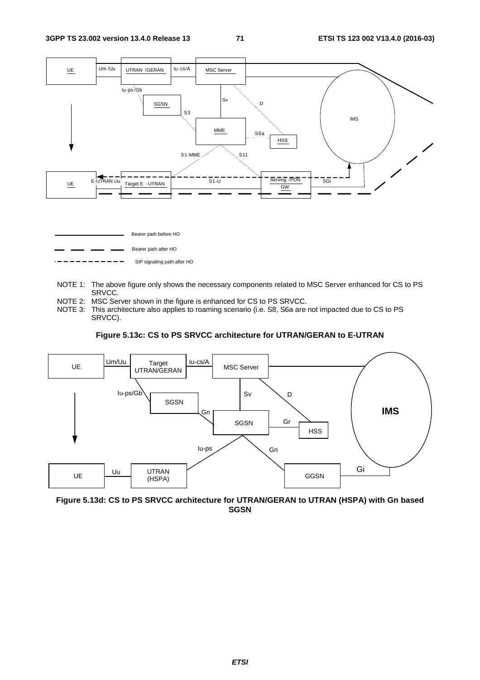

- NOTE 1: The above figure only shows the necessary components related to MSC Server enhanced for CS to PS SRVCC.
- NOTE 2: MSC Server shown in the figure is enhanced for CS to PS SRVCC.
- NOTE 3: This architecture also applies to roaming scenario (i.e. S8, S6a are not impacted due to CS to PS SRVCC).





**Figure 5.13d: CS to PS SRVCC architecture for UTRAN/GERAN to UTRAN (HSPA) with Gn based SGSN**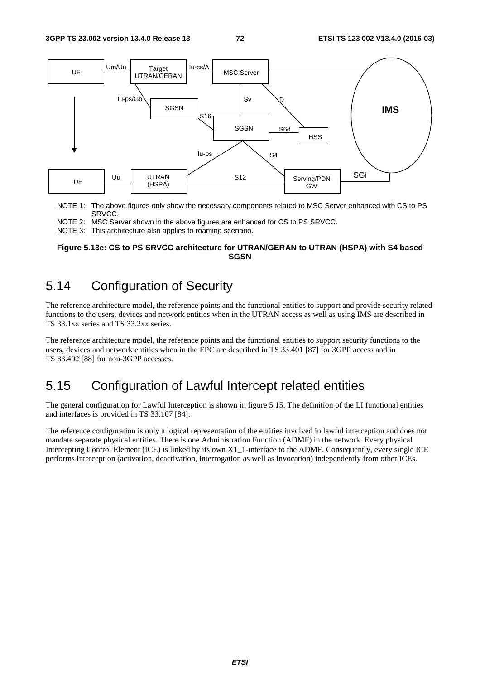

NOTE 1: The above figures only show the necessary components related to MSC Server enhanced with CS to PS SRVCC.

NOTE 2: MSC Server shown in the above figures are enhanced for CS to PS SRVCC.

NOTE 3: This architecture also applies to roaming scenario.

#### **Figure 5.13e: CS to PS SRVCC architecture for UTRAN/GERAN to UTRAN (HSPA) with S4 based SGSN**

## 5.14 Configuration of Security

The reference architecture model, the reference points and the functional entities to support and provide security related functions to the users, devices and network entities when in the UTRAN access as well as using IMS are described in TS 33.1xx series and TS 33.2xx series.

The reference architecture model, the reference points and the functional entities to support security functions to the users, devices and network entities when in the EPC are described in TS 33.401 [87] for 3GPP access and in TS 33.402 [88] for non-3GPP accesses.

### 5.15 Configuration of Lawful Intercept related entities

The general configuration for Lawful Interception is shown in figure 5.15. The definition of the LI functional entities and interfaces is provided in TS 33.107 [84].

The reference configuration is only a logical representation of the entities involved in lawful interception and does not mandate separate physical entities. There is one Administration Function (ADMF) in the network. Every physical Intercepting Control Element (ICE) is linked by its own X1\_1-interface to the ADMF. Consequently, every single ICE performs interception (activation, deactivation, interrogation as well as invocation) independently from other ICEs.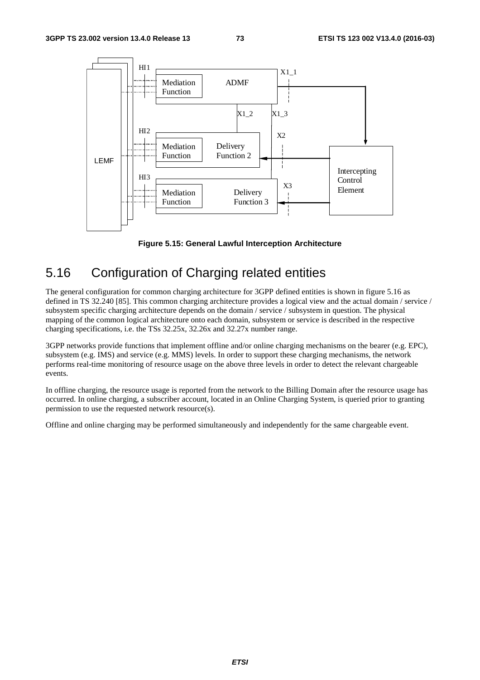

**Figure 5.15: General Lawful Interception Architecture** 

# 5.16 Configuration of Charging related entities

The general configuration for common charging architecture for 3GPP defined entities is shown in figure 5.16 as defined in TS 32.240 [85]. This common charging architecture provides a logical view and the actual domain / service / subsystem specific charging architecture depends on the domain / service / subsystem in question. The physical mapping of the common logical architecture onto each domain, subsystem or service is described in the respective charging specifications, i.e. the TSs 32.25x, 32.26x and 32.27x number range.

3GPP networks provide functions that implement offline and/or online charging mechanisms on the bearer (e.g. EPC), subsystem (e.g. IMS) and service (e.g. MMS) levels. In order to support these charging mechanisms, the network performs real-time monitoring of resource usage on the above three levels in order to detect the relevant chargeable events.

In offline charging, the resource usage is reported from the network to the Billing Domain after the resource usage has occurred. In online charging, a subscriber account, located in an Online Charging System, is queried prior to granting permission to use the requested network resource(s).

Offline and online charging may be performed simultaneously and independently for the same chargeable event.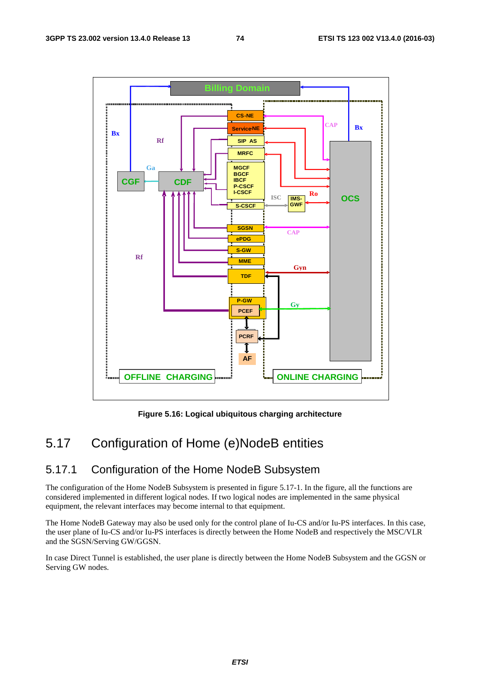

**Figure 5.16: Logical ubiquitous charging architecture** 

# 5.17 Configuration of Home (e)NodeB entities

### 5.17.1 Configuration of the Home NodeB Subsystem

The configuration of the Home NodeB Subsystem is presented in figure 5.17-1. In the figure, all the functions are considered implemented in different logical nodes. If two logical nodes are implemented in the same physical equipment, the relevant interfaces may become internal to that equipment.

The Home NodeB Gateway may also be used only for the control plane of Iu-CS and/or Iu-PS interfaces. In this case, the user plane of Iu-CS and/or Iu-PS interfaces is directly between the Home NodeB and respectively the MSC/VLR and the SGSN/Serving GW/GGSN.

In case Direct Tunnel is established, the user plane is directly between the Home NodeB Subsystem and the GGSN or Serving GW nodes.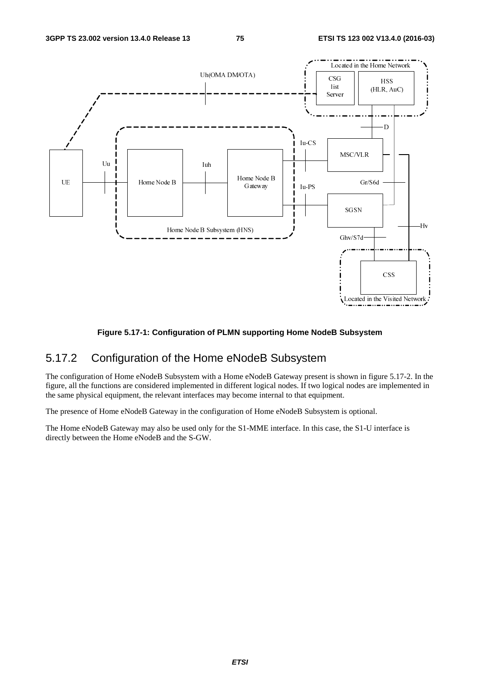

#### **Figure 5.17-1: Configuration of PLMN supporting Home NodeB Subsystem**

### 5.17.2 Configuration of the Home eNodeB Subsystem

Located in the Visited States of the Visited States are implemented in the S1-U interface is The configuration of Home eNodeB Subsystem with a Home eNodeB Gateway present is shown in figure 5.17-2. In the figure, all the functions are considered implemented in different logical nodes. If two logical nodes are implemented in the same physical equipment, the relevant interfaces may become internal to that equipment.

The presence of Home eNodeB Gateway in the configuration of Home eNodeB Subsystem is optional.

The Home eNodeB Gateway may also be used only for the S1-MME interface. In this case, the S1-U interface is directly between the Home eNodeB and the S-GW.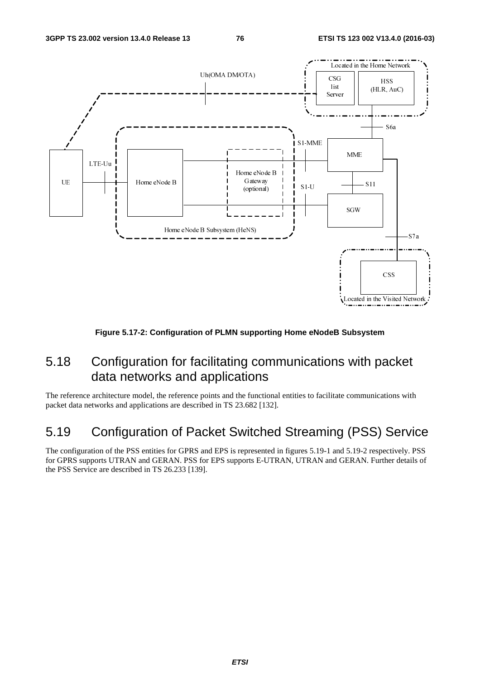

#### **Figure 5.17-2: Configuration of PLMN supporting Home eNodeB Subsystem**

# 5.18 Configuration for facilitating communications with packet data networks and applications

The reference architecture model, the reference points and the functional entities to facilitate communications with packet data networks and applications are described in TS 23.682 [132].

# 5.19 Configuration of Packet Switched Streaming (PSS) Service

Subsystem<br>
With packet<br>
communications with<br>
(PSS) Service<br>
5.19-2 respectively. PSS<br>
ERAN. Further details of The configuration of the PSS entities for GPRS and EPS is represented in figures 5.19-1 and 5.19-2 respectively. PSS for GPRS supports UTRAN and GERAN. PSS for EPS supports E-UTRAN, UTRAN and GERAN. Further details of the PSS Service are described in TS 26.233 [139].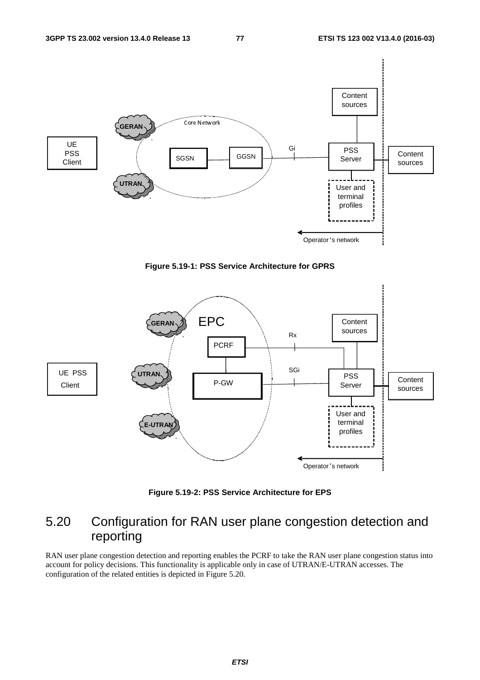

**Figure 5.19-1: PSS Service Architecture for GPRS** 



**Figure 5.19-2: PSS Service Architecture for EPS** 

# 5.20 Configuration for RAN user plane congestion detection and reporting

RAN user plane congestion detection and reporting enables the PCRF to take the RAN user plane congestion status into account for policy decisions. This functionality is applicable only in case of UTRAN/E-UTRAN accesses. The configuration of the related entities is depicted in Figure 5.20.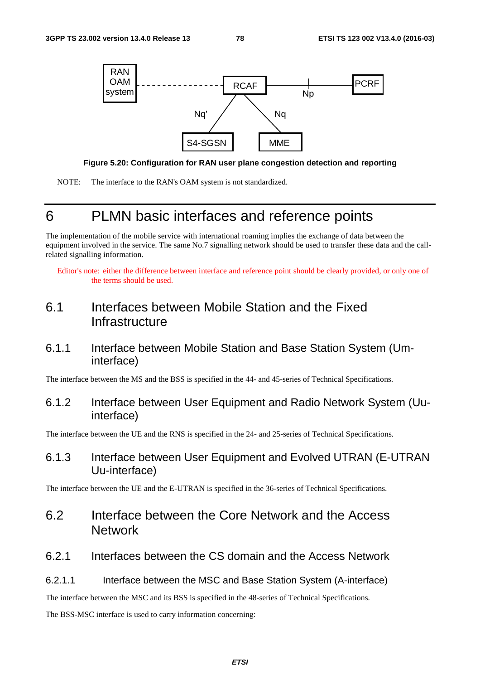

#### **Figure 5.20: Configuration for RAN user plane congestion detection and reporting**

NOTE: The interface to the RAN's OAM system is not standardized.

# 6 PLMN basic interfaces and reference points

The implementation of the mobile service with international roaming implies the exchange of data between the equipment involved in the service. The same No.7 signalling network should be used to transfer these data and the callrelated signalling information.

Editor's note: either the difference between interface and reference point should be clearly provided, or only one of the terms should be used.

### 6.1 Interfaces between Mobile Station and the Fixed Infrastructure

#### 6.1.1 Interface between Mobile Station and Base Station System (Uminterface)

The interface between the MS and the BSS is specified in the 44- and 45-series of Technical Specifications.

### 6.1.2 Interface between User Equipment and Radio Network System (Uuinterface)

The interface between the UE and the RNS is specified in the 24- and 25-series of Technical Specifications.

#### 6.1.3 Interface between User Equipment and Evolved UTRAN (E-UTRAN Uu-interface)

The interface between the UE and the E-UTRAN is specified in the 36-series of Technical Specifications.

### 6.2 Interface between the Core Network and the Access **Network**

#### 6.2.1 Interfaces between the CS domain and the Access Network

#### 6.2.1.1 Interface between the MSC and Base Station System (A-interface)

The interface between the MSC and its BSS is specified in the 48-series of Technical Specifications.

The BSS-MSC interface is used to carry information concerning: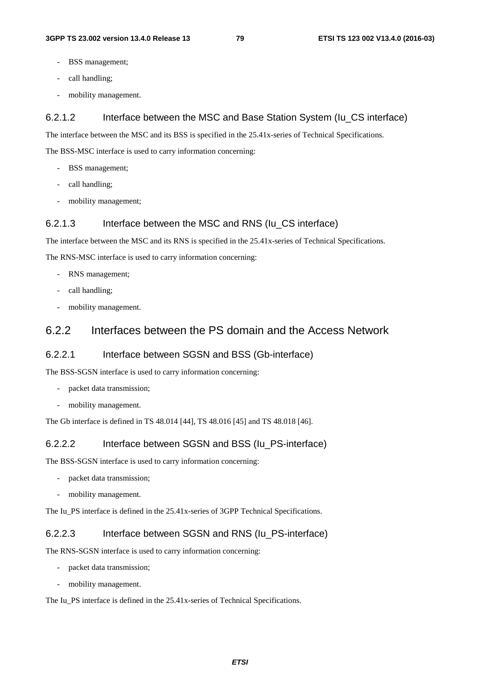- BSS management;
- call handling;
- mobility management.

#### 6.2.1.2 Interface between the MSC and Base Station System (Iu\_CS interface)

The interface between the MSC and its BSS is specified in the 25.41x-series of Technical Specifications.

The BSS-MSC interface is used to carry information concerning:

- BSS management;
- call handling;
- mobility management;

#### 6.2.1.3 Interface between the MSC and RNS (Iu\_CS interface)

The interface between the MSC and its RNS is specified in the 25.41x-series of Technical Specifications.

The RNS-MSC interface is used to carry information concerning:

- RNS management;
- call handling;
- mobility management.

#### 6.2.2 Interfaces between the PS domain and the Access Network

#### 6.2.2.1 Interface between SGSN and BSS (Gb-interface)

The BSS-SGSN interface is used to carry information concerning:

- packet data transmission;
- mobility management.

The Gb interface is defined in TS 48.014 [44], TS 48.016 [45] and TS 48.018 [46].

#### 6.2.2.2 Interface between SGSN and BSS (Iu\_PS-interface)

The BSS-SGSN interface is used to carry information concerning:

- packet data transmission;
- mobility management.

The Iu PS interface is defined in the 25.41x-series of 3GPP Technical Specifications.

#### 6.2.2.3 Interface between SGSN and RNS (Iu\_PS-interface)

The RNS-SGSN interface is used to carry information concerning:

- packet data transmission;
- mobility management.

The Iu\_PS interface is defined in the 25.41x-series of Technical Specifications.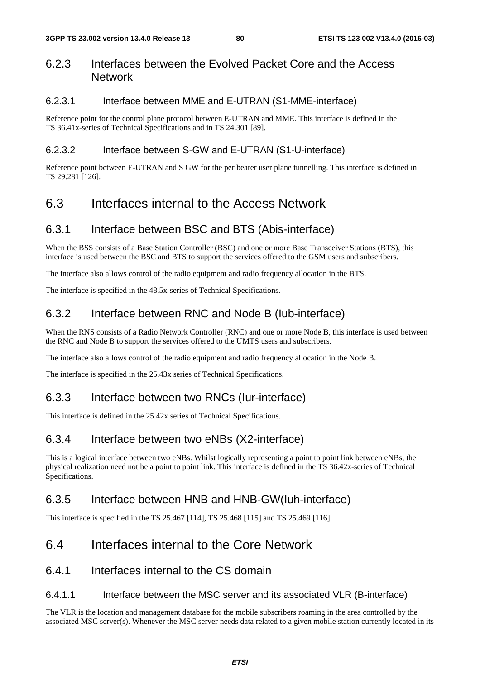#### 6.2.3 Interfaces between the Evolved Packet Core and the Access Network

#### 6.2.3.1 Interface between MME and E-UTRAN (S1-MME-interface)

Reference point for the control plane protocol between E-UTRAN and MME. This interface is defined in the TS 36.41x-series of Technical Specifications and in TS 24.301 [89].

#### 6.2.3.2 Interface between S-GW and E-UTRAN (S1-U-interface)

Reference point between E-UTRAN and S GW for the per bearer user plane tunnelling. This interface is defined in TS 29.281 [126].

### 6.3 Interfaces internal to the Access Network

### 6.3.1 Interface between BSC and BTS (Abis-interface)

When the BSS consists of a Base Station Controller (BSC) and one or more Base Transceiver Stations (BTS), this interface is used between the BSC and BTS to support the services offered to the GSM users and subscribers.

The interface also allows control of the radio equipment and radio frequency allocation in the BTS.

The interface is specified in the 48.5x-series of Technical Specifications.

### 6.3.2 Interface between RNC and Node B (Iub-interface)

When the RNS consists of a Radio Network Controller (RNC) and one or more Node B, this interface is used between the RNC and Node B to support the services offered to the UMTS users and subscribers.

The interface also allows control of the radio equipment and radio frequency allocation in the Node B.

The interface is specified in the 25.43x series of Technical Specifications.

#### 6.3.3 Interface between two RNCs (Iur-interface)

This interface is defined in the 25.42x series of Technical Specifications.

### 6.3.4 Interface between two eNBs (X2-interface)

This is a logical interface between two eNBs. Whilst logically representing a point to point link between eNBs, the physical realization need not be a point to point link. This interface is defined in the TS 36.42x-series of Technical Specifications.

### 6.3.5 Interface between HNB and HNB-GW(Iuh-interface)

This interface is specified in the TS 25.467 [114], TS 25.468 [115] and TS 25.469 [116].

### 6.4 Interfaces internal to the Core Network

#### 6.4.1 Interfaces internal to the CS domain

#### 6.4.1.1 Interface between the MSC server and its associated VLR (B-interface)

The VLR is the location and management database for the mobile subscribers roaming in the area controlled by the associated MSC server(s). Whenever the MSC server needs data related to a given mobile station currently located in its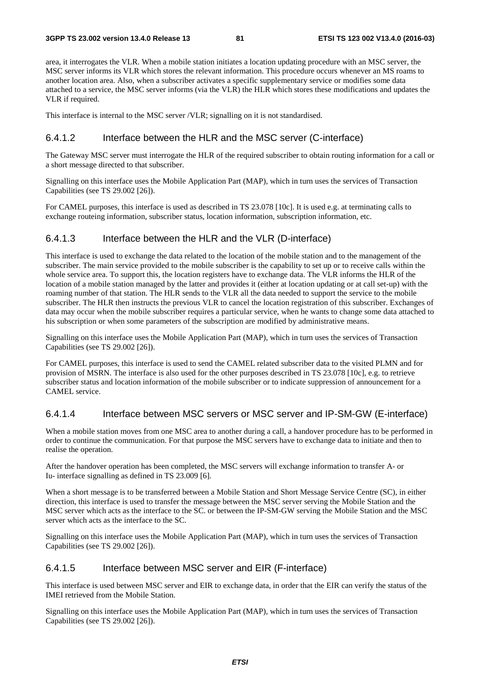area, it interrogates the VLR. When a mobile station initiates a location updating procedure with an MSC server, the MSC server informs its VLR which stores the relevant information. This procedure occurs whenever an MS roams to another location area. Also, when a subscriber activates a specific supplementary service or modifies some data attached to a service, the MSC server informs (via the VLR) the HLR which stores these modifications and updates the VLR if required.

This interface is internal to the MSC server /VLR; signalling on it is not standardised.

#### 6.4.1.2 Interface between the HLR and the MSC server (C-interface)

The Gateway MSC server must interrogate the HLR of the required subscriber to obtain routing information for a call or a short message directed to that subscriber.

Signalling on this interface uses the Mobile Application Part (MAP), which in turn uses the services of Transaction Capabilities (see TS 29.002 [26]).

For CAMEL purposes, this interface is used as described in TS 23.078 [10c]. It is used e.g. at terminating calls to exchange routeing information, subscriber status, location information, subscription information, etc.

#### 6.4.1.3 Interface between the HLR and the VLR (D-interface)

This interface is used to exchange the data related to the location of the mobile station and to the management of the subscriber. The main service provided to the mobile subscriber is the capability to set up or to receive calls within the whole service area. To support this, the location registers have to exchange data. The VLR informs the HLR of the location of a mobile station managed by the latter and provides it (either at location updating or at call set-up) with the roaming number of that station. The HLR sends to the VLR all the data needed to support the service to the mobile subscriber. The HLR then instructs the previous VLR to cancel the location registration of this subscriber. Exchanges of data may occur when the mobile subscriber requires a particular service, when he wants to change some data attached to his subscription or when some parameters of the subscription are modified by administrative means.

Signalling on this interface uses the Mobile Application Part (MAP), which in turn uses the services of Transaction Capabilities (see TS 29.002 [26]).

For CAMEL purposes, this interface is used to send the CAMEL related subscriber data to the visited PLMN and for provision of MSRN. The interface is also used for the other purposes described in TS 23.078 [10c], e.g. to retrieve subscriber status and location information of the mobile subscriber or to indicate suppression of announcement for a CAMEL service.

#### 6.4.1.4 Interface between MSC servers or MSC server and IP-SM-GW (E-interface)

When a mobile station moves from one MSC area to another during a call, a handover procedure has to be performed in order to continue the communication. For that purpose the MSC servers have to exchange data to initiate and then to realise the operation.

After the handover operation has been completed, the MSC servers will exchange information to transfer A- or Iu- interface signalling as defined in TS 23.009 [6].

When a short message is to be transferred between a Mobile Station and Short Message Service Centre (SC), in either direction, this interface is used to transfer the message between the MSC server serving the Mobile Station and the MSC server which acts as the interface to the SC. or between the IP-SM-GW serving the Mobile Station and the MSC server which acts as the interface to the SC.

Signalling on this interface uses the Mobile Application Part (MAP), which in turn uses the services of Transaction Capabilities (see TS 29.002 [26]).

#### 6.4.1.5 Interface between MSC server and EIR (F-interface)

This interface is used between MSC server and EIR to exchange data, in order that the EIR can verify the status of the IMEI retrieved from the Mobile Station.

Signalling on this interface uses the Mobile Application Part (MAP), which in turn uses the services of Transaction Capabilities (see TS 29.002 [26]).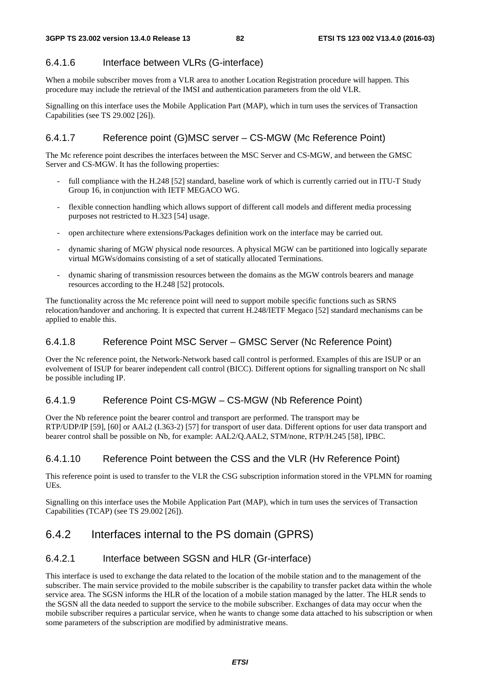#### 6.4.1.6 Interface between VLRs (G-interface)

When a mobile subscriber moves from a VLR area to another Location Registration procedure will happen. This procedure may include the retrieval of the IMSI and authentication parameters from the old VLR.

Signalling on this interface uses the Mobile Application Part (MAP), which in turn uses the services of Transaction Capabilities (see TS 29.002 [26]).

#### 6.4.1.7 Reference point (G)MSC server – CS-MGW (Mc Reference Point)

The Mc reference point describes the interfaces between the MSC Server and CS-MGW, and between the GMSC Server and CS-MGW. It has the following properties:

- full compliance with the H.248 [52] standard, baseline work of which is currently carried out in ITU-T Study Group 16, in conjunction with IETF MEGACO WG.
- flexible connection handling which allows support of different call models and different media processing purposes not restricted to H.323 [54] usage.
- open architecture where extensions/Packages definition work on the interface may be carried out.
- dynamic sharing of MGW physical node resources. A physical MGW can be partitioned into logically separate virtual MGWs/domains consisting of a set of statically allocated Terminations.
- dynamic sharing of transmission resources between the domains as the MGW controls bearers and manage resources according to the H.248 [52] protocols.

The functionality across the Mc reference point will need to support mobile specific functions such as SRNS relocation/handover and anchoring. It is expected that current H.248/IETF Megaco [52] standard mechanisms can be applied to enable this.

#### 6.4.1.8 Reference Point MSC Server – GMSC Server (Nc Reference Point)

Over the Nc reference point, the Network-Network based call control is performed. Examples of this are ISUP or an evolvement of ISUP for bearer independent call control (BICC). Different options for signalling transport on Nc shall be possible including IP.

#### 6.4.1.9 Reference Point CS-MGW – CS-MGW (Nb Reference Point)

Over the Nb reference point the bearer control and transport are performed. The transport may be RTP/UDP/IP [59], [60] or AAL2 (I.363-2) [57] for transport of user data. Different options for user data transport and bearer control shall be possible on Nb, for example: AAL2/Q.AAL2, STM/none, RTP/H.245 [58], IPBC.

#### 6.4.1.10 Reference Point between the CSS and the VLR (Hv Reference Point)

This reference point is used to transfer to the VLR the CSG subscription information stored in the VPLMN for roaming UEs.

Signalling on this interface uses the Mobile Application Part (MAP), which in turn uses the services of Transaction Capabilities (TCAP) (see TS 29.002 [26]).

### 6.4.2 Interfaces internal to the PS domain (GPRS)

#### 6.4.2.1 Interface between SGSN and HLR (Gr-interface)

This interface is used to exchange the data related to the location of the mobile station and to the management of the subscriber. The main service provided to the mobile subscriber is the capability to transfer packet data within the whole service area. The SGSN informs the HLR of the location of a mobile station managed by the latter. The HLR sends to the SGSN all the data needed to support the service to the mobile subscriber. Exchanges of data may occur when the mobile subscriber requires a particular service, when he wants to change some data attached to his subscription or when some parameters of the subscription are modified by administrative means.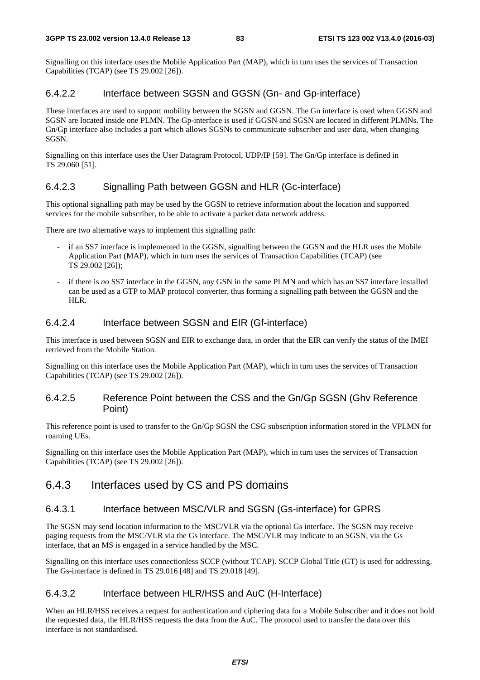Signalling on this interface uses the Mobile Application Part (MAP), which in turn uses the services of Transaction Capabilities (TCAP) (see TS 29.002 [26]).

#### 6.4.2.2 Interface between SGSN and GGSN (Gn- and Gp-interface)

These interfaces are used to support mobility between the SGSN and GGSN. The Gn interface is used when GGSN and SGSN are located inside one PLMN. The Gp-interface is used if GGSN and SGSN are located in different PLMNs. The Gn/Gp interface also includes a part which allows SGSNs to communicate subscriber and user data, when changing SGSN.

Signalling on this interface uses the User Datagram Protocol, UDP/IP [59]. The Gn/Gp interface is defined in TS 29.060 [51].

#### 6.4.2.3 Signalling Path between GGSN and HLR (Gc-interface)

This optional signalling path may be used by the GGSN to retrieve information about the location and supported services for the mobile subscriber, to be able to activate a packet data network address.

There are two alternative ways to implement this signalling path:

- if an SS7 interface is implemented in the GGSN, signalling between the GGSN and the HLR uses the Mobile Application Part (MAP), which in turn uses the services of Transaction Capabilities (TCAP) (see TS 29.002 [26]);
- if there is *no* SS7 interface in the GGSN, any GSN in the same PLMN and which has an SS7 interface installed can be used as a GTP to MAP protocol converter, thus forming a signalling path between the GGSN and the HLR.

#### 6.4.2.4 Interface between SGSN and EIR (Gf-interface)

This interface is used between SGSN and EIR to exchange data, in order that the EIR can verify the status of the IMEI retrieved from the Mobile Station.

Signalling on this interface uses the Mobile Application Part (MAP), which in turn uses the services of Transaction Capabilities (TCAP) (see TS 29.002 [26]).

#### 6.4.2.5 Reference Point between the CSS and the Gn/Gp SGSN (Ghv Reference Point)

This reference point is used to transfer to the Gn/Gp SGSN the CSG subscription information stored in the VPLMN for roaming UEs.

Signalling on this interface uses the Mobile Application Part (MAP), which in turn uses the services of Transaction Capabilities (TCAP) (see TS 29.002 [26]).

### 6.4.3 Interfaces used by CS and PS domains

#### 6.4.3.1 Interface between MSC/VLR and SGSN (Gs-interface) for GPRS

The SGSN may send location information to the MSC/VLR via the optional Gs interface. The SGSN may receive paging requests from the MSC/VLR via the Gs interface. The MSC/VLR may indicate to an SGSN, via the Gs interface, that an MS is engaged in a service handled by the MSC.

Signalling on this interface uses connectionless SCCP (without TCAP). SCCP Global Title (GT) is used for addressing. The Gs-interface is defined in TS 29.016 [48] and TS 29.018 [49].

#### 6.4.3.2 Interface between HLR/HSS and AuC (H-Interface)

When an HLR/HSS receives a request for authentication and ciphering data for a Mobile Subscriber and it does not hold the requested data, the HLR/HSS requests the data from the AuC. The protocol used to transfer the data over this interface is not standardised.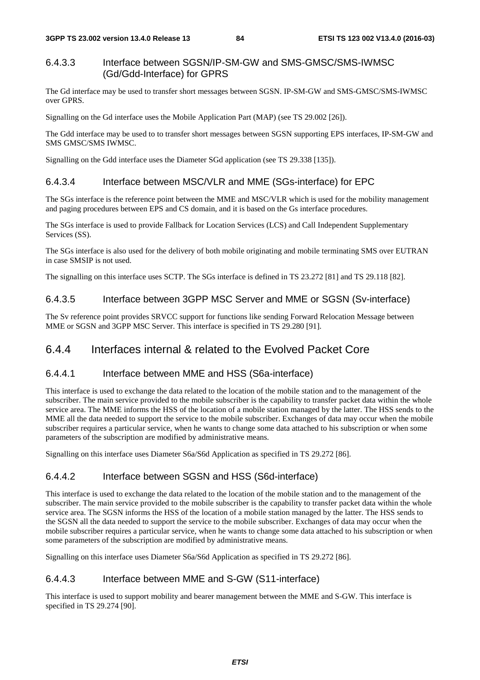#### 6.4.3.3 Interface between SGSN/IP-SM-GW and SMS-GMSC/SMS-IWMSC (Gd/Gdd-Interface) for GPRS

The Gd interface may be used to transfer short messages between SGSN. IP-SM-GW and SMS-GMSC/SMS-IWMSC over GPRS.

Signalling on the Gd interface uses the Mobile Application Part (MAP) (see TS 29.002 [26]).

The Gdd interface may be used to to transfer short messages between SGSN supporting EPS interfaces, IP-SM-GW and SMS GMSC/SMS IWMSC.

Signalling on the Gdd interface uses the Diameter SGd application (see TS 29.338 [135]).

#### 6.4.3.4 Interface between MSC/VLR and MME (SGs-interface) for EPC

The SGs interface is the reference point between the MME and MSC/VLR which is used for the mobility management and paging procedures between EPS and CS domain, and it is based on the Gs interface procedures.

The SGs interface is used to provide Fallback for Location Services (LCS) and Call Independent Supplementary Services (SS).

The SGs interface is also used for the delivery of both mobile originating and mobile terminating SMS over EUTRAN in case SMSIP is not used.

The signalling on this interface uses SCTP. The SGs interface is defined in TS 23.272 [81] and TS 29.118 [82].

#### 6.4.3.5 Interface between 3GPP MSC Server and MME or SGSN (Sv-interface)

The Sv reference point provides SRVCC support for functions like sending Forward Relocation Message between MME or SGSN and 3GPP MSC Server. This interface is specified in TS 29.280 [91].

### 6.4.4 Interfaces internal & related to the Evolved Packet Core

#### 6.4.4.1 Interface between MME and HSS (S6a-interface)

This interface is used to exchange the data related to the location of the mobile station and to the management of the subscriber. The main service provided to the mobile subscriber is the capability to transfer packet data within the whole service area. The MME informs the HSS of the location of a mobile station managed by the latter. The HSS sends to the MME all the data needed to support the service to the mobile subscriber. Exchanges of data may occur when the mobile subscriber requires a particular service, when he wants to change some data attached to his subscription or when some parameters of the subscription are modified by administrative means.

Signalling on this interface uses Diameter S6a/S6d Application as specified in TS 29.272 [86].

#### 6.4.4.2 Interface between SGSN and HSS (S6d-interface)

This interface is used to exchange the data related to the location of the mobile station and to the management of the subscriber. The main service provided to the mobile subscriber is the capability to transfer packet data within the whole service area. The SGSN informs the HSS of the location of a mobile station managed by the latter. The HSS sends to the SGSN all the data needed to support the service to the mobile subscriber. Exchanges of data may occur when the mobile subscriber requires a particular service, when he wants to change some data attached to his subscription or when some parameters of the subscription are modified by administrative means.

Signalling on this interface uses Diameter S6a/S6d Application as specified in TS 29.272 [86].

#### 6.4.4.3 Interface between MME and S-GW (S11-interface)

This interface is used to support mobility and bearer management between the MME and S-GW. This interface is specified in TS 29.274 [90].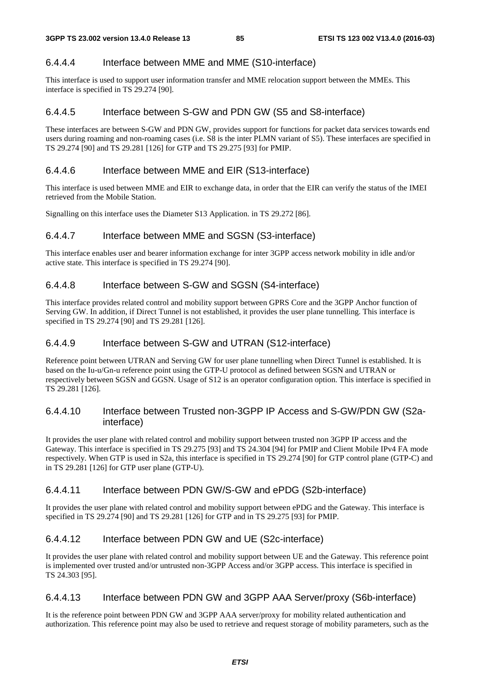#### 6.4.4.4 Interface between MME and MME (S10-interface)

This interface is used to support user information transfer and MME relocation support between the MMEs. This interface is specified in TS 29.274 [90].

#### 6.4.4.5 Interface between S-GW and PDN GW (S5 and S8-interface)

These interfaces are between S-GW and PDN GW, provides support for functions for packet data services towards end users during roaming and non-roaming cases (i.e. S8 is the inter PLMN variant of S5). These interfaces are specified in TS 29.274 [90] and TS 29.281 [126] for GTP and TS 29.275 [93] for PMIP.

#### 6.4.4.6 Interface between MME and EIR (S13-interface)

This interface is used between MME and EIR to exchange data, in order that the EIR can verify the status of the IMEI retrieved from the Mobile Station.

Signalling on this interface uses the Diameter S13 Application. in TS 29.272 [86].

#### 6.4.4.7 Interface between MME and SGSN (S3-interface)

This interface enables user and bearer information exchange for inter 3GPP access network mobility in idle and/or active state. This interface is specified in TS 29.274 [90].

#### 6.4.4.8 Interface between S-GW and SGSN (S4-interface)

This interface provides related control and mobility support between GPRS Core and the 3GPP Anchor function of Serving GW. In addition, if Direct Tunnel is not established, it provides the user plane tunnelling. This interface is specified in TS 29.274 [90] and TS 29.281 [126].

#### 6.4.4.9 Interface between S-GW and UTRAN (S12-interface)

Reference point between UTRAN and Serving GW for user plane tunnelling when Direct Tunnel is established. It is based on the Iu-u/Gn-u reference point using the GTP-U protocol as defined between SGSN and UTRAN or respectively between SGSN and GGSN. Usage of S12 is an operator configuration option. This interface is specified in TS 29.281 [126].

#### 6.4.4.10 Interface between Trusted non-3GPP IP Access and S-GW/PDN GW (S2ainterface)

It provides the user plane with related control and mobility support between trusted non 3GPP IP access and the Gateway. This interface is specified in TS 29.275 [93] and TS 24.304 [94] for PMIP and Client Mobile IPv4 FA mode respectively. When GTP is used in S2a, this interface is specified in TS 29.274 [90] for GTP control plane (GTP-C) and in TS 29.281 [126] for GTP user plane (GTP-U).

#### 6.4.4.11 Interface between PDN GW/S-GW and ePDG (S2b-interface)

It provides the user plane with related control and mobility support between ePDG and the Gateway. This interface is specified in TS 29.274 [90] and TS 29.281 [126] for GTP and in TS 29.275 [93] for PMIP.

#### 6.4.4.12 Interface between PDN GW and UE (S2c-interface)

It provides the user plane with related control and mobility support between UE and the Gateway. This reference point is implemented over trusted and/or untrusted non-3GPP Access and/or 3GPP access. This interface is specified in TS 24.303 [95].

#### 6.4.4.13 Interface between PDN GW and 3GPP AAA Server/proxy (S6b-interface)

It is the reference point between PDN GW and 3GPP AAA server/proxy for mobility related authentication and authorization. This reference point may also be used to retrieve and request storage of mobility parameters, such as the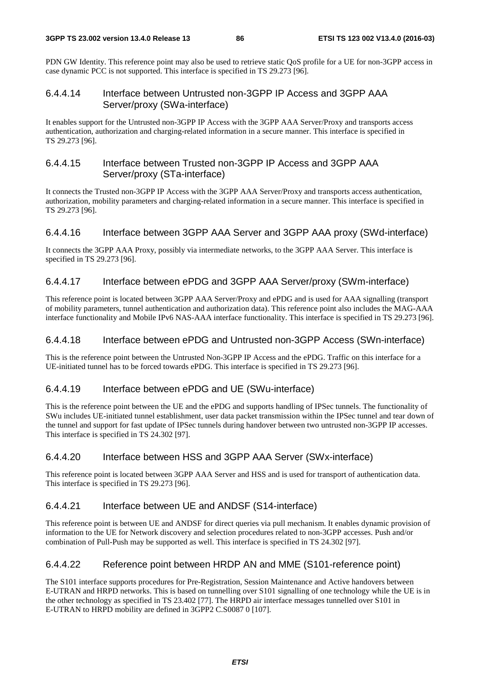PDN GW Identity. This reference point may also be used to retrieve static QoS profile for a UE for non-3GPP access in case dynamic PCC is not supported. This interface is specified in TS 29.273 [96].

#### 6.4.4.14 Interface between Untrusted non-3GPP IP Access and 3GPP AAA Server/proxy (SWa-interface)

It enables support for the Untrusted non-3GPP IP Access with the 3GPP AAA Server/Proxy and transports access authentication, authorization and charging-related information in a secure manner. This interface is specified in TS 29.273 [96].

#### 6.4.4.15 Interface between Trusted non-3GPP IP Access and 3GPP AAA Server/proxy (STa-interface)

It connects the Trusted non-3GPP IP Access with the 3GPP AAA Server/Proxy and transports access authentication, authorization, mobility parameters and charging-related information in a secure manner. This interface is specified in TS 29.273 [96].

#### 6.4.4.16 Interface between 3GPP AAA Server and 3GPP AAA proxy (SWd-interface)

It connects the 3GPP AAA Proxy, possibly via intermediate networks, to the 3GPP AAA Server. This interface is specified in TS 29.273 [96].

#### 6.4.4.17 Interface between ePDG and 3GPP AAA Server/proxy (SWm-interface)

This reference point is located between 3GPP AAA Server/Proxy and ePDG and is used for AAA signalling (transport of mobility parameters, tunnel authentication and authorization data). This reference point also includes the MAG-AAA interface functionality and Mobile IPv6 NAS-AAA interface functionality. This interface is specified in TS 29.273 [96].

#### 6.4.4.18 Interface between ePDG and Untrusted non-3GPP Access (SWn-interface)

This is the reference point between the Untrusted Non-3GPP IP Access and the ePDG. Traffic on this interface for a UE-initiated tunnel has to be forced towards ePDG. This interface is specified in TS 29.273 [96].

#### 6.4.4.19 Interface between ePDG and UE (SWu-interface)

This is the reference point between the UE and the ePDG and supports handling of IPSec tunnels. The functionality of SWu includes UE-initiated tunnel establishment, user data packet transmission within the IPSec tunnel and tear down of the tunnel and support for fast update of IPSec tunnels during handover between two untrusted non-3GPP IP accesses. This interface is specified in TS 24.302 [97].

#### 6.4.4.20 Interface between HSS and 3GPP AAA Server (SWx-interface)

This reference point is located between 3GPP AAA Server and HSS and is used for transport of authentication data. This interface is specified in TS 29.273 [96].

#### 6.4.4.21 Interface between UE and ANDSF (S14-interface)

This reference point is between UE and ANDSF for direct queries via pull mechanism. It enables dynamic provision of information to the UE for Network discovery and selection procedures related to non-3GPP accesses. Push and/or combination of Pull-Push may be supported as well. This interface is specified in TS 24.302 [97].

#### 6.4.4.22 Reference point between HRDP AN and MME (S101-reference point)

The S101 interface supports procedures for Pre-Registration, Session Maintenance and Active handovers between E-UTRAN and HRPD networks. This is based on tunnelling over S101 signalling of one technology while the UE is in the other technology as specified in TS 23.402 [77]. The HRPD air interface messages tunnelled over S101 in E-UTRAN to HRPD mobility are defined in 3GPP2 C.S0087 0 [107].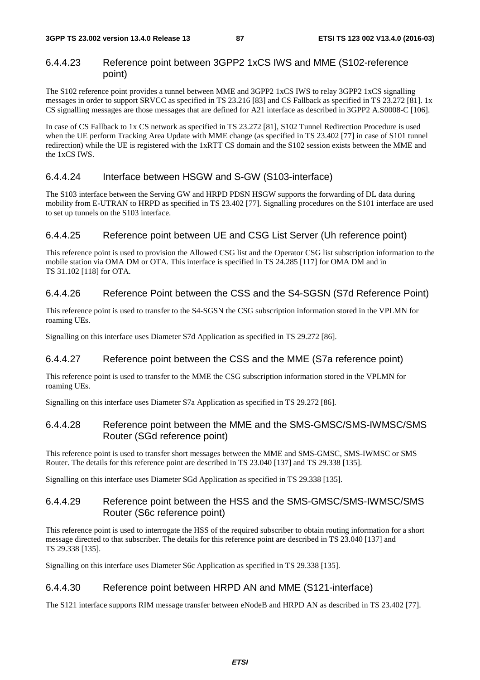#### 6.4.4.23 Reference point between 3GPP2 1xCS IWS and MME (S102-reference point)

The S102 reference point provides a tunnel between MME and 3GPP2 1xCS IWS to relay 3GPP2 1xCS signalling messages in order to support SRVCC as specified in TS 23.216 [83] and CS Fallback as specified in TS 23.272 [81]. 1x CS signalling messages are those messages that are defined for A21 interface as described in 3GPP2 A.S0008-C [106].

In case of CS Fallback to 1x CS network as specified in TS 23.272 [81], S102 Tunnel Redirection Procedure is used when the UE perform Tracking Area Update with MME change (as specified in TS 23.402 [77] in case of S101 tunnel redirection) while the UE is registered with the 1xRTT CS domain and the S102 session exists between the MME and the 1xCS IWS.

#### 6.4.4.24 Interface between HSGW and S-GW (S103-interface)

The S103 interface between the Serving GW and HRPD PDSN HSGW supports the forwarding of DL data during mobility from E-UTRAN to HRPD as specified in TS 23.402 [77]. Signalling procedures on the S101 interface are used to set up tunnels on the S103 interface.

#### 6.4.4.25 Reference point between UE and CSG List Server (Uh reference point)

This reference point is used to provision the Allowed CSG list and the Operator CSG list subscription information to the mobile station via OMA DM or OTA. This interface is specified in TS 24.285 [117] for OMA DM and in TS 31.102 [118] for OTA.

#### 6.4.4.26 Reference Point between the CSS and the S4-SGSN (S7d Reference Point)

This reference point is used to transfer to the S4-SGSN the CSG subscription information stored in the VPLMN for roaming UEs.

Signalling on this interface uses Diameter S7d Application as specified in TS 29.272 [86].

#### 6.4.4.27 Reference point between the CSS and the MME (S7a reference point)

This reference point is used to transfer to the MME the CSG subscription information stored in the VPLMN for roaming UEs.

Signalling on this interface uses Diameter S7a Application as specified in TS 29.272 [86].

#### 6.4.4.28 Reference point between the MME and the SMS-GMSC/SMS-IWMSC/SMS Router (SGd reference point)

This reference point is used to transfer short messages between the MME and SMS-GMSC, SMS-IWMSC or SMS Router. The details for this reference point are described in TS 23.040 [137] and TS 29.338 [135].

Signalling on this interface uses Diameter SGd Application as specified in TS 29.338 [135].

#### 6.4.4.29 Reference point between the HSS and the SMS-GMSC/SMS-IWMSC/SMS Router (S6c reference point)

This reference point is used to interrogate the HSS of the required subscriber to obtain routing information for a short message directed to that subscriber. The details for this reference point are described in TS 23.040 [137] and TS 29.338 [135].

Signalling on this interface uses Diameter S6c Application as specified in TS 29.338 [135].

#### 6.4.4.30 Reference point between HRPD AN and MME (S121-interface)

The S121 interface supports RIM message transfer between eNodeB and HRPD AN as described in TS 23.402 [77].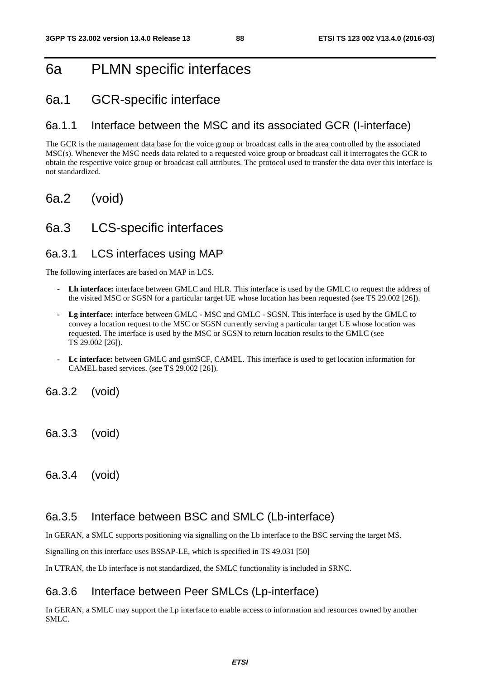# 6a PLMN specific interfaces

### 6a.1 GCR-specific interface

#### 6a.1.1 Interface between the MSC and its associated GCR (I-interface)

The GCR is the management data base for the voice group or broadcast calls in the area controlled by the associated MSC(s). Whenever the MSC needs data related to a requested voice group or broadcast call it interrogates the GCR to obtain the respective voice group or broadcast call attributes. The protocol used to transfer the data over this interface is not standardized.

### 6a.2 (void)

### 6a.3 LCS-specific interfaces

#### 6a.3.1 LCS interfaces using MAP

The following interfaces are based on MAP in LCS.

- **Lh interface:** interface between GMLC and HLR. This interface is used by the GMLC to request the address of the visited MSC or SGSN for a particular target UE whose location has been requested (see TS 29.002 [26]).
- Lg interface: interface between GMLC MSC and GMLC SGSN. This interface is used by the GMLC to convey a location request to the MSC or SGSN currently serving a particular target UE whose location was requested. The interface is used by the MSC or SGSN to return location results to the GMLC (see TS 29.002 [26]).
- Le interface: between GMLC and gsmSCF, CAMEL. This interface is used to get location information for CAMEL based services. (see TS 29.002 [26]).

6a.3.2 (void)

- 6a.3.3 (void)
- 6a.3.4 (void)

### 6a.3.5 Interface between BSC and SMLC (Lb-interface)

In GERAN, a SMLC supports positioning via signalling on the Lb interface to the BSC serving the target MS.

Signalling on this interface uses BSSAP-LE, which is specified in TS 49.031 [50]

In UTRAN, the Lb interface is not standardized, the SMLC functionality is included in SRNC.

### 6a.3.6 Interface between Peer SMLCs (Lp-interface)

In GERAN, a SMLC may support the Lp interface to enable access to information and resources owned by another SMLC.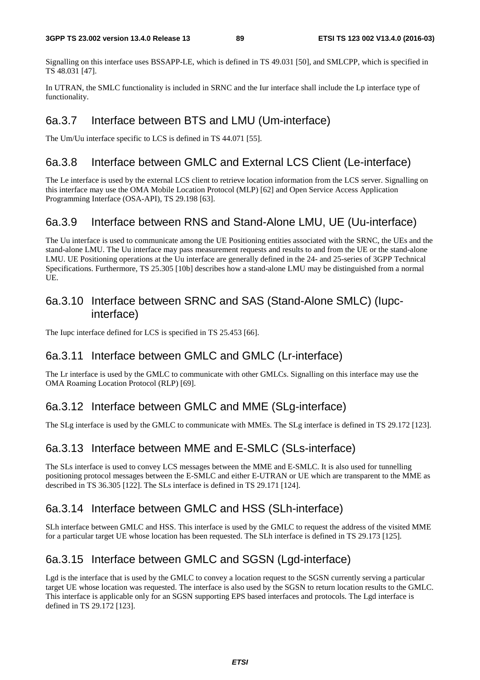Signalling on this interface uses BSSAPP-LE, which is defined in TS 49.031 [50], and SMLCPP, which is specified in TS 48.031 [47].

In UTRAN, the SMLC functionality is included in SRNC and the Iur interface shall include the Lp interface type of functionality.

### 6a.3.7 Interface between BTS and LMU (Um-interface)

The Um/Uu interface specific to LCS is defined in TS 44.071 [55].

### 6a.3.8 Interface between GMLC and External LCS Client (Le-interface)

The Le interface is used by the external LCS client to retrieve location information from the LCS server. Signalling on this interface may use the OMA Mobile Location Protocol (MLP) [62] and Open Service Access Application Programming Interface (OSA-API), TS 29.198 [63].

### 6a.3.9 Interface between RNS and Stand-Alone LMU, UE (Uu-interface)

The Uu interface is used to communicate among the UE Positioning entities associated with the SRNC, the UEs and the stand-alone LMU. The Uu interface may pass measurement requests and results to and from the UE or the stand-alone LMU. UE Positioning operations at the Uu interface are generally defined in the 24- and 25-series of 3GPP Technical Specifications. Furthermore, TS 25.305 [10b] describes how a stand-alone LMU may be distinguished from a normal UE.

### 6a.3.10 Interface between SRNC and SAS (Stand-Alone SMLC) (Iupcinterface)

The Iupc interface defined for LCS is specified in TS 25.453 [66].

### 6a.3.11 Interface between GMLC and GMLC (Lr-interface)

The Lr interface is used by the GMLC to communicate with other GMLCs. Signalling on this interface may use the OMA Roaming Location Protocol (RLP) [69].

### 6a.3.12 Interface between GMLC and MME (SLg-interface)

The SLg interface is used by the GMLC to communicate with MMEs. The SLg interface is defined in TS 29.172 [123].

### 6a.3.13 Interface between MME and E-SMLC (SLs-interface)

The SLs interface is used to convey LCS messages between the MME and E-SMLC. It is also used for tunnelling positioning protocol messages between the E-SMLC and either E-UTRAN or UE which are transparent to the MME as described in TS 36.305 [122]. The SLs interface is defined in TS 29.171 [124].

### 6a.3.14 Interface between GMLC and HSS (SLh-interface)

SLh interface between GMLC and HSS. This interface is used by the GMLC to request the address of the visited MME for a particular target UE whose location has been requested. The SLh interface is defined in TS 29.173 [125].

### 6a.3.15 Interface between GMLC and SGSN (Lgd-interface)

Lgd is the interface that is used by the GMLC to convey a location request to the SGSN currently serving a particular target UE whose location was requested. The interface is also used by the SGSN to return location results to the GMLC. This interface is applicable only for an SGSN supporting EPS based interfaces and protocols. The Lgd interface is defined in TS 29.172 [123].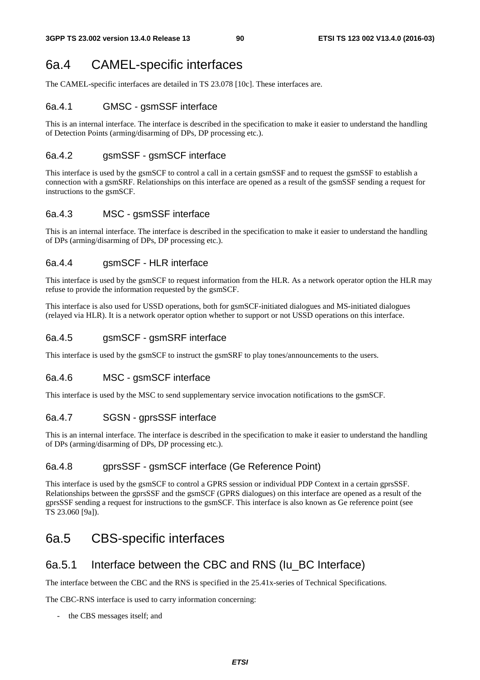# 6a.4 CAMEL-specific interfaces

The CAMEL-specific interfaces are detailed in TS 23.078 [10c]. These interfaces are.

#### 6a.4.1 GMSC - gsmSSF interface

This is an internal interface. The interface is described in the specification to make it easier to understand the handling of Detection Points (arming/disarming of DPs, DP processing etc.).

#### 6a.4.2 gsmSSF - gsmSCF interface

This interface is used by the gsmSCF to control a call in a certain gsmSSF and to request the gsmSSF to establish a connection with a gsmSRF. Relationships on this interface are opened as a result of the gsmSSF sending a request for instructions to the gsmSCF.

#### 6a.4.3 MSC - gsmSSF interface

This is an internal interface. The interface is described in the specification to make it easier to understand the handling of DPs (arming/disarming of DPs, DP processing etc.).

#### 6a.4.4 gsmSCF - HLR interface

This interface is used by the gsmSCF to request information from the HLR. As a network operator option the HLR may refuse to provide the information requested by the gsmSCF.

This interface is also used for USSD operations, both for gsmSCF-initiated dialogues and MS-initiated dialogues (relayed via HLR). It is a network operator option whether to support or not USSD operations on this interface.

#### 6a.4.5 gsmSCF - gsmSRF interface

This interface is used by the gsmSCF to instruct the gsmSRF to play tones/announcements to the users.

#### 6a.4.6 MSC - gsmSCF interface

This interface is used by the MSC to send supplementary service invocation notifications to the gsmSCF.

#### 6a.4.7 SGSN - gprsSSF interface

This is an internal interface. The interface is described in the specification to make it easier to understand the handling of DPs (arming/disarming of DPs, DP processing etc.).

#### 6a.4.8 gprsSSF - gsmSCF interface (Ge Reference Point)

This interface is used by the gsmSCF to control a GPRS session or individual PDP Context in a certain gprsSSF. Relationships between the gprsSSF and the gsmSCF (GPRS dialogues) on this interface are opened as a result of the gprsSSF sending a request for instructions to the gsmSCF. This interface is also known as Ge reference point (see TS 23.060 [9a]).

### 6a.5 CBS-specific interfaces

### 6a.5.1 Interface between the CBC and RNS (Iu\_BC Interface)

The interface between the CBC and the RNS is specified in the 25.41x-series of Technical Specifications.

The CBC-RNS interface is used to carry information concerning:

the CBS messages itself; and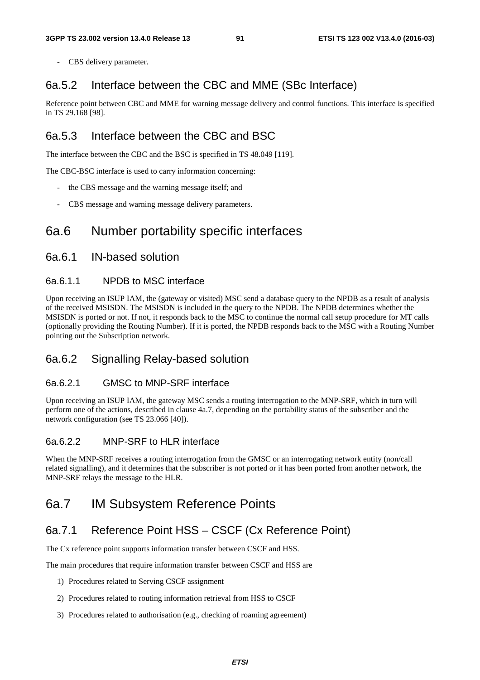CBS delivery parameter.

### 6a.5.2 Interface between the CBC and MME (SBc Interface)

Reference point between CBC and MME for warning message delivery and control functions. This interface is specified in TS 29.168 [98].

### 6a.5.3 Interface between the CBC and BSC

The interface between the CBC and the BSC is specified in TS 48.049 [119].

The CBC-BSC interface is used to carry information concerning:

- the CBS message and the warning message itself; and
- CBS message and warning message delivery parameters.

# 6a.6 Number portability specific interfaces

### 6a.6.1 IN-based solution

#### 6a.6.1.1 NPDB to MSC interface

Upon receiving an ISUP IAM, the (gateway or visited) MSC send a database query to the NPDB as a result of analysis of the received MSISDN. The MSISDN is included in the query to the NPDB. The NPDB determines whether the MSISDN is ported or not. If not, it responds back to the MSC to continue the normal call setup procedure for MT calls (optionally providing the Routing Number). If it is ported, the NPDB responds back to the MSC with a Routing Number pointing out the Subscription network.

#### 6a.6.2 Signalling Relay-based solution

#### 6a.6.2.1 GMSC to MNP-SRF interface

Upon receiving an ISUP IAM, the gateway MSC sends a routing interrogation to the MNP-SRF, which in turn will perform one of the actions, described in clause 4a.7, depending on the portability status of the subscriber and the network configuration (see TS 23.066 [40]).

#### 6a.6.2.2 MNP-SRF to HLR interface

When the MNP-SRF receives a routing interrogation from the GMSC or an interrogating network entity (non/call related signalling), and it determines that the subscriber is not ported or it has been ported from another network, the MNP-SRF relays the message to the HLR.

### 6a.7 IM Subsystem Reference Points

### 6a.7.1 Reference Point HSS – CSCF (Cx Reference Point)

The Cx reference point supports information transfer between CSCF and HSS.

The main procedures that require information transfer between CSCF and HSS are

- 1) Procedures related to Serving CSCF assignment
- 2) Procedures related to routing information retrieval from HSS to CSCF
- 3) Procedures related to authorisation (e.g., checking of roaming agreement)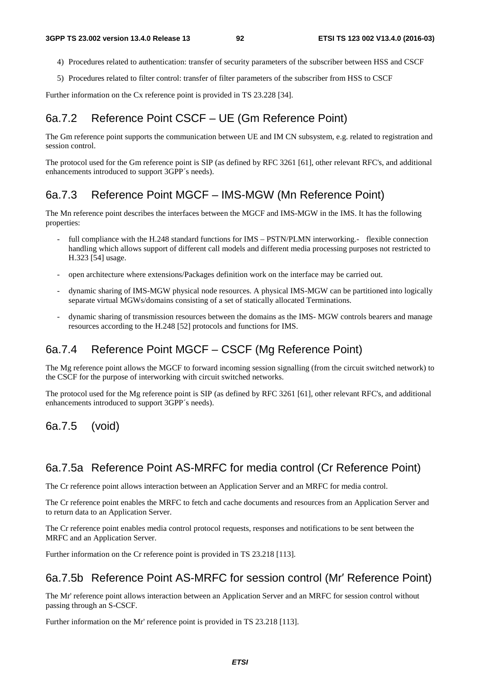- 4) Procedures related to authentication: transfer of security parameters of the subscriber between HSS and CSCF
- 5) Procedures related to filter control: transfer of filter parameters of the subscriber from HSS to CSCF

Further information on the Cx reference point is provided in TS 23.228 [34].

### 6a.7.2 Reference Point CSCF – UE (Gm Reference Point)

The Gm reference point supports the communication between UE and IM CN subsystem, e.g. related to registration and session control.

The protocol used for the Gm reference point is SIP (as defined by RFC 3261 [61], other relevant RFC's, and additional enhancements introduced to support 3GPP´s needs).

### 6a.7.3 Reference Point MGCF – IMS-MGW (Mn Reference Point)

The Mn reference point describes the interfaces between the MGCF and IMS-MGW in the IMS. It has the following properties:

- full compliance with the H.248 standard functions for IMS PSTN/PLMN interworking.- flexible connection handling which allows support of different call models and different media processing purposes not restricted to H.323 [54] usage.
- open architecture where extensions/Packages definition work on the interface may be carried out.
- dynamic sharing of IMS-MGW physical node resources. A physical IMS-MGW can be partitioned into logically separate virtual MGWs/domains consisting of a set of statically allocated Terminations.
- dynamic sharing of transmission resources between the domains as the IMS- MGW controls bearers and manage resources according to the H.248 [52] protocols and functions for IMS.

### 6a.7.4 Reference Point MGCF – CSCF (Mg Reference Point)

The Mg reference point allows the MGCF to forward incoming session signalling (from the circuit switched network) to the CSCF for the purpose of interworking with circuit switched networks.

The protocol used for the Mg reference point is SIP (as defined by RFC 3261 [61], other relevant RFC's, and additional enhancements introduced to support 3GPP´s needs).

### 6a.7.5 (void)

### 6a.7.5a Reference Point AS-MRFC for media control (Cr Reference Point)

The Cr reference point allows interaction between an Application Server and an MRFC for media control.

The Cr reference point enables the MRFC to fetch and cache documents and resources from an Application Server and to return data to an Application Server.

The Cr reference point enables media control protocol requests, responses and notifications to be sent between the MRFC and an Application Server.

Further information on the Cr reference point is provided in TS 23.218 [113].

### 6a.7.5b Reference Point AS-MRFC for session control (Mr′ Reference Point)

The Mr' reference point allows interaction between an Application Server and an MRFC for session control without passing through an S-CSCF.

Further information on the Mr' reference point is provided in TS 23.218 [113].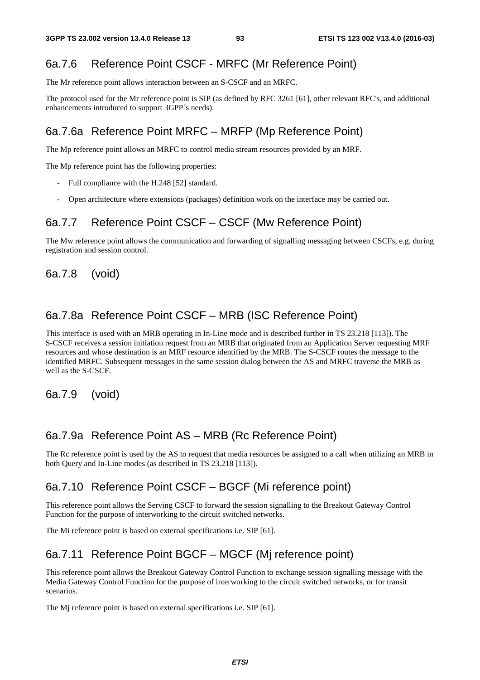### 6a.7.6 Reference Point CSCF - MRFC (Mr Reference Point)

The Mr reference point allows interaction between an S-CSCF and an MRFC.

The protocol used for the Mr reference point is SIP (as defined by RFC 3261 [61], other relevant RFC's, and additional enhancements introduced to support 3GPP´s needs).

### 6a.7.6a Reference Point MRFC – MRFP (Mp Reference Point)

The Mp reference point allows an MRFC to control media stream resources provided by an MRF.

The Mp reference point has the following properties:

- Full compliance with the H.248 [52] standard.
- Open architecture where extensions (packages) definition work on the interface may be carried out.

### 6a.7.7 Reference Point CSCF – CSCF (Mw Reference Point)

The Mw reference point allows the communication and forwarding of signalling messaging between CSCFs, e.g. during registration and session control.

#### 6a.7.8 (void)

### 6a.7.8a Reference Point CSCF – MRB (ISC Reference Point)

This interface is used with an MRB operating in In-Line mode and is described further in TS 23.218 [113]). The S-CSCF receives a session initiation request from an MRB that originated from an Application Server requesting MRF resources and whose destination is an MRF resource identified by the MRB. The S-CSCF routes the message to the identified MRFC. Subsequent messages in the same session dialog between the AS and MRFC traverse the MRB as well as the S-CSCF.

6a.7.9 (void)

#### 6a.7.9a Reference Point AS – MRB (Rc Reference Point)

The Rc reference point is used by the AS to request that media resources be assigned to a call when utilizing an MRB in both Query and In-Line modes (as described in TS 23.218 [113]).

### 6a.7.10 Reference Point CSCF – BGCF (Mi reference point)

This reference point allows the Serving CSCF to forward the session signalling to the Breakout Gateway Control Function for the purpose of interworking to the circuit switched networks.

The Mi reference point is based on external specifications i.e. SIP [61].

### 6a.7.11 Reference Point BGCF – MGCF (Mj reference point)

This reference point allows the Breakout Gateway Control Function to exchange session signalling message with the Media Gateway Control Function for the purpose of interworking to the circuit switched networks, or for transit scenarios.

The Mj reference point is based on external specifications i.e. SIP [61].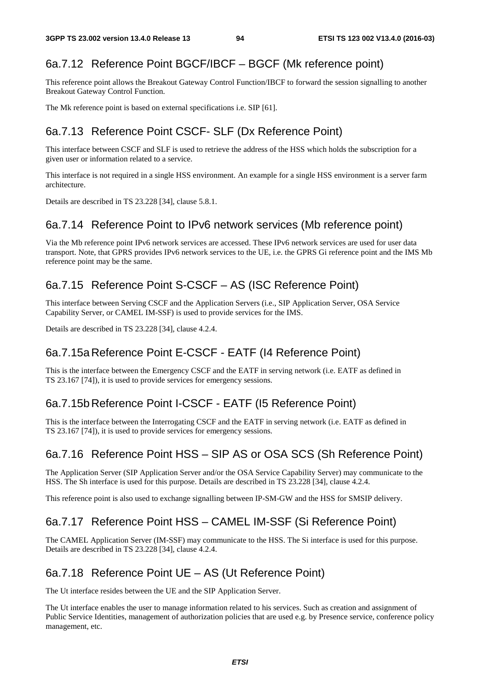### 6a.7.12 Reference Point BGCF/IBCF – BGCF (Mk reference point)

This reference point allows the Breakout Gateway Control Function/IBCF to forward the session signalling to another Breakout Gateway Control Function.

The Mk reference point is based on external specifications i.e. SIP [61].

### 6a.7.13 Reference Point CSCF- SLF (Dx Reference Point)

This interface between CSCF and SLF is used to retrieve the address of the HSS which holds the subscription for a given user or information related to a service.

This interface is not required in a single HSS environment. An example for a single HSS environment is a server farm architecture.

Details are described in TS 23.228 [34], clause 5.8.1.

#### 6a.7.14 Reference Point to IPv6 network services (Mb reference point)

Via the Mb reference point IPv6 network services are accessed. These IPv6 network services are used for user data transport. Note, that GPRS provides IPv6 network services to the UE, i.e. the GPRS Gi reference point and the IMS Mb reference point may be the same.

#### 6a.7.15 Reference Point S-CSCF – AS (ISC Reference Point)

This interface between Serving CSCF and the Application Servers (i.e., SIP Application Server, OSA Service Capability Server, or CAMEL IM-SSF) is used to provide services for the IMS.

Details are described in TS 23.228 [34], clause 4.2.4.

### 6a.7.15a Reference Point E-CSCF - EATF (I4 Reference Point)

This is the interface between the Emergency CSCF and the EATF in serving network (i.e. EATF as defined in TS 23.167 [74]), it is used to provide services for emergency sessions.

### 6a.7.15b Reference Point I-CSCF - EATF (I5 Reference Point)

This is the interface between the Interrogating CSCF and the EATF in serving network (i.e. EATF as defined in TS 23.167 [74]), it is used to provide services for emergency sessions.

#### 6a.7.16 Reference Point HSS – SIP AS or OSA SCS (Sh Reference Point)

The Application Server (SIP Application Server and/or the OSA Service Capability Server) may communicate to the HSS. The Sh interface is used for this purpose. Details are described in TS 23.228 [34], clause 4.2.4.

This reference point is also used to exchange signalling between IP-SM-GW and the HSS for SMSIP delivery.

#### 6a.7.17 Reference Point HSS – CAMEL IM-SSF (Si Reference Point)

The CAMEL Application Server (IM-SSF) may communicate to the HSS. The Si interface is used for this purpose. Details are described in TS 23.228 [34], clause 4.2.4.

#### 6a.7.18 Reference Point UE – AS (Ut Reference Point)

The Ut interface resides between the UE and the SIP Application Server.

The Ut interface enables the user to manage information related to his services. Such as creation and assignment of Public Service Identities, management of authorization policies that are used e.g. by Presence service, conference policy management, etc.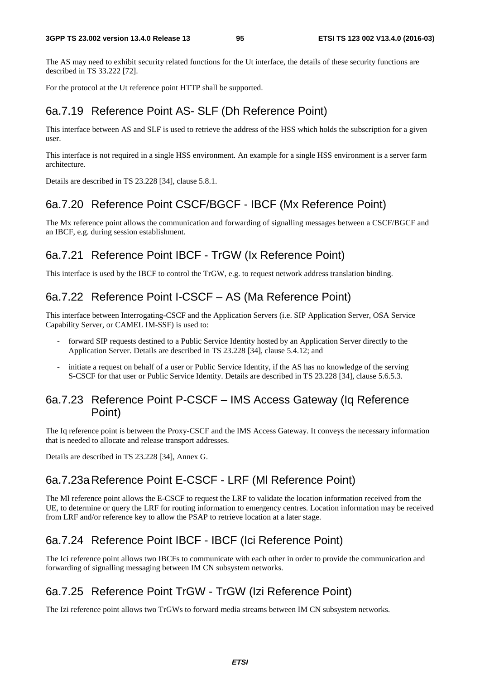The AS may need to exhibit security related functions for the Ut interface, the details of these security functions are described in TS 33.222 [72].

For the protocol at the Ut reference point HTTP shall be supported.

#### 6a.7.19 Reference Point AS- SLF (Dh Reference Point)

This interface between AS and SLF is used to retrieve the address of the HSS which holds the subscription for a given user.

This interface is not required in a single HSS environment. An example for a single HSS environment is a server farm architecture.

Details are described in TS 23.228 [34], clause 5.8.1.

### 6a.7.20 Reference Point CSCF/BGCF - IBCF (Mx Reference Point)

The Mx reference point allows the communication and forwarding of signalling messages between a CSCF/BGCF and an IBCF, e.g. during session establishment.

### 6a.7.21 Reference Point IBCF - TrGW (Ix Reference Point)

This interface is used by the IBCF to control the TrGW, e.g. to request network address translation binding.

### 6a.7.22 Reference Point I-CSCF – AS (Ma Reference Point)

This interface between Interrogating-CSCF and the Application Servers (i.e. SIP Application Server, OSA Service Capability Server, or CAMEL IM-SSF) is used to:

- forward SIP requests destined to a Public Service Identity hosted by an Application Server directly to the Application Server. Details are described in TS 23.228 [34], clause 5.4.12; and
- initiate a request on behalf of a user or Public Service Identity, if the AS has no knowledge of the serving S-CSCF for that user or Public Service Identity. Details are described in TS 23.228 [34], clause 5.6.5.3.

### 6a.7.23 Reference Point P-CSCF – IMS Access Gateway (Iq Reference Point)

The Iq reference point is between the Proxy-CSCF and the IMS Access Gateway. It conveys the necessary information that is needed to allocate and release transport addresses.

Details are described in TS 23.228 [34], Annex G.

### 6a.7.23a Reference Point E-CSCF - LRF (Ml Reference Point)

The Ml reference point allows the E-CSCF to request the LRF to validate the location information received from the UE, to determine or query the LRF for routing information to emergency centres. Location information may be received from LRF and/or reference key to allow the PSAP to retrieve location at a later stage.

### 6a.7.24 Reference Point IBCF - IBCF (Ici Reference Point)

The Ici reference point allows two IBCFs to communicate with each other in order to provide the communication and forwarding of signalling messaging between IM CN subsystem networks.

### 6a.7.25 Reference Point TrGW - TrGW (Izi Reference Point)

The Izi reference point allows two TrGWs to forward media streams between IM CN subsystem networks.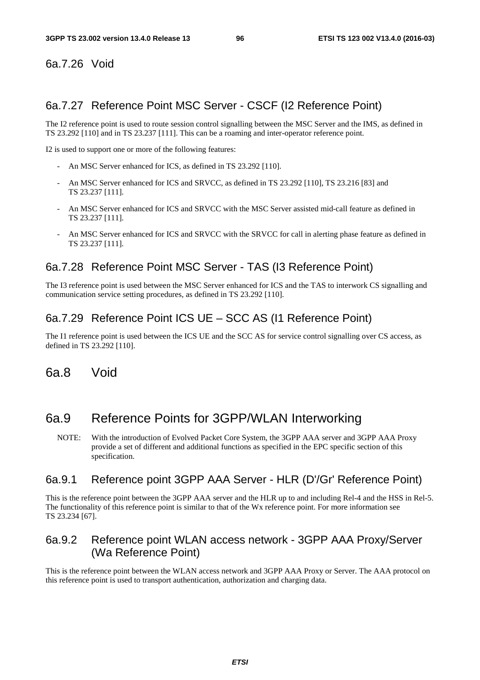#### 6a.7.26 Void

### 6a.7.27 Reference Point MSC Server - CSCF (I2 Reference Point)

The I2 reference point is used to route session control signalling between the MSC Server and the IMS, as defined in TS 23.292 [110] and in TS 23.237 [111]. This can be a roaming and inter-operator reference point.

I2 is used to support one or more of the following features:

- An MSC Server enhanced for ICS, as defined in TS 23.292 [110].
- An MSC Server enhanced for ICS and SRVCC, as defined in TS 23.292 [110], TS 23.216 [83] and TS 23.237 [111].
- An MSC Server enhanced for ICS and SRVCC with the MSC Server assisted mid-call feature as defined in TS 23.237 [111].
- An MSC Server enhanced for ICS and SRVCC with the SRVCC for call in alerting phase feature as defined in TS 23.237 [111].

#### 6a.7.28 Reference Point MSC Server - TAS (I3 Reference Point)

The I3 reference point is used between the MSC Server enhanced for ICS and the TAS to interwork CS signalling and communication service setting procedures, as defined in TS 23.292 [110].

### 6a.7.29 Reference Point ICS UE – SCC AS (I1 Reference Point)

The I1 reference point is used between the ICS UE and the SCC AS for service control signalling over CS access, as defined in TS 23.292 [110].

### 6a.8 Void

### 6a.9 Reference Points for 3GPP/WLAN Interworking

NOTE: With the introduction of Evolved Packet Core System, the 3GPP AAA server and 3GPP AAA Proxy provide a set of different and additional functions as specified in the EPC specific section of this specification.

#### 6a.9.1 Reference point 3GPP AAA Server - HLR (D'/Gr' Reference Point)

This is the reference point between the 3GPP AAA server and the HLR up to and including Rel-4 and the HSS in Rel-5. The functionality of this reference point is similar to that of the Wx reference point. For more information see TS 23.234 [67].

#### 6a.9.2 Reference point WLAN access network - 3GPP AAA Proxy/Server (Wa Reference Point)

This is the reference point between the WLAN access network and 3GPP AAA Proxy or Server. The AAA protocol on this reference point is used to transport authentication, authorization and charging data.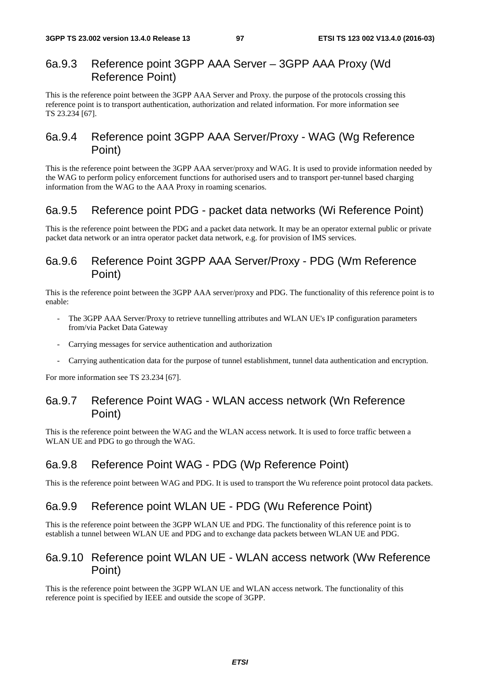#### 6a.9.3 Reference point 3GPP AAA Server – 3GPP AAA Proxy (Wd Reference Point)

This is the reference point between the 3GPP AAA Server and Proxy. the purpose of the protocols crossing this reference point is to transport authentication, authorization and related information. For more information see TS 23.234 [67].

#### 6a.9.4 Reference point 3GPP AAA Server/Proxy - WAG (Wg Reference Point)

This is the reference point between the 3GPP AAA server/proxy and WAG. It is used to provide information needed by the WAG to perform policy enforcement functions for authorised users and to transport per-tunnel based charging information from the WAG to the AAA Proxy in roaming scenarios.

#### 6a.9.5 Reference point PDG - packet data networks (Wi Reference Point)

This is the reference point between the PDG and a packet data network. It may be an operator external public or private packet data network or an intra operator packet data network, e.g. for provision of IMS services.

#### 6a.9.6 Reference Point 3GPP AAA Server/Proxy - PDG (Wm Reference Point)

This is the reference point between the 3GPP AAA server/proxy and PDG. The functionality of this reference point is to enable:

- The 3GPP AAA Server/Proxy to retrieve tunnelling attributes and WLAN UE's IP configuration parameters from/via Packet Data Gateway
- Carrying messages for service authentication and authorization
- Carrying authentication data for the purpose of tunnel establishment, tunnel data authentication and encryption.

For more information see TS 23.234 [67].

#### 6a.9.7 Reference Point WAG - WLAN access network (Wn Reference Point)

This is the reference point between the WAG and the WLAN access network. It is used to force traffic between a WLAN UE and PDG to go through the WAG.

### 6a.9.8 Reference Point WAG - PDG (Wp Reference Point)

This is the reference point between WAG and PDG. It is used to transport the Wu reference point protocol data packets.

#### 6a.9.9 Reference point WLAN UE - PDG (Wu Reference Point)

This is the reference point between the 3GPP WLAN UE and PDG. The functionality of this reference point is to establish a tunnel between WLAN UE and PDG and to exchange data packets between WLAN UE and PDG.

#### 6a.9.10 Reference point WLAN UE - WLAN access network (Ww Reference Point)

This is the reference point between the 3GPP WLAN UE and WLAN access network. The functionality of this reference point is specified by IEEE and outside the scope of 3GPP.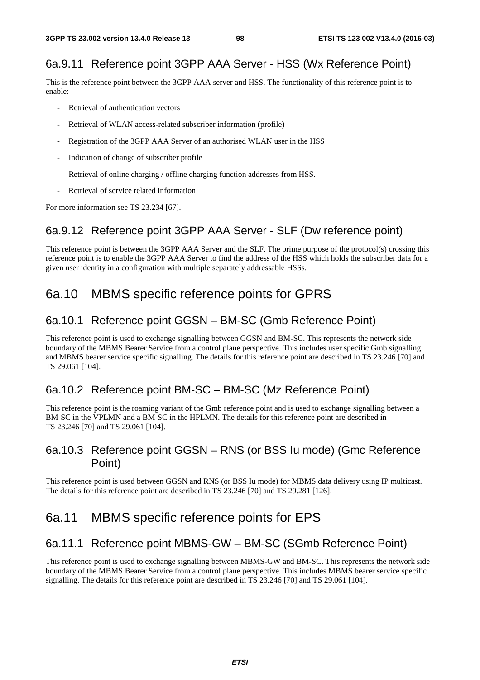### 6a.9.11 Reference point 3GPP AAA Server - HSS (Wx Reference Point)

This is the reference point between the 3GPP AAA server and HSS. The functionality of this reference point is to enable:

- Retrieval of authentication vectors
- Retrieval of WLAN access-related subscriber information (profile)
- Registration of the 3GPP AAA Server of an authorised WLAN user in the HSS
- Indication of change of subscriber profile
- Retrieval of online charging / offline charging function addresses from HSS.
- Retrieval of service related information

For more information see TS 23.234 [67].

### 6a.9.12 Reference point 3GPP AAA Server - SLF (Dw reference point)

This reference point is between the 3GPP AAA Server and the SLF. The prime purpose of the protocol(s) crossing this reference point is to enable the 3GPP AAA Server to find the address of the HSS which holds the subscriber data for a given user identity in a configuration with multiple separately addressable HSSs.

# 6a.10 MBMS specific reference points for GPRS

### 6a.10.1 Reference point GGSN – BM-SC (Gmb Reference Point)

This reference point is used to exchange signalling between GGSN and BM-SC. This represents the network side boundary of the MBMS Bearer Service from a control plane perspective. This includes user specific Gmb signalling and MBMS bearer service specific signalling. The details for this reference point are described in TS 23.246 [70] and TS 29.061 [104].

### 6a.10.2 Reference point BM-SC – BM-SC (Mz Reference Point)

This reference point is the roaming variant of the Gmb reference point and is used to exchange signalling between a BM-SC in the VPLMN and a BM-SC in the HPLMN. The details for this reference point are described in TS 23.246 [70] and TS 29.061 [104].

### 6a.10.3 Reference point GGSN – RNS (or BSS Iu mode) (Gmc Reference Point)

This reference point is used between GGSN and RNS (or BSS Iu mode) for MBMS data delivery using IP multicast. The details for this reference point are described in TS 23.246 [70] and TS 29.281 [126].

### 6a.11 MBMS specific reference points for EPS

### 6a.11.1 Reference point MBMS-GW – BM-SC (SGmb Reference Point)

This reference point is used to exchange signalling between MBMS-GW and BM-SC. This represents the network side boundary of the MBMS Bearer Service from a control plane perspective. This includes MBMS bearer service specific signalling. The details for this reference point are described in TS 23.246 [70] and TS 29.061 [104].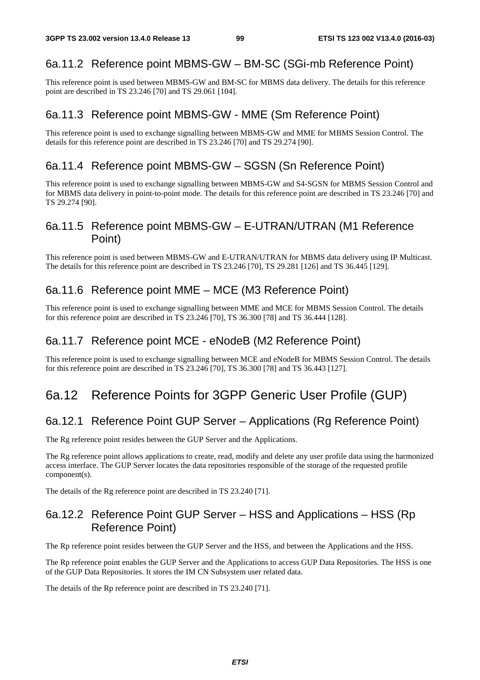### 6a.11.2 Reference point MBMS-GW – BM-SC (SGi-mb Reference Point)

This reference point is used between MBMS-GW and BM-SC for MBMS data delivery. The details for this reference point are described in TS 23.246 [70] and TS 29.061 [104].

#### 6a.11.3 Reference point MBMS-GW - MME (Sm Reference Point)

This reference point is used to exchange signalling between MBMS-GW and MME for MBMS Session Control. The details for this reference point are described in TS 23.246 [70] and TS 29.274 [90].

#### 6a.11.4 Reference point MBMS-GW – SGSN (Sn Reference Point)

This reference point is used to exchange signalling between MBMS-GW and S4-SGSN for MBMS Session Control and for MBMS data delivery in point-to-point mode. The details for this reference point are described in TS 23.246 [70] and TS 29.274 [90].

#### 6a.11.5 Reference point MBMS-GW – E-UTRAN/UTRAN (M1 Reference Point)

This reference point is used between MBMS-GW and E-UTRAN/UTRAN for MBMS data delivery using IP Multicast. The details for this reference point are described in TS 23.246 [70], TS 29.281 [126] and TS 36.445 [129].

### 6a.11.6 Reference point MME – MCE (M3 Reference Point)

This reference point is used to exchange signalling between MME and MCE for MBMS Session Control. The details for this reference point are described in TS 23.246 [70], TS 36.300 [78] and TS 36.444 [128].

#### 6a.11.7 Reference point MCE - eNodeB (M2 Reference Point)

This reference point is used to exchange signalling between MCE and eNodeB for MBMS Session Control. The details for this reference point are described in TS 23.246 [70], TS 36.300 [78] and TS 36.443 [127].

### 6a.12 Reference Points for 3GPP Generic User Profile (GUP)

### 6a.12.1 Reference Point GUP Server – Applications (Rg Reference Point)

The Rg reference point resides between the GUP Server and the Applications.

The Rg reference point allows applications to create, read, modify and delete any user profile data using the harmonized access interface. The GUP Server locates the data repositories responsible of the storage of the requested profile component(s).

The details of the Rg reference point are described in TS 23.240 [71].

### 6a.12.2 Reference Point GUP Server – HSS and Applications – HSS (Rp Reference Point)

The Rp reference point resides between the GUP Server and the HSS, and between the Applications and the HSS.

The Rp reference point enables the GUP Server and the Applications to access GUP Data Repositories. The HSS is one of the GUP Data Repositories. It stores the IM CN Subsystem user related data.

The details of the Rp reference point are described in TS 23.240 [71].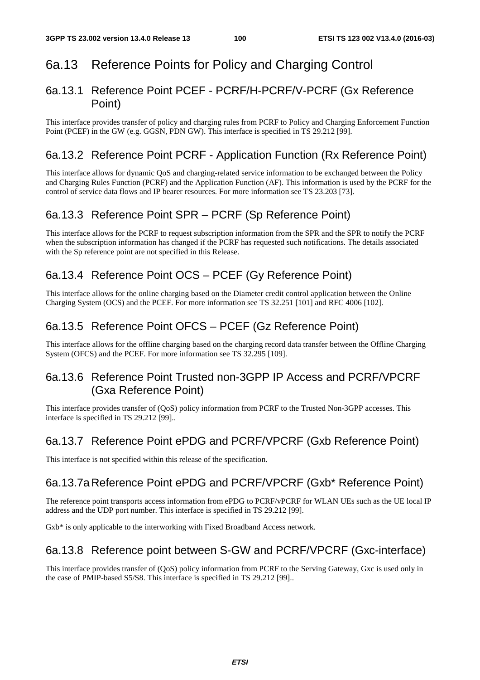# 6a.13 Reference Points for Policy and Charging Control

#### 6a.13.1 Reference Point PCEF - PCRF/H-PCRF/V-PCRF (Gx Reference Point)

This interface provides transfer of policy and charging rules from PCRF to Policy and Charging Enforcement Function Point (PCEF) in the GW (e.g. GGSN, PDN GW). This interface is specified in TS 29.212 [99].

### 6a.13.2 Reference Point PCRF - Application Function (Rx Reference Point)

This interface allows for dynamic QoS and charging-related service information to be exchanged between the Policy and Charging Rules Function (PCRF) and the Application Function (AF). This information is used by the PCRF for the control of service data flows and IP bearer resources. For more information see TS 23.203 [73].

### 6a.13.3 Reference Point SPR – PCRF (Sp Reference Point)

This interface allows for the PCRF to request subscription information from the SPR and the SPR to notify the PCRF when the subscription information has changed if the PCRF has requested such notifications. The details associated with the Sp reference point are not specified in this Release.

### 6a.13.4 Reference Point OCS – PCEF (Gy Reference Point)

This interface allows for the online charging based on the Diameter credit control application between the Online Charging System (OCS) and the PCEF. For more information see TS 32.251 [101] and RFC 4006 [102].

### 6a.13.5 Reference Point OFCS – PCEF (Gz Reference Point)

This interface allows for the offline charging based on the charging record data transfer between the Offline Charging System (OFCS) and the PCEF. For more information see TS 32.295 [109].

### 6a.13.6 Reference Point Trusted non-3GPP IP Access and PCRF/VPCRF (Gxa Reference Point)

This interface provides transfer of (QoS) policy information from PCRF to the Trusted Non-3GPP accesses. This interface is specified in TS 29.212 [99]..

### 6a.13.7 Reference Point ePDG and PCRF/VPCRF (Gxb Reference Point)

This interface is not specified within this release of the specification.

### 6a.13.7a Reference Point ePDG and PCRF/VPCRF (Gxb\* Reference Point)

The reference point transports access information from ePDG to PCRF/vPCRF for WLAN UEs such as the UE local IP address and the UDP port number. This interface is specified in TS 29.212 [99].

Gxb\* is only applicable to the interworking with Fixed Broadband Access network.

### 6a.13.8 Reference point between S-GW and PCRF/VPCRF (Gxc-interface)

This interface provides transfer of (QoS) policy information from PCRF to the Serving Gateway, Gxc is used only in the case of PMIP-based S5/S8. This interface is specified in TS 29.212 [99]..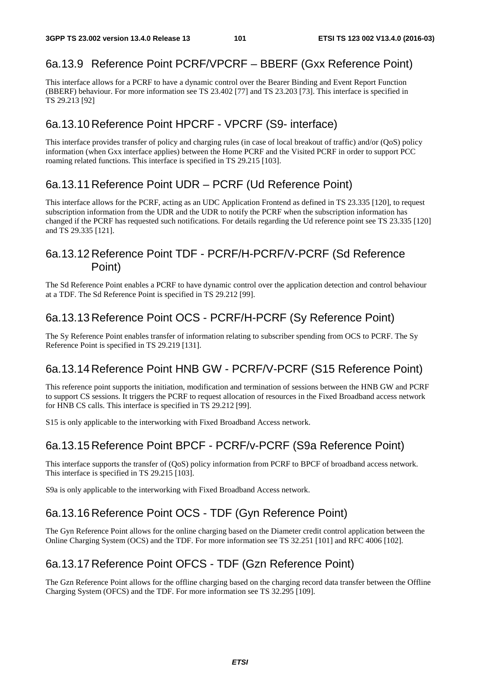### 6a.13.9 Reference Point PCRF/VPCRF – BBERF (Gxx Reference Point)

This interface allows for a PCRF to have a dynamic control over the Bearer Binding and Event Report Function (BBERF) behaviour. For more information see TS 23.402 [77] and TS 23.203 [73]. This interface is specified in TS 29.213 [92]

### 6a.13.10 Reference Point HPCRF - VPCRF (S9- interface)

This interface provides transfer of policy and charging rules (in case of local breakout of traffic) and/or (QoS) policy information (when Gxx interface applies) between the Home PCRF and the Visited PCRF in order to support PCC roaming related functions. This interface is specified in TS 29.215 [103].

### 6a.13.11 Reference Point UDR – PCRF (Ud Reference Point)

This interface allows for the PCRF, acting as an UDC Application Frontend as defined in TS 23.335 [120], to request subscription information from the UDR and the UDR to notify the PCRF when the subscription information has changed if the PCRF has requested such notifications. For details regarding the Ud reference point see TS 23.335 [120] and TS 29.335 [121].

### 6a.13.12 Reference Point TDF - PCRF/H-PCRF/V-PCRF (Sd Reference Point)

The Sd Reference Point enables a PCRF to have dynamic control over the application detection and control behaviour at a TDF. The Sd Reference Point is specified in TS 29.212 [99].

### 6a.13.13 Reference Point OCS - PCRF/H-PCRF (Sy Reference Point)

The Sy Reference Point enables transfer of information relating to subscriber spending from OCS to PCRF. The Sy Reference Point is specified in TS 29.219 [131].

### 6a.13.14 Reference Point HNB GW - PCRF/V-PCRF (S15 Reference Point)

This reference point supports the initiation, modification and termination of sessions between the HNB GW and PCRF to support CS sessions. It triggers the PCRF to request allocation of resources in the Fixed Broadband access network for HNB CS calls. This interface is specified in TS 29.212 [99].

S15 is only applicable to the interworking with Fixed Broadband Access network.

### 6a.13.15 Reference Point BPCF - PCRF/v-PCRF (S9a Reference Point)

This interface supports the transfer of (QoS) policy information from PCRF to BPCF of broadband access network. This interface is specified in TS 29.215 [103].

S9a is only applicable to the interworking with Fixed Broadband Access network.

### 6a.13.16 Reference Point OCS - TDF (Gyn Reference Point)

The Gyn Reference Point allows for the online charging based on the Diameter credit control application between the Online Charging System (OCS) and the TDF. For more information see TS 32.251 [101] and RFC 4006 [102].

### 6a.13.17 Reference Point OFCS - TDF (Gzn Reference Point)

The Gzn Reference Point allows for the offline charging based on the charging record data transfer between the Offline Charging System (OFCS) and the TDF. For more information see TS 32.295 [109].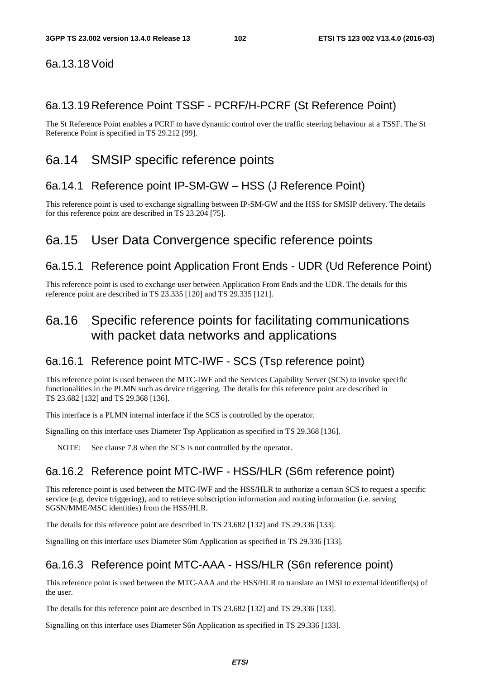#### 6a.13.18 Void

#### 6a.13.19 Reference Point TSSF - PCRF/H-PCRF (St Reference Point)

The St Reference Point enables a PCRF to have dynamic control over the traffic steering behaviour at a TSSF. The St Reference Point is specified in TS 29.212 [99].

# 6a.14 SMSIP specific reference points

#### 6a.14.1 Reference point IP-SM-GW – HSS (J Reference Point)

This reference point is used to exchange signalling between IP-SM-GW and the HSS for SMSIP delivery. The details for this reference point are described in TS 23.204 [75].

### 6a.15 User Data Convergence specific reference points

#### 6a.15.1 Reference point Application Front Ends - UDR (Ud Reference Point)

This reference point is used to exchange user between Application Front Ends and the UDR. The details for this reference point are described in TS 23.335 [120] and TS 29.335 [121].

### 6a.16 Specific reference points for facilitating communications with packet data networks and applications

#### 6a.16.1 Reference point MTC-IWF - SCS (Tsp reference point)

This reference point is used between the MTC-IWF and the Services Capability Server (SCS) to invoke specific functionalities in the PLMN such as device triggering. The details for this reference point are described in TS 23.682 [132] and TS 29.368 [136].

This interface is a PLMN internal interface if the SCS is controlled by the operator.

Signalling on this interface uses Diameter Tsp Application as specified in TS 29.368 [136].

NOTE: See clause 7.8 when the SCS is not controlled by the operator.

### 6a.16.2 Reference point MTC-IWF - HSS/HLR (S6m reference point)

This reference point is used between the MTC-IWF and the HSS/HLR to authorize a certain SCS to request a specific service (e.g. device triggering), and to retrieve subscription information and routing information (i.e. serving SGSN/MME/MSC identities) from the HSS/HLR.

The details for this reference point are described in TS 23.682 [132] and TS 29.336 [133].

Signalling on this interface uses Diameter S6m Application as specified in TS 29.336 [133].

### 6a.16.3 Reference point MTC-AAA - HSS/HLR (S6n reference point)

This reference point is used between the MTC-AAA and the HSS/HLR to translate an IMSI to external identifier(s) of the user.

The details for this reference point are described in TS 23.682 [132] and TS 29.336 [133].

Signalling on this interface uses Diameter S6n Application as specified in TS 29.336 [133].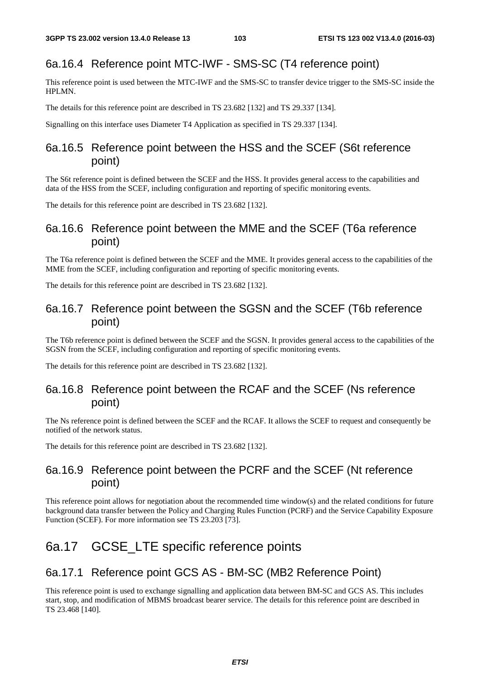#### 6a.16.4 Reference point MTC-IWF - SMS-SC (T4 reference point)

This reference point is used between the MTC-IWF and the SMS-SC to transfer device trigger to the SMS-SC inside the HPLMN.

The details for this reference point are described in TS 23.682 [132] and TS 29.337 [134].

Signalling on this interface uses Diameter T4 Application as specified in TS 29.337 [134].

#### 6a.16.5 Reference point between the HSS and the SCEF (S6t reference point)

The S6t reference point is defined between the SCEF and the HSS. It provides general access to the capabilities and data of the HSS from the SCEF, including configuration and reporting of specific monitoring events.

The details for this reference point are described in TS 23.682 [132].

#### 6a.16.6 Reference point between the MME and the SCEF (T6a reference point)

The T6a reference point is defined between the SCEF and the MME. It provides general access to the capabilities of the MME from the SCEF, including configuration and reporting of specific monitoring events.

The details for this reference point are described in TS 23.682 [132].

#### 6a.16.7 Reference point between the SGSN and the SCEF (T6b reference point)

The T6b reference point is defined between the SCEF and the SGSN. It provides general access to the capabilities of the SGSN from the SCEF, including configuration and reporting of specific monitoring events.

The details for this reference point are described in TS 23.682 [132].

#### 6a.16.8 Reference point between the RCAF and the SCEF (Ns reference point)

The Ns reference point is defined between the SCEF and the RCAF. It allows the SCEF to request and consequently be notified of the network status.

The details for this reference point are described in TS 23.682 [132].

### 6a.16.9 Reference point between the PCRF and the SCEF (Nt reference point)

This reference point allows for negotiation about the recommended time window(s) and the related conditions for future background data transfer between the Policy and Charging Rules Function (PCRF) and the Service Capability Exposure Function (SCEF). For more information see TS 23.203 [73].

# 6a.17 GCSE\_LTE specific reference points

#### 6a.17.1 Reference point GCS AS - BM-SC (MB2 Reference Point)

This reference point is used to exchange signalling and application data between BM-SC and GCS AS. This includes start, stop, and modification of MBMS broadcast bearer service. The details for this reference point are described in TS 23.468 [140].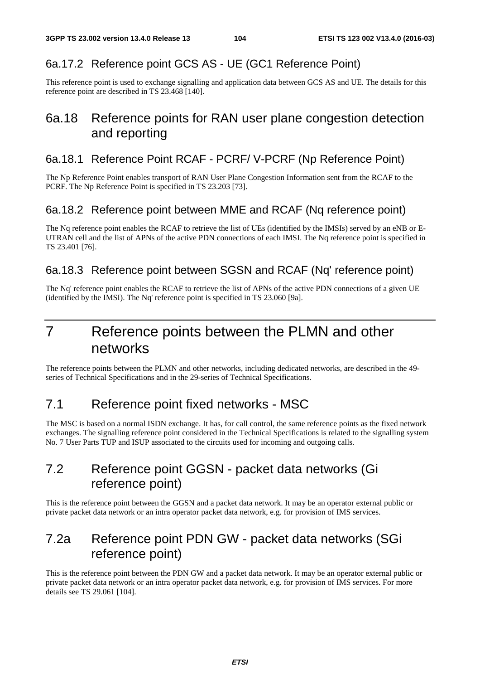### 6a.17.2 Reference point GCS AS - UE (GC1 Reference Point)

This reference point is used to exchange signalling and application data between GCS AS and UE. The details for this reference point are described in TS 23.468 [140].

# 6a.18 Reference points for RAN user plane congestion detection and reporting

### 6a.18.1 Reference Point RCAF - PCRF/ V-PCRF (Np Reference Point)

The Np Reference Point enables transport of RAN User Plane Congestion Information sent from the RCAF to the PCRF. The Np Reference Point is specified in TS 23.203 [73].

### 6a.18.2 Reference point between MME and RCAF (Nq reference point)

The Nq reference point enables the RCAF to retrieve the list of UEs (identified by the IMSIs) served by an eNB or E-UTRAN cell and the list of APNs of the active PDN connections of each IMSI. The Nq reference point is specified in TS 23.401 [76].

### 6a.18.3 Reference point between SGSN and RCAF (Nq' reference point)

The Nq' reference point enables the RCAF to retrieve the list of APNs of the active PDN connections of a given UE (identified by the IMSI). The Nq' reference point is specified in TS 23.060 [9a].

# 7 Reference points between the PLMN and other networks

The reference points between the PLMN and other networks, including dedicated networks, are described in the 49 series of Technical Specifications and in the 29-series of Technical Specifications.

# 7.1 Reference point fixed networks - MSC

The MSC is based on a normal ISDN exchange. It has, for call control, the same reference points as the fixed network exchanges. The signalling reference point considered in the Technical Specifications is related to the signalling system No. 7 User Parts TUP and ISUP associated to the circuits used for incoming and outgoing calls.

# 7.2 Reference point GGSN - packet data networks (Gi reference point)

This is the reference point between the GGSN and a packet data network. It may be an operator external public or private packet data network or an intra operator packet data network, e.g. for provision of IMS services.

# 7.2a Reference point PDN GW - packet data networks (SGi reference point)

This is the reference point between the PDN GW and a packet data network. It may be an operator external public or private packet data network or an intra operator packet data network, e.g. for provision of IMS services. For more details see TS 29.061 [104].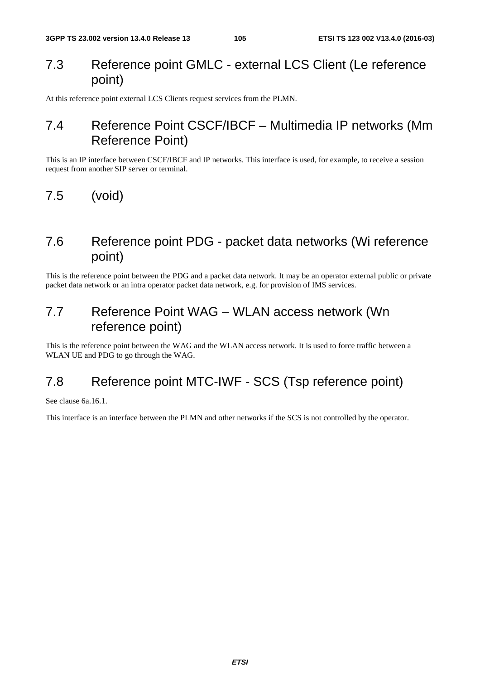### 7.3 Reference point GMLC - external LCS Client (Le reference point)

At this reference point external LCS Clients request services from the PLMN.

### 7.4 Reference Point CSCF/IBCF – Multimedia IP networks (Mm Reference Point)

This is an IP interface between CSCF/IBCF and IP networks. This interface is used, for example, to receive a session request from another SIP server or terminal.

# 7.5 (void)

### 7.6 Reference point PDG - packet data networks (Wi reference point)

This is the reference point between the PDG and a packet data network. It may be an operator external public or private packet data network or an intra operator packet data network, e.g. for provision of IMS services.

# 7.7 Reference Point WAG – WLAN access network (Wn reference point)

This is the reference point between the WAG and the WLAN access network. It is used to force traffic between a WLAN UE and PDG to go through the WAG.

# 7.8 Reference point MTC-IWF - SCS (Tsp reference point)

See clause 6a.16.1.

This interface is an interface between the PLMN and other networks if the SCS is not controlled by the operator.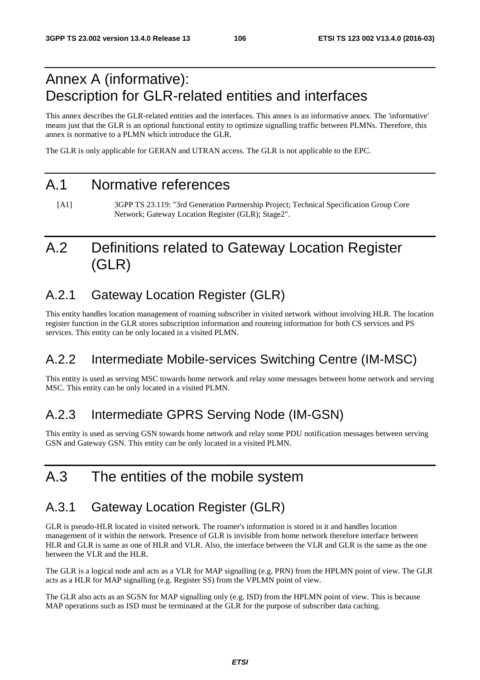# Annex A (informative): Description for GLR-related entities and interfaces

This annex describes the GLR-related entities and the interfaces. This annex is an informative annex. The 'informative' means just that the GLR is an optional functional entity to optimize signalling traffic between PLMNs. Therefore, this annex is normative to a PLMN which introduce the GLR.

The GLR is only applicable for GERAN and UTRAN access. The GLR is not applicable to the EPC.

# A.1 Normative references

[A1] 3GPP TS 23.119: "3rd Generation Partnership Project; Technical Specification Group Core Network; Gateway Location Register (GLR); Stage2".

# A.2 Definitions related to Gateway Location Register (GLR)

# A.2.1 Gateway Location Register (GLR)

This entity handles location management of roaming subscriber in visited network without involving HLR. The location register function in the GLR stores subscription information and routeing information for both CS services and PS services. This entity can be only located in a visited PLMN.

# A.2.2 Intermediate Mobile-services Switching Centre (IM-MSC)

This entity is used as serving MSC towards home network and relay some messages between home network and serving MSC. This entity can be only located in a visited PLMN.

# A.2.3 Intermediate GPRS Serving Node (IM-GSN)

This entity is used as serving GSN towards home network and relay some PDU notification messages between serving GSN and Gateway GSN. This entity can be only located in a visited PLMN.

# A.3 The entities of the mobile system

# A.3.1 Gateway Location Register (GLR)

GLR is pseudo-HLR located in visited network. The roamer's information is stored in it and handles location management of it within the network. Presence of GLR is invisible from home network therefore interface between HLR and GLR is same as one of HLR and VLR. Also, the interface between the VLR and GLR is the same as the one between the VLR and the HLR.

The GLR is a logical node and acts as a VLR for MAP signalling (e.g. PRN) from the HPLMN point of view. The GLR acts as a HLR for MAP signalling (e.g. Register SS) from the VPLMN point of view.

The GLR also acts as an SGSN for MAP signalling only (e.g. ISD) from the HPLMN point of view. This is because MAP operations such as ISD must be terminated at the GLR for the purpose of subscriber data caching.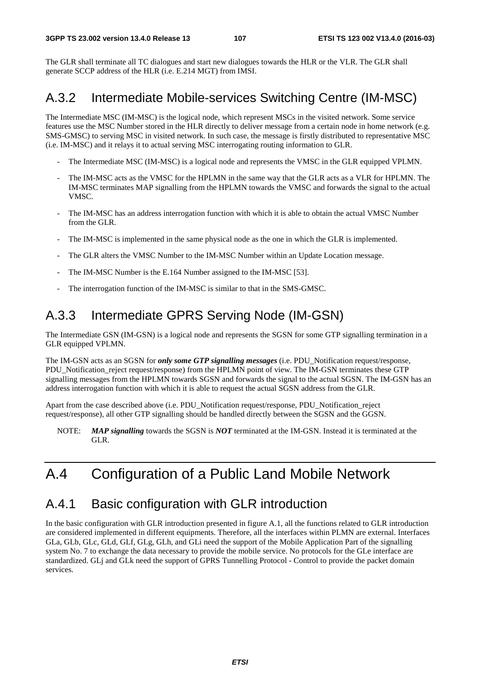The GLR shall terminate all TC dialogues and start new dialogues towards the HLR or the VLR. The GLR shall generate SCCP address of the HLR (i.e. E.214 MGT) from IMSI.

# A.3.2 Intermediate Mobile-services Switching Centre (IM-MSC)

The Intermediate MSC (IM-MSC) is the logical node, which represent MSCs in the visited network. Some service features use the MSC Number stored in the HLR directly to deliver message from a certain node in home network (e.g. SMS-GMSC) to serving MSC in visited network. In such case, the message is firstly distributed to representative MSC (i.e. IM-MSC) and it relays it to actual serving MSC interrogating routing information to GLR.

- The Intermediate MSC (IM-MSC) is a logical node and represents the VMSC in the GLR equipped VPLMN.
- The IM-MSC acts as the VMSC for the HPLMN in the same way that the GLR acts as a VLR for HPLMN. The IM-MSC terminates MAP signalling from the HPLMN towards the VMSC and forwards the signal to the actual VMSC.
- The IM-MSC has an address interrogation function with which it is able to obtain the actual VMSC Number from the GLR.
- The IM-MSC is implemented in the same physical node as the one in which the GLR is implemented.
- The GLR alters the VMSC Number to the IM-MSC Number within an Update Location message.
- The IM-MSC Number is the E.164 Number assigned to the IM-MSC [53].
- The interrogation function of the IM-MSC is similar to that in the SMS-GMSC.

# A.3.3 Intermediate GPRS Serving Node (IM-GSN)

The Intermediate GSN (IM-GSN) is a logical node and represents the SGSN for some GTP signalling termination in a GLR equipped VPLMN.

The IM-GSN acts as an SGSN for *only some GTP signalling messages* (i.e. PDU\_Notification request/response, PDU\_Notification\_reject request/response) from the HPLMN point of view. The IM-GSN terminates these GTP signalling messages from the HPLMN towards SGSN and forwards the signal to the actual SGSN. The IM-GSN has an address interrogation function with which it is able to request the actual SGSN address from the GLR.

Apart from the case described above (i.e. PDU\_Notification request/response, PDU\_Notification\_reject request/response), all other GTP signalling should be handled directly between the SGSN and the GGSN.

NOTE: *MAP signalling* towards the SGSN is *NOT* terminated at the IM-GSN. Instead it is terminated at the GLR.

# A.4 Configuration of a Public Land Mobile Network

# A.4.1 Basic configuration with GLR introduction

In the basic configuration with GLR introduction presented in figure A.1, all the functions related to GLR introduction are considered implemented in different equipments. Therefore, all the interfaces within PLMN are external. Interfaces GLa, GLb, GLc, GLd, GLf, GLg, GLh, and GLi need the support of the Mobile Application Part of the signalling system No. 7 to exchange the data necessary to provide the mobile service. No protocols for the GLe interface are standardized. GLj and GLk need the support of GPRS Tunnelling Protocol - Control to provide the packet domain services.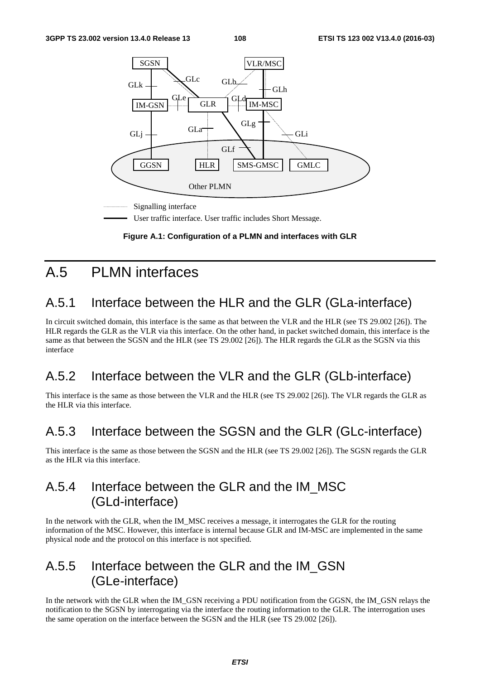

Signalling interface

User traffic interface. User traffic includes Short Message.

**Figure A.1: Configuration of a PLMN and interfaces with GLR** 

## A.5 PLMN interfaces

#### A.5.1 Interface between the HLR and the GLR (GLa-interface)

In circuit switched domain, this interface is the same as that between the VLR and the HLR (see TS 29.002 [26]). The HLR regards the GLR as the VLR via this interface. On the other hand, in packet switched domain, this interface is the same as that between the SGSN and the HLR (see TS 29.002 [26]). The HLR regards the GLR as the SGSN via this interface

### A.5.2 Interface between the VLR and the GLR (GLb-interface)

This interface is the same as those between the VLR and the HLR (see TS 29.002 [26]). The VLR regards the GLR as the HLR via this interface.

#### A.5.3 Interface between the SGSN and the GLR (GLc-interface)

This interface is the same as those between the SGSN and the HLR (see TS 29.002 [26]). The SGSN regards the GLR as the HLR via this interface.

### A.5.4 Interface between the GLR and the IM\_MSC (GLd-interface)

In the network with the GLR, when the IM\_MSC receives a message, it interrogates the GLR for the routing information of the MSC. However, this interface is internal because GLR and IM-MSC are implemented in the same physical node and the protocol on this interface is not specified.

#### A.5.5 Interface between the GLR and the IM\_GSN (GLe-interface)

In the network with the GLR when the IM\_GSN receiving a PDU notification from the GGSN, the IM\_GSN relays the notification to the SGSN by interrogating via the interface the routing information to the GLR. The interrogation uses the same operation on the interface between the SGSN and the HLR (see TS 29.002 [26]).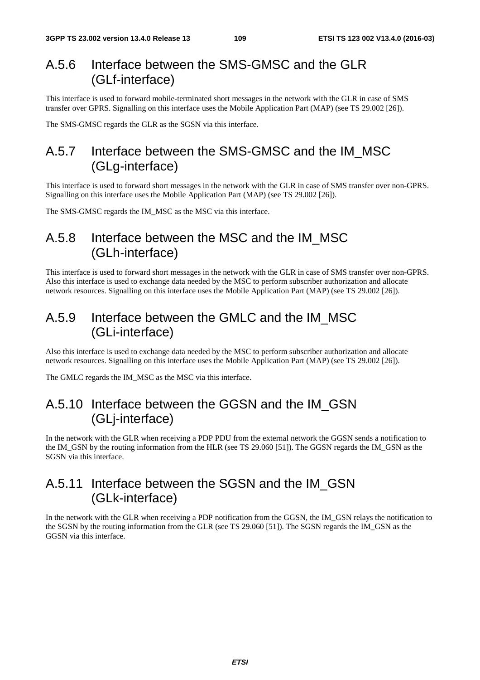#### A.5.6 Interface between the SMS-GMSC and the GLR (GLf-interface)

This interface is used to forward mobile-terminated short messages in the network with the GLR in case of SMS transfer over GPRS. Signalling on this interface uses the Mobile Application Part (MAP) (see TS 29.002 [26]).

The SMS-GMSC regards the GLR as the SGSN via this interface.

### A.5.7 Interface between the SMS-GMSC and the IM\_MSC (GLg-interface)

This interface is used to forward short messages in the network with the GLR in case of SMS transfer over non-GPRS. Signalling on this interface uses the Mobile Application Part (MAP) (see TS 29.002 [26]).

The SMS-GMSC regards the IM\_MSC as the MSC via this interface.

#### A.5.8 Interface between the MSC and the IM\_MSC (GLh-interface)

This interface is used to forward short messages in the network with the GLR in case of SMS transfer over non-GPRS. Also this interface is used to exchange data needed by the MSC to perform subscriber authorization and allocate network resources. Signalling on this interface uses the Mobile Application Part (MAP) (see TS 29.002 [26]).

#### A.5.9 Interface between the GMLC and the IM\_MSC (GLi-interface)

Also this interface is used to exchange data needed by the MSC to perform subscriber authorization and allocate network resources. Signalling on this interface uses the Mobile Application Part (MAP) (see TS 29.002 [26]).

The GMLC regards the IM\_MSC as the MSC via this interface.

#### A.5.10 Interface between the GGSN and the IM\_GSN (GLj-interface)

In the network with the GLR when receiving a PDP PDU from the external network the GGSN sends a notification to the IM GSN by the routing information from the HLR (see TS 29.060 [51]). The GGSN regards the IM GSN as the SGSN via this interface.

#### A.5.11 Interface between the SGSN and the IM\_GSN (GLk-interface)

In the network with the GLR when receiving a PDP notification from the GGSN, the IM GSN relays the notification to the SGSN by the routing information from the GLR (see TS 29.060 [51]). The SGSN regards the IM\_GSN as the GGSN via this interface.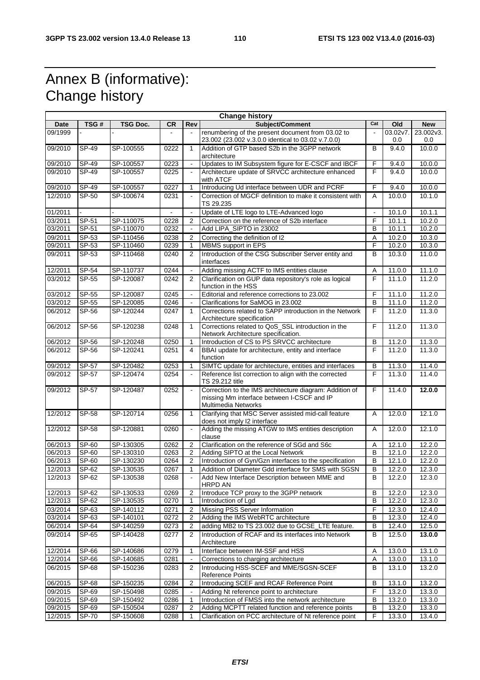# Annex B (informative): Change history

| <b>Change history</b> |              |           |                |                       |                                                                                                                                     |                |                 |                     |  |
|-----------------------|--------------|-----------|----------------|-----------------------|-------------------------------------------------------------------------------------------------------------------------------------|----------------|-----------------|---------------------|--|
| Date                  | TSG #        | TSG Doc.  | CR             | Rev                   | <b>Subject/Comment</b>                                                                                                              | Cat            | Old             | <b>New</b>          |  |
| 09/1999               |              |           |                | $\tilde{\phantom{a}}$ | renumbering of the present document from 03.02 to<br>23.002 (23.002 v.3.0.0 identical to 03.02 v.7.0.0)                             |                | 03.02v7.<br>0.0 | 23.002v3.<br>0.0    |  |
| 09/2010               | SP-49        | SP-100555 | 0222           | $\mathbf{1}$          | Addition of GTP based S2b in the 3GPP network<br>architecture                                                                       | B              | 9.4.0           | 10.0.0              |  |
| 09/2010               | SP-49        | SP-100557 | 0223           |                       | Updates to IM Subsystem figure for E-CSCF and IBCF                                                                                  | F              | 9.4.0           | 10.0.0              |  |
| 09/2010               | SP-49        | SP-100557 | 0225           | $\blacksquare$        | Architecture update of SRVCC architecture enhanced<br>with ATCF                                                                     | F              | 9.4.0           | 10.0.0              |  |
| 09/2010               | SP-49        | SP-100557 | 0227           | $\mathbf{1}$          | Introducing Ud interface between UDR and PCRF                                                                                       | F              | 9.4.0           | 10.0.0              |  |
| 12/2010               | SP-50        | SP-100674 | 0231           | $\blacksquare$        | Correction of MGCF definition to make it consistent with<br>TS 29.235                                                               | A              | 10.0.0          | 10.1.0              |  |
| 01/2011               |              |           | $\blacksquare$ | $\sim$                | Update of LTE logo to LTE-Advanced logo                                                                                             | $\blacksquare$ | 10.1.0          | 10.1.1              |  |
| 03/2011               | SP-51        | SP-110075 | 0228           | 2                     | Correction on the reference of S2b interface                                                                                        | F              | 10.1.1          | 10.2.0              |  |
| 03/2011               | SP-51        | SP-110070 | 0232           |                       | Add LIPA_SIPTO in 23002                                                                                                             | B              | 10.1.1          | 10.2.0              |  |
| 09/2011               | SP-53        | SP-110456 | 0238           | $\overline{2}$        | Correcting the definition of I2                                                                                                     | Α              | 10.2.0          | 10.3.0              |  |
| 09/2011               | SP-53        | SP-110460 | 0239           | $\mathbf{1}$          | MBMS support in EPS                                                                                                                 | F              | 10.2.0          | 10.3.0              |  |
| 09/2011               | SP-53        | SP-110468 | 0240           | $\overline{2}$        | Introduction of the CSG Subscriber Server entity and<br>interfaces                                                                  | B              | 10.3.0          | 11.0.0              |  |
| 12/2011               | SP-54        | SP-110737 | 0244           | $\blacksquare$        | Adding missing ACTF to IMS entities clause                                                                                          | A              | 11.0.0          | 11.1.0              |  |
| 03/2012               | SP-55        | SP-120087 | 0242           | 2                     | Clarification on GUP data repository's role as logical<br>function in the HSS                                                       | F              | 11.1.0          | 11.2.0              |  |
| 03/2012               | SP-55        | SP-120087 | 0245           | $\blacksquare$        | Editorial and reference corrections to 23.002                                                                                       | F              | 11.1.0          | 11.2.0              |  |
| 03/2012               | SP-55        | SP-120085 | 0246           |                       | Clarifications for SaMOG in 23.002                                                                                                  | B              | 11.1.0          | 11.2.0              |  |
| 06/2012               | SP-56        | SP-120244 | 0247           | $\mathbf{1}$          | Corrections related to SAPP introduction in the Network<br>Architecture specification                                               | F              | 11.2.0          | 11.3.0              |  |
| 06/2012               | SP-56        | SP-120238 | 0248           | $\mathbf{1}$          | Corrections related to QoS_SSL introduction in the<br>Network Architecture specification.                                           | F              | 11.2.0          | 11.3.0              |  |
| 06/2012               | SP-56        | SP-120248 | 0250           | 1                     | Introduction of CS to PS SRVCC architecture                                                                                         | B              | 11.2.0          | 11.3.0              |  |
| 06/2012               | SP-56        | SP-120241 | 0251           | 4                     | BBAI update for architecture, entity and interface<br>function                                                                      | F              | 11.2.0          | 11.3.0              |  |
| 09/2012               | SP-57        | SP-120482 | 0253           | $\mathbf{1}$          | SIMTC update for architecture, entities and interfaces                                                                              | B              | 11.3.0          | $11.4.\overline{0}$ |  |
| 09/2012               | SP-57        | SP-120474 | 0254           |                       | Reference list correction to align with the corrected<br>TS 29.212 title                                                            | F              | 11.3.0          | 11.4.0              |  |
| 09/2012               | SP-57        | SP-120487 | 0252           | $\sim$                | Correction to the IMS architecture diagram: Addition of<br>missing Mm interface between I-CSCF and IP<br><b>Multimedia Networks</b> | F              | 11.4.0          | 12.0.0              |  |
| 12/2012               | <b>SP-58</b> | SP-120714 | 0256           | $\mathbf{1}$          | Clarifying that MSC Server assisted mid-call feature<br>does not imply I2 interface                                                 | $\mathsf{A}$   | 12.0.0          | 12.1.0              |  |
| 12/2012               | SP-58        | SP-120881 | 0260           | $\blacksquare$        | Adding the missing ATGW to IMS entities description<br>clause                                                                       | A              | 12.0.0          | 12.1.0              |  |
| 06/2013               | SP-60        | SP-130305 | 0262           | $\overline{2}$        | Clarification on the reference of SGd and S6c                                                                                       | Α              | 12.1.0          | 12.2.0              |  |
| 06/2013               | SP-60        | SP-130310 | 0263           | 2                     | Adding SIPTO at the Local Network                                                                                                   | B              | 12.1.0          | 12.2.0              |  |
| 06/2013               | <b>SP-60</b> | SP-130230 | 0264           | 2                     | Introduction of Gyn/Gzn interfaces to the specification                                                                             | B              | 12.1.0          | 12.2.0              |  |
| 12/2013               | SP-62        | SP-130535 | 0267           | $\mathbf{1}$          | Addition of Diameter Gdd interface for SMS with SGSN                                                                                | B              | 12.2.0          | 12.3.0              |  |
| 12/2013               | SP-62        | SP-130538 | 0268           |                       | Add New Interface Description between MME and<br>HRPD AN                                                                            | в              | 12.2.0          | 12.3.0              |  |
| 12/2013               | SP-62        | SP-130533 | 0269           | $\overline{2}$        | Introduce TCP proxy to the 3GPP network                                                                                             | B              | 12.2.0          | 12.3.0              |  |
| 12/2013               | SP-62        | SP-130535 | 0270           | $\mathbf{1}$          | Introduction of Lgd                                                                                                                 | B              | 12.2.0          | 12.3.0              |  |
| 03/2014               | SP-63        | SP-140112 | 0271           | 2                     | Missing PSS Server Information                                                                                                      | F              | 12.3.0          | 12.4.0              |  |
| 03/2014               | SP-63        | SP-140101 | 0272           | $\overline{2}$        | Adding the IMS WebRTC architecture                                                                                                  | B              | 12.3.0          | 12.4.0              |  |
| 06/2014               | SP-64        | SP-140259 | 0273           | 2                     | adding MB2 to TS 23.002 due to GCSE_LTE feature.                                                                                    | В              | 12.4.0          | 12.5.0              |  |
| 09/2014               | SP-65        | SP-140428 | 0277           | 2                     | Introduction of RCAF and its interfaces into Network<br>Architecture                                                                | B              | 12.5.0          | 13.0.0              |  |
| 12/2014               | SP-66        | SP-140686 | 0279           | 1                     | Interface between IM-SSF and HSS                                                                                                    | Α              | 13.0.0          | 13.1.0              |  |
| 12/2014               | SP-66        | SP-140685 | 0281           | $\blacksquare$        | Corrections to charging architecture                                                                                                | Α              | 13.0.0          | 13.1.0              |  |
| 06/2015               | SP-68        | SP-150236 | 0283           | 2                     | Introducing HSS-SCEF and MME/SGSN-SCEF<br><b>Reference Points</b>                                                                   | B              | 13.1.0          | 13.2.0              |  |
| 06/2015               | SP-68        | SP-150235 | 0284           | $\overline{2}$        | Introducing SCEF and RCAF Reference Point                                                                                           | В              | 13.1.0          | 13.2.0              |  |
| 09/2015               | SP-69        | SP-150498 | 0285           |                       | Adding Nt reference point to architecture                                                                                           | F              | 13.2.0          | 13.3.0              |  |
| 09/2015               | SP-69        | SP-150492 | 0286           | $\mathbf{1}$          | Introduction of FMSS into the network architecture                                                                                  | B              | 13.2.0          | 13.3.0              |  |
| 09/2015               | SP-69        | SP-150504 | 0287           | 2                     | Adding MCPTT related function and reference points                                                                                  | В              | 13.2.0          | 13.3.0              |  |
| 12/2015               | SP-70        | SP-150608 | 0288           | 1                     | Clarification on PCC architecture of Nt reference point                                                                             | F              | 13.3.0          | 13.4.0              |  |